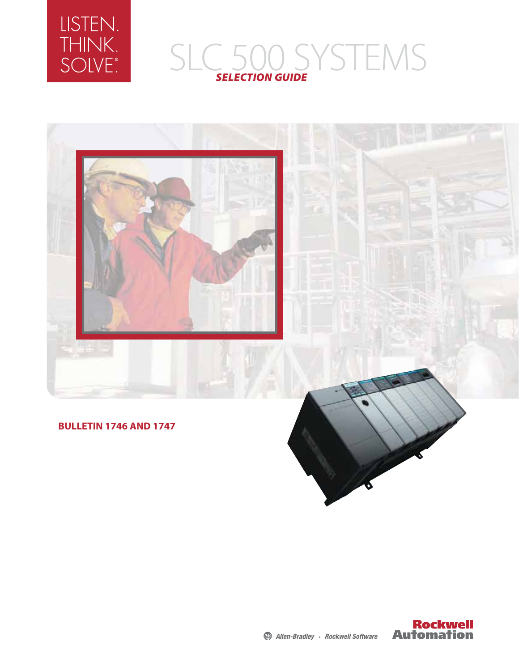

# SLC 500 SYSTEMS *SELECTION GUIDE*



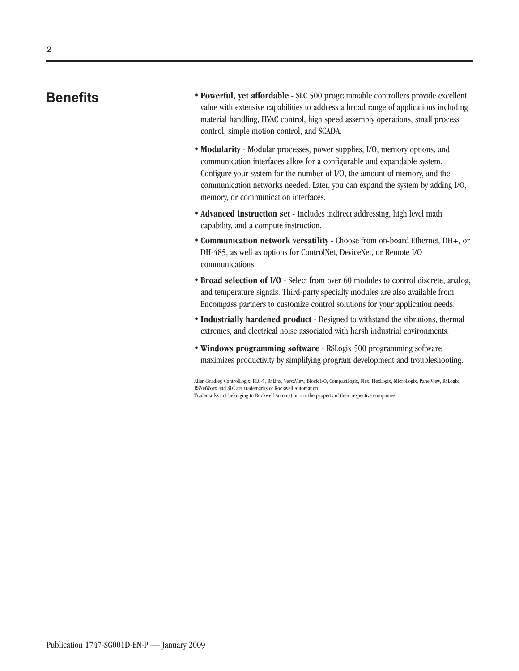### **Benefits**

- **Powerful, yet affordable** SLC 500 programmable controllers provide excellent value with extensive capabilities to address a broad range of applications including material handling, HVAC control, high speed assembly operations, small process control, simple motion control, and SCADA.
- **Modularity** Modular processes, power supplies, I/O, memory options, and communication interfaces allow for a configurable and expandable system. Configure your system for the number of I/O, the amount of memory, and the communication networks needed. Later, you can expand the system by adding I/O, memory, or communication interfaces.
- **Advanced instruction set** Includes indirect addressing, high level math capability, and a compute instruction.
- **Communication network versatility** Choose from on-board Ethernet, DH+, or DH-485, as well as options for ControlNet, DeviceNet, or Remote I/O communications.
- **Broad selection of I/O** Select from over 60 modules to control discrete, analog, and temperature signals. Third-party specialty modules are also available from Encompass partners to customize control solutions for your application needs.
- **Industrially hardened product** Designed to withstand the vibrations, thermal extremes, and electrical noise associated with harsh industrial environments.
- **Windows programming software** RSLogix 500 programming software maximizes productivity by simplifying program development and troubleshooting.

Allen-Bradley, ControlLogix, PLC-5, RSLinx, VersaView, Block I/O, CompactLogix, Flex, FlexLogix, MicroLogix, PanelView, RSLogix, RSNetWorx and SLC are trademarks of Rockwell Automation. Trademarks not belonging to Rockwell Automation are the property of their respective companies.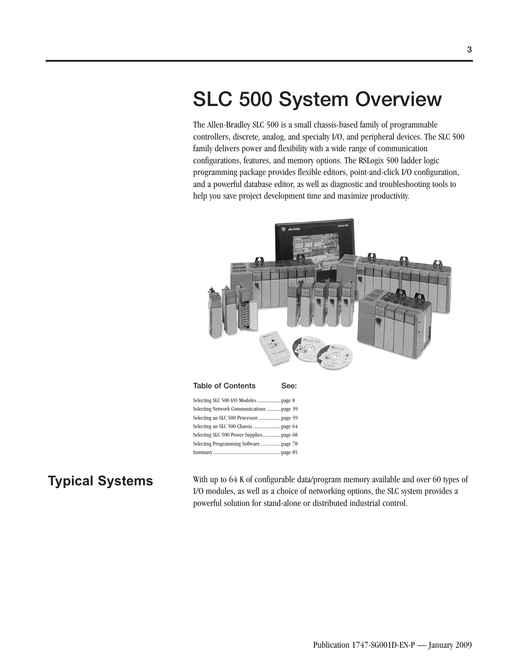## **SLC 500 System Overview**

The Allen-Bradley SLC 500 is a small chassis-based family of programmable controllers, discrete, analog, and specialty I/O, and peripheral devices. The SLC 500 family delivers power and flexibility with a wide range of communication configurations, features, and memory options. The RSLogix 500 ladder logic programming package provides flexible editors, point-and-click I/O configuration, and a powerful database editor, as well as diagnostic and troubleshooting tools to help you save project development time and maximize productivity.



**Typical Systems** With up to 64 K of configurable data/program memory available and over 60 types of I/O modules, as well as a choice of networking options, the SLC system provides a powerful solution for stand-alone or distributed industrial control.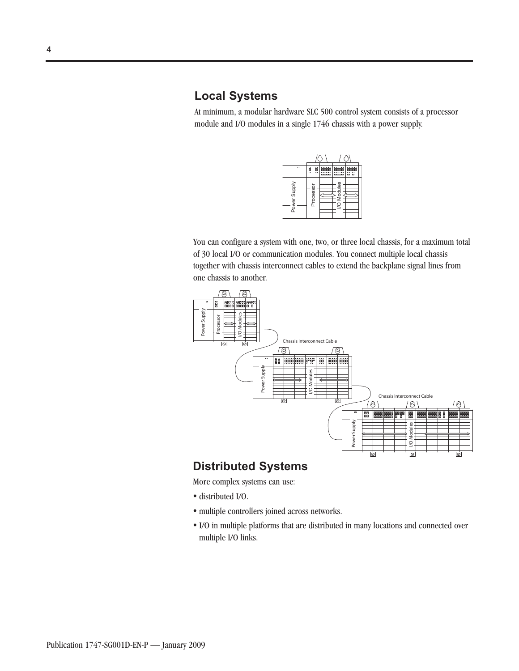### **Local Systems**

At minimum, a modular hardware SLC 500 control system consists of a processor module and I/O modules in a single 1746 chassis with a power supply.

| $\Box$       | 80<br><b>DDD</b> | $\overline{a}$<br>噩 | $\overline{1}$<br>噩 | $\overline{a}$<br>醩 |
|--------------|------------------|---------------------|---------------------|---------------------|
| Power Supply | Processor        |                     | Modules             |                     |

You can configure a system with one, two, or three local chassis, for a maximum total of 30 local I/O or communication modules. You connect multiple local chassis together with chassis interconnect cables to extend the backplane signal lines from one chassis to another.



### **Distributed Systems**

More complex systems can use:

- distributed I/O.
- multiple controllers joined across networks.
- I/O in multiple platforms that are distributed in many locations and connected over multiple I/O links.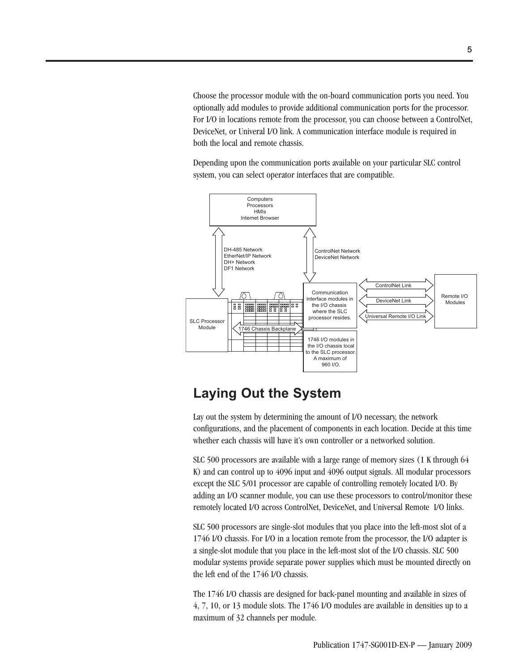Choose the processor module with the on-board communication ports you need. You optionally add modules to provide additional communication ports for the processor. For I/O in locations remote from the processor, you can choose between a ControlNet, DeviceNet, or Univeral I/O link. A communication interface module is required in both the local and remote chassis.

Depending upon the communication ports available on your particular SLC control system, you can select operator interfaces that are compatible.



### **Laying Out the System**

Lay out the system by determining the amount of I/O necessary, the network configurations, and the placement of components in each location. Decide at this time whether each chassis will have it's own controller or a networked solution.

SLC 500 processors are available with a large range of memory sizes (1 K through 64 K) and can control up to 4096 input and 4096 output signals. All modular processors except the SLC 5/01 processor are capable of controlling remotely located I/O. By adding an I/O scanner module, you can use these processors to control/monitor these remotely located I/O across ControlNet, DeviceNet, and Universal Remote I/O links.

SLC 500 processors are single-slot modules that you place into the left-most slot of a 1746 I/O chassis. For I/O in a location remote from the processor, the I/O adapter is a single-slot module that you place in the left-most slot of the I/O chassis. SLC 500 modular systems provide separate power supplies which must be mounted directly on the left end of the 1746 I/O chassis.

The 1746 I/O chassis are designed for back-panel mounting and available in sizes of 4, 7, 10, or 13 module slots. The 1746 I/O modules are available in densities up to a maximum of 32 channels per module.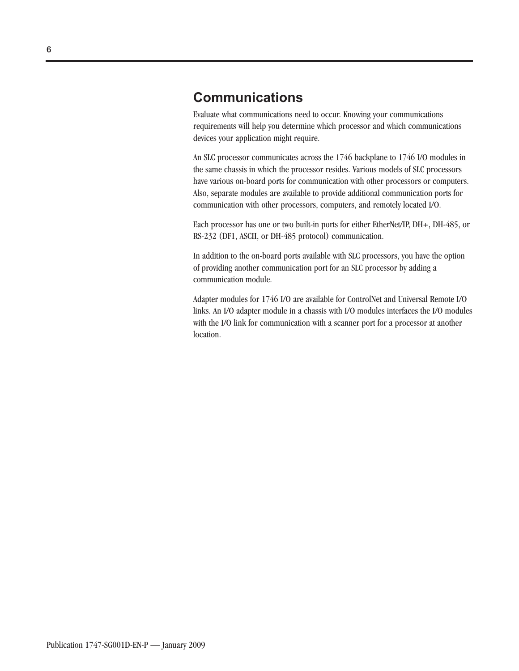### **Communications**

Evaluate what communications need to occur. Knowing your communications requirements will help you determine which processor and which communications devices your application might require.

An SLC processor communicates across the 1746 backplane to 1746 I/O modules in the same chassis in which the processor resides. Various models of SLC processors have various on-board ports for communication with other processors or computers. Also, separate modules are available to provide additional communication ports for communication with other processors, computers, and remotely located I/O.

Each processor has one or two built-in ports for either EtherNet/IP, DH+, DH-485, or RS-232 (DF1, ASCII, or DH-485 protocol) communication.

In addition to the on-board ports available with SLC processors, you have the option of providing another communication port for an SLC processor by adding a communication module.

Adapter modules for 1746 I/O are available for ControlNet and Universal Remote I/O links. An I/O adapter module in a chassis with I/O modules interfaces the I/O modules with the I/O link for communication with a scanner port for a processor at another location.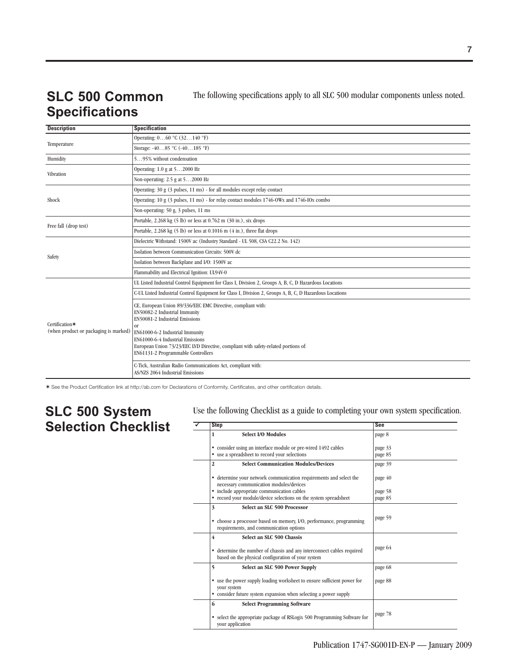## **SLC 500 Common Specifications**

The following specifications apply to all SLC 500 modular components unless noted.

| <b>Description</b>                                      | <b>Specification</b>                                                                                                                                                                                                                                                                                                                                |  |  |  |  |  |  |
|---------------------------------------------------------|-----------------------------------------------------------------------------------------------------------------------------------------------------------------------------------------------------------------------------------------------------------------------------------------------------------------------------------------------------|--|--|--|--|--|--|
|                                                         | Operating: $060$ °C (32140 °F)                                                                                                                                                                                                                                                                                                                      |  |  |  |  |  |  |
| Temperature                                             | Storage: -4085 °C (-40185 °F)                                                                                                                                                                                                                                                                                                                       |  |  |  |  |  |  |
| Humidity                                                | 595% without condensation                                                                                                                                                                                                                                                                                                                           |  |  |  |  |  |  |
|                                                         | Operating: 1.0 g at 52000 Hz                                                                                                                                                                                                                                                                                                                        |  |  |  |  |  |  |
| Vibration                                               | Non-operating: 2.5 g at 52000 Hz                                                                                                                                                                                                                                                                                                                    |  |  |  |  |  |  |
|                                                         | Operating: $30 g$ ( $3 \text{ pulses}, 11 \text{ ms}$ ) - for all modules except relay contact                                                                                                                                                                                                                                                      |  |  |  |  |  |  |
| Shock                                                   | Operating: 10 g $(3 \text{ pulses}, 11 \text{ ms})$ - for relay contact modules $1746$ -OWx and $1746$ -IOx combo                                                                                                                                                                                                                                   |  |  |  |  |  |  |
|                                                         | Non-operating: 50 g, 3 pulses, 11 ms                                                                                                                                                                                                                                                                                                                |  |  |  |  |  |  |
| Free fall (drop test)                                   | Portable, $2.268 \text{ kg}$ (5 lb) or less at 0.762 m (30 in.), six drops                                                                                                                                                                                                                                                                          |  |  |  |  |  |  |
|                                                         | Portable, $2.268 \text{ kg}$ (5 lb) or less at 0.1016 m (4 in.), three flat drops                                                                                                                                                                                                                                                                   |  |  |  |  |  |  |
|                                                         | Dielectric Withstand: 1500V ac (Industry Standard - UL 508, CSA C22.2 No. 142)                                                                                                                                                                                                                                                                      |  |  |  |  |  |  |
|                                                         | Isolation between Communication Circuits: 500V dc                                                                                                                                                                                                                                                                                                   |  |  |  |  |  |  |
| Safety                                                  | Isolation between Backplane and I/O: 1500V ac                                                                                                                                                                                                                                                                                                       |  |  |  |  |  |  |
|                                                         | Flammability and Electrical Ignition: UL94V-0                                                                                                                                                                                                                                                                                                       |  |  |  |  |  |  |
|                                                         | UL Listed Industrial Control Equipment for Class I, Division 2, Groups A, B, C, D Hazardous Locations                                                                                                                                                                                                                                               |  |  |  |  |  |  |
|                                                         | C-UL Listed Industrial Control Equipment for Class I, Division 2, Groups A, B, C, D Hazardous Locations                                                                                                                                                                                                                                             |  |  |  |  |  |  |
| Certification*<br>(when product or packaging is marked) | CE, European Union 89/336/EEC EMC Directive, compliant with:<br>EN50082-2 Industrial Immunity<br>EN50081-2 Industrial Emissions<br><sub>or</sub><br>EN61000-6-2 Industrial Immunity<br>EN61000-6-4 Industrial Emissions<br>European Union 73/23/EEC IVD Directive, compliant with safety-related portions of:<br>EN61131-2 Programmable Controllers |  |  |  |  |  |  |
|                                                         | C-Tick, Australian Radio Communications Act, compliant with:<br>AS/NZS 2064 Industrial Emissions                                                                                                                                                                                                                                                    |  |  |  |  |  |  |

✶ See the Product Certification link at http://ab.com for Declarations of Conformity, Certificates, and other certification details.

### **SLC 500 System Selection Checklist**

Use the following Checklist as a guide to completing your own system specification.

| <b>Step</b>                                                                                                                                        | <b>See</b>         |
|----------------------------------------------------------------------------------------------------------------------------------------------------|--------------------|
| <b>Select I/O Modules</b><br>1                                                                                                                     | page 8             |
| • consider using an interface module or pre-wired 1492 cables<br>• use a spreadsheet to record your selections                                     | page 33<br>page 85 |
| <b>Select Communication Modules/Devices</b><br>$\mathbf{2}$                                                                                        | page 39            |
| • determine your network communication requirements and select the<br>necessary communication modules/devices                                      | page 40            |
| • include appropriate communication cables                                                                                                         | page 58            |
| • record your module/device selections on the system spreadsheet                                                                                   | page 85            |
| 3<br>Select an SLC 500 Processor<br>• choose a processor based on memory, I/O, performance, programming<br>requirements, and communication options | page 59            |
| 4<br>Select an SLC 500 Chassis                                                                                                                     |                    |
| • determine the number of chassis and any interconnect cables required<br>based on the physical configuration of your system                       | page 64            |
| 5<br>Select an SLC 500 Power Supply                                                                                                                | page 68            |
| • use the power supply loading worksheet to ensure sufficient power for<br>your system                                                             | page 88            |
| • consider future system expansion when selecting a power supply                                                                                   |                    |
| 6<br><b>Select Programming Software</b>                                                                                                            |                    |
| • select the appropriate package of RSLogix 500 Programming Software for<br>vour application                                                       | page 78            |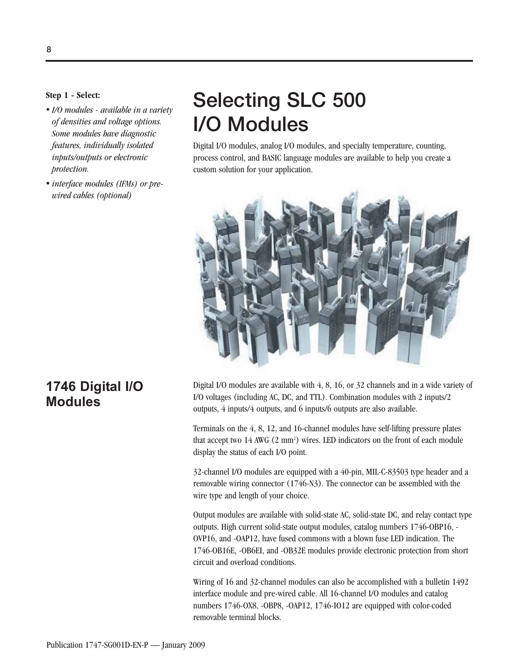#### **Step 1 - Select:**

- *I/O modules available in a variety of densities and voltage options. Some modules have diagnostic features, individually isolated inputs/outputs or electronic protection.*
- *interface modules (IFMs) or prewired cables (optional)*

## **Selecting SLC 500 I/O Modules**

Digital I/O modules, analog I/O modules, and specialty temperature, counting, process control, and BASIC language modules are available to help you create a custom solution for your application.



Digital I/O modules are available with 4, 8, 16, or 32 channels and in a wide variety of I/O voltages (including AC, DC, and TTL). Combination modules with 2 inputs/2 outputs, 4 inputs/4 outputs, and 6 inputs/6 outputs are also available.

Terminals on the 4, 8, 12, and 16-channel modules have self-lifting pressure plates that accept two 14 AWG (2 mm<sup>2</sup>) wires. LED indicators on the front of each module display the status of each I/O point.

32-channel I/O modules are equipped with a 40-pin, MIL-C-83503 type header and a removable wiring connector (1746-N3). The connector can be assembled with the wire type and length of your choice.

Output modules are available with solid-state AC, solid-state DC, and relay contact type outputs. High current solid-state output modules, catalog numbers 1746-OBP16, - OVP16, and -OAP12, have fused commons with a blown fuse LED indication. The 1746-OB16E, -OB6EI, and -OB32E modules provide electronic protection from short circuit and overload conditions.

Wiring of 16 and 32-channel modules can also be accomplished with a bulletin 1492 interface module and pre-wired cable. All 16-channel I/O modules and catalog numbers 1746-OX8, -OBP8, -OAP12, 1746-IO12 are equipped with color-coded removable terminal blocks.

### **1746 Digital I/O Modules**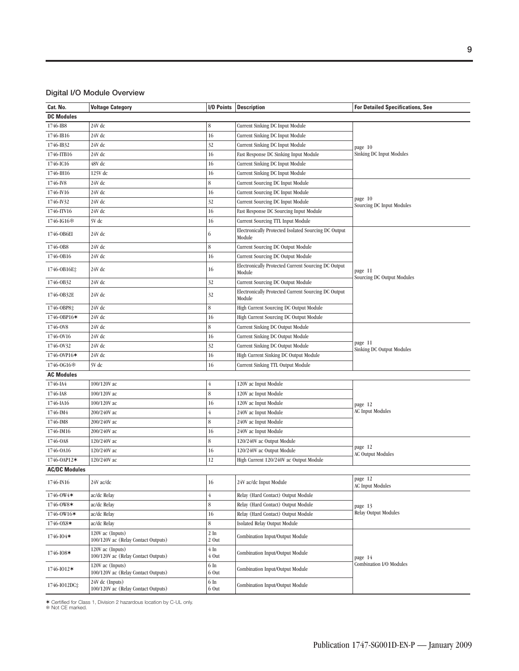#### **Digital I/O Module Overview**

| Cat. No.                | <b>Voltage Category</b>                                 | I/O Points         | <b>Description</b>                                             | <b>For Detailed Specifications, See</b> |  |
|-------------------------|---------------------------------------------------------|--------------------|----------------------------------------------------------------|-----------------------------------------|--|
| <b>DC Modules</b>       |                                                         |                    |                                                                |                                         |  |
| 1746-IB8                | 24V dc                                                  | 8                  | Current Sinking DC Input Module                                |                                         |  |
| 1746-IB16               | 24V dc                                                  | 16                 | Current Sinking DC Input Module                                |                                         |  |
| 1746-IB32               | 24V dc                                                  | 32                 | Current Sinking DC Input Module                                | page 10                                 |  |
| 1746-ITB16              | 24V dc                                                  | 16                 | Fast Response DC Sinking Input Module                          | <b>Sinking DC Input Modules</b>         |  |
| 1746-IC16               | 48V dc                                                  | 16                 | Current Sinking DC Input Module                                |                                         |  |
| 1746-IH16               | 125V dc                                                 | 16                 | Current Sinking DC Input Module                                |                                         |  |
| 1746-IV8                | 24V dc                                                  | 8                  | Current Sourcing DC Input Module                               |                                         |  |
| 1746-IV16               | 24V dc                                                  | 16                 | Current Sourcing DC Input Module                               |                                         |  |
| 1746-IV32               | 24V dc                                                  | 32                 | Current Sourcing DC Input Module                               | page 10                                 |  |
| 1746-ITV16              | 24V dc                                                  | 16                 | Fast Response DC Sourcing Input Module                         | Sourcing DC Input Modules               |  |
| 1746-IG16参              | 5V dc                                                   | 16                 | Current Sourcing TTL Input Module                              |                                         |  |
| 1746-OB6EI              | 24V dc                                                  | 6                  | Electronically Protected Isolated Sourcing DC Output<br>Module |                                         |  |
| 1746-0B8                | 24V dc                                                  | 8                  | Current Sourcing DC Output Module                              |                                         |  |
| 1746-0B16               | 24V dc                                                  | 16                 | Current Sourcing DC Output Module                              |                                         |  |
| 1746-0B16E‡             | 24V dc                                                  | 16                 | Electronically Protected Current Sourcing DC Output<br>Module  | page 11                                 |  |
| 1746-0B32               | 24V dc                                                  | 32                 | Current Sourcing DC Output Module                              | Sourcing DC Output Modules              |  |
| 1746-OB32E              | 24V dc                                                  | 32                 | Electronically Protected Current Sourcing DC Output<br>Module  |                                         |  |
| 1746-OBP8‡              | 24V dc                                                  | 8                  | High Current Sourcing DC Output Module                         |                                         |  |
| 1746-0BP16*             | 24V dc                                                  | 16                 | High Current Sourcing DC Output Module                         |                                         |  |
| 1746-0V8                | 24V dc                                                  | 8                  | Current Sinking DC Output Module                               |                                         |  |
| 1746-0V16               | 24V dc                                                  | 16                 | Current Sinking DC Output Module                               |                                         |  |
| 1746-0V32               | 24V dc                                                  | 32                 | Current Sinking DC Output Module                               | page 11                                 |  |
| 1746-0VP16*             | 24V dc                                                  | 16                 | High Current Sinking DC Output Module                          | Sinking DC Output Modules               |  |
| 1746-OG16*              | 5V dc                                                   | 16                 | Current Sinking TTL Output Module                              |                                         |  |
| <b>AC Modules</b>       |                                                         |                    |                                                                |                                         |  |
| 1746-IA4                | 100/120V ac                                             | 4                  | 120V ac Input Module                                           |                                         |  |
| 1746-IA8                | 100/120V ac                                             | 8                  | 120V ac Input Module                                           |                                         |  |
| 1746-IA16               | 100/120V ac                                             | 16                 | 120V ac Input Module                                           | page 12                                 |  |
| 1746-IM4                | 200/240V ac                                             | 4                  | 240V ac Input Module                                           | <b>AC Input Modules</b>                 |  |
| 1746-IM8                | 200/240V ac                                             | 8                  | 240V ac Input Module                                           |                                         |  |
| 1746-IM16               | 200/240V ac                                             | 16                 | 240V ac Input Module                                           |                                         |  |
| 1746-0A8                | 120/240V ac                                             | 8                  | 120/240V ac Output Module                                      |                                         |  |
| 1746-0A16               | 120/240V ac                                             | 16                 | 120/240V ac Output Module                                      | page 12                                 |  |
| 1746-OAP12 <sup>★</sup> | 120/240V ac                                             | 12                 | High Current 120/240V ac Output Module                         | <b>AC Output Modules</b>                |  |
| <b>AC/DC Modules</b>    |                                                         |                    |                                                                |                                         |  |
| 1746-IN16               | 24V ac/dc                                               | 16                 | 24V ac/dc Input Module                                         | page 12<br><b>AC Input Modules</b>      |  |
| 1746-0W4*               | ac/dc Relay                                             | $\overline{4}$     | Relay (Hard Contact) Output Module                             |                                         |  |
| 1746-0W8*               | ac/dc Relay                                             | 8                  | Relay (Hard Contact) Output Module                             | page 13                                 |  |
| 1746-0W16*              | ac/dc Relay                                             | 16                 | Relay (Hard Contact) Output Module                             | Relay Output Modules                    |  |
| 1746-0X8*               | ac/dc Relay                                             | 8                  | Isolated Relay Output Module                                   |                                         |  |
| 1746-IO4*               | 120V ac (Inputs)<br>100/120V ac (Relay Contact Outputs) | $2 \ln$<br>2 Out   | Combination Input/Output Module                                |                                         |  |
| 1746-I08*               | 120V ac (Inputs)<br>100/120V ac (Relay Contact Outputs) | $4 \ln$<br>$4$ Out | Combination Input/Output Module                                | page 14                                 |  |
| 1746-I012*              | 120V ac (Inputs)<br>100/120V ac (Relay Contact Outputs) | 6 In<br>6 Out      | Combination Input/Output Module                                | Combination I/O Modules                 |  |
| 1746-IO12DC‡            | 24V dc (Inputs)<br>100/120V ac (Relay Contact Outputs)  | 6 In<br>$6$ Out    | Combination Input/Output Module                                |                                         |  |

✶ Certified for Class 1, Division 2 hazardous location by C-UL only. Not CE marked.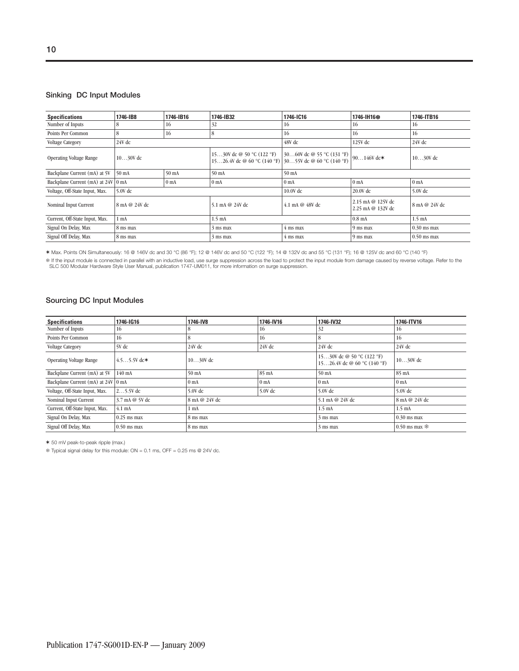#### **Sinking DC Input Modules**

| <b>Specifications</b>              | 1746-IB8        | 1746-IB16       | 1746-IB32                                                                          | 1746-IC16                            | 1746-IH16*                             | 1746-ITB16       |
|------------------------------------|-----------------|-----------------|------------------------------------------------------------------------------------|--------------------------------------|----------------------------------------|------------------|
| Number of Inputs                   | 8               | 16              | 32                                                                                 | 16                                   | 16                                     | 16               |
| Points Per Common                  | 8               | 16              | 8                                                                                  | 16                                   | 16                                     | 16               |
| Voltage Category                   | 24V dc          |                 |                                                                                    | $48V$ dc                             | 125V dc                                | 24V dc           |
| <b>Operating Voltage Range</b>     | $1030V$ dc      |                 | 1530V dc @ 50 °C (122 °F)<br>1526.4V dc @ 60 °C (140 °F) 3055V dc @ 60 °C (140 °F) | 3060V dc @ 55 °C (131 °F) 90146V dc* |                                        | $1030V$ dc       |
| Backplane Current (mA) at 5V       | $50 \text{ mA}$ | 50 mA           | 50 <sub>mA</sub>                                                                   | 50 mA                                |                                        |                  |
| Backplane Current (mA) at 24V 0 mA |                 | 0 <sub>mA</sub> | 0 <sub>mA</sub>                                                                    | 0 <sub>mA</sub><br>0 <sub>mA</sub>   |                                        | 0 <sub>mA</sub>  |
| Voltage, Off-State Input, Max.     | $5.0V$ dc       |                 |                                                                                    | 10.0V dc                             | 20.0V dc                               | $5.0V$ dc        |
| Nominal Input Current              | 8 mA @ 24V dc   |                 | 5.1 mA @ 24V dc                                                                    | 4.1 mA @ $48V$ dc                    | 2.15 mA @ 125V dc<br>2.25 mA @ 132V dc | 8 mA @ 24V dc    |
| Current, Off-State Input, Max.     | 1 <sub>mA</sub> |                 | $1.5 \text{ mA}$                                                                   |                                      | $0.8$ mA                               | $1.5 \text{ mA}$ |
| Signal On Delay, Max               | 8 ms max        |                 | 3 ms max                                                                           | 4 ms max                             | 9 ms max                               | $0.30$ ms max    |
| Signal Off Delay, Max              | 8 ms max        |                 | 3 ms max                                                                           | 4 ms max                             | 9 ms max                               | $0.50$ ms max    |

✶ Max. Points ON Simultaneously: 16 @ 146V dc and 30 °C (86 °F); 12 @ 146V dc and 50 °C (122 °F); 14 @ 132V dc and 55 °C (131 °F); 16 @ 125V dc and 60 °C (140 °F)

\$ If the input module is connected in parallel with an inductive load, use surge suppression across the load to protect the input module from damage caused by reverse voltage. Refer to the<br>SLC 500 Modular Hardware Style Us

#### **Sourcing DC Input Modules**

| <b>Specifications</b>              | 1746-IG16        | 1746-IV8        | 1746-IV16       | 1746-IV32                                                | 1746-ITV16        |
|------------------------------------|------------------|-----------------|-----------------|----------------------------------------------------------|-------------------|
| Number of Inputs                   | 16               |                 | 16              | 32                                                       | 16                |
| Points Per Common                  | 16               |                 | 16              | 8                                                        | 16                |
| <b>Voltage Category</b>            | 5V dc            | 24V dc          | $24V$ dc        | $24V$ dc                                                 | $24V$ dc          |
| <b>Operating Voltage Range</b>     | $4.55.5V$ dc $*$ | $1030V$ dc      |                 | 1530V dc @ 50 °C (122 °F)<br>1526.4V dc @ 60 °C (140 °F) | $1030V$ dc        |
| Backplane Current (mA) at 5V       | 140 mA           | $50 \text{ mA}$ | 85 mA           | $50 \text{ mA}$                                          | $85 \text{ mA}$   |
| Backplane Current (mA) at 24V 0 mA |                  | 0 <sub>mA</sub> | 0 <sub>mA</sub> | 0 <sub>mA</sub>                                          | 0 <sub>mA</sub>   |
| Voltage, Off-State Input, Max.     | $25.5V$ dc       | $5.0V$ dc       | 5.0V dc         | $5.0V$ dc                                                | $5.0V$ dc         |
| Nominal Input Current              | 3.7 mA @ 5V dc   | 8 mA @ 24V dc   |                 | 5.1 mA @ 24V dc                                          | 8 mA @ 24V dc     |
| Current, Off-State Input, Max.     | $4.1 \text{ mA}$ | $1 \text{ mA}$  |                 | $1.5 \text{ mA}$                                         | $1.5 \text{ mA}$  |
| Signal On Delay, Max               | $0.25$ ms max    | 8 ms max        |                 | 3 ms max                                                 | $0.30$ ms max     |
| Signal Off Delay, Max              | $0.50$ ms max    | 8 ms max        |                 | $3 \text{ ms } \text{max}$                               | $0.50$ ms max $*$ |

✶ 50 mV peak-to-peak ripple (max.)

Typical signal delay for this module: ON = 0.1 ms, OFF = 0.25 ms @ 24V dc.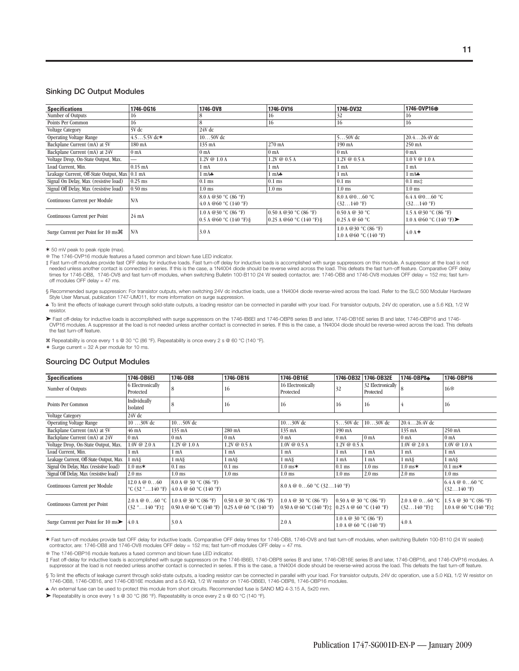#### **Sinking DC Output Modules**

| <b>Specifications</b>                           | 1746-0G16                | 1746-0V8                                         | 1746-0V16                                            | 1746-0V32                                           | 1746-0VP16 <sup>®</sup>                                                                |
|-------------------------------------------------|--------------------------|--------------------------------------------------|------------------------------------------------------|-----------------------------------------------------|----------------------------------------------------------------------------------------|
| Number of Outputs                               | 16                       | õ                                                | 16                                                   | 32                                                  | 16                                                                                     |
| Points Per Common                               | 16                       | 8                                                | 16                                                   | 16                                                  | 16                                                                                     |
| <b>Voltage Category</b>                         | 5V dc                    | 24V dc                                           |                                                      |                                                     |                                                                                        |
| <b>Operating Voltage Range</b>                  | $4.55.5V$ dc*            | $1050V$ dc                                       |                                                      | $550V$ dc                                           | $20.426.4V$ dc                                                                         |
| Backplane Current (mA) at 5V                    | 180 mA                   | 135 mA                                           | 270 mA                                               | 190 mA                                              | 250 mA                                                                                 |
| Backplane Current (mA) at 24V                   | 0 <sub>mA</sub>          | 0 <sub>mA</sub>                                  | 0 <sub>mA</sub>                                      | 0 <sub>mA</sub>                                     | 0 <sub>mA</sub>                                                                        |
| Voltage Drop, On-State Output, Max.             | $\overline{\phantom{0}}$ | $1.2V \t@ 1.0 A$                                 | $1.2V \t@ 0.5 A$                                     | $1.2V \t@ 0.5 A$                                    | 1.0 V @ 1.0 A                                                                          |
| Load Current, Min.                              | $0.15$ mA                | 1 <sub>mA</sub>                                  | 1 <sub>mA</sub>                                      | $1 \text{ mA}$                                      | $1 \text{ mA}$                                                                         |
| Leakage Current, Off-State Output, Max   0.1 mA |                          | $1 \text{ mA}$                                   | $1 \text{ mA}$                                       | $1 \text{ mA}$                                      | $1 \text{ mA}$                                                                         |
| Signal On Delay, Max (resistive load)           | $0.25$ ms                | $0.1$ ms                                         | $0.1$ ms                                             | $0.1$ ms                                            | $0.1$ ms $\pm$                                                                         |
| Signal Off Delay, Max (resistive load)          | $0.50$ ms                | $1.0$ ms                                         | $1.0$ ms                                             | $1.0$ ms                                            | $1.0$ ms                                                                               |
| Continuous Current per Module                   | N/A                      | 8.0 A @ 30 °C (86 °F)<br>4.0 A @60 °C (140 °F)   |                                                      | 8.0 A $@060$ °C<br>$(32140)$ °F)                    | 6.4 A @ 0.000 C<br>$(32140)$ °F)                                                       |
| Continuous Current per Point                    | 24 mA                    | 1.0 A @ 30 °C (86 °F)<br>0.5 A @60 °C (140 °F) § | 0.50 A @ 30 °C (86 °F)<br>$0.25$ A @60 °C (140 °F) § | 0.50 A @ 30 °C<br>0.25 A @ 60 °C                    | 1.5 A @ 30 °C (86 °F)<br>1.0 A @60 $\degree$ C (140 $\degree$ F) $\blacktriangleright$ |
| Surge Current per Point for 10 ms H             | N/A                      | 3.0A                                             |                                                      | 1.0 A @ 30 $°C$ (86 $°F$ )<br>1.0 A @60 °C (140 °F) | $4.0 A +$                                                                              |

✶ 50 mV peak to peak ripple (max).

The 1746-OVP16 module features a fused common and blown fuse LED indicator.

the throm of modules provide fast OFF delay for inductive loads. Fast turn-off delay for inductive loads is accomplished with surge suppressors on this module. A suppressor at the load is not needed unless another contact is connected in series. If this is the case, a 1N4004 diode should be reverse wired across the load. This defeats the fast turn-off feature. Comparative OFF delay times for 1746-OB8, 1746-OV8 and fast turn-off modules, when switching Bulletin 100-B110 (24 W sealed) contactor, are: 1746-OB8 and 1746-OV8 modules OFF delay = 152 ms; fast turnoff modules OFF delay = 47 ms.

§ Recommended surge suppression: For transistor outputs, when switching 24V dc inductive loads, use a 1N4004 diode reverse-wired across the load. Refer to the SLC 500 Modular Hardware Style User Manual, publication 1747-UM011, for more information on surge suppression.

♣ To limit the effects of leakage current through solid-state outputs, a loading resistor can be connected in parallel with your load. For transistor outputs, 24V dc operation, use a 5.6 KΩ, 1/2 W resistor.

Fast off-delay for inductive loads is accomplished with surge suppressors on the 1746-IB6El and 1746-OBP8 series B and later, 1746-OB16E series B and later, 1746-OBP16 and 1746-<br>OVP16 modules. A suppressor at the load is n the fast turn-off feature.

Repeatability is once every 1 s @ 30 °C (86 °F). Repeatability is once every 2 s @ 60 °C (140 °F).

 $+$  Surge current = 32 A per module for 10 ms.

#### **Sourcing DC Output Modules**

| <b>Specifications</b>                      | 1746-0B6EI                                                    | 1746-0B8                                        | 1746-0B16                                                                                                                       | 1746-0B16E                                                                          | 1746-0B32                                              | 1746-0B32E                     | 1746-0BP8+                            | 1746-0BP16                                            |
|--------------------------------------------|---------------------------------------------------------------|-------------------------------------------------|---------------------------------------------------------------------------------------------------------------------------------|-------------------------------------------------------------------------------------|--------------------------------------------------------|--------------------------------|---------------------------------------|-------------------------------------------------------|
| Number of Outputs                          | 6 Electronically<br>Protected                                 | 8                                               | 16                                                                                                                              | 16 Electronically<br>Protected                                                      | 32                                                     | 32 Electronically<br>Protected | 8                                     | 16                                                    |
| Points Per Common                          | Individually<br><b>Isolated</b>                               |                                                 | 16                                                                                                                              | 16                                                                                  | 16                                                     | 16                             |                                       | 16                                                    |
| <b>Voltage Category</b>                    | 24V dc                                                        |                                                 |                                                                                                                                 |                                                                                     |                                                        |                                |                                       |                                                       |
| <b>Operating Voltage Range</b>             | $1030V$ dc                                                    | $1050V$ dc                                      |                                                                                                                                 | $1030V$ dc                                                                          | $550V$ dc                                              | $1030V$ dc                     | $20.426.4V$ dc                        |                                                       |
| Backplane Current (mA) at 5V               | 46 mA                                                         | 135 mA                                          | 280 mA                                                                                                                          | 135 mA                                                                              | 190 mA                                                 |                                | 135 mA                                | 250 mA                                                |
| Backplane Current (mA) at 24V              | 0 <sub>mA</sub>                                               | 0 <sub>mA</sub>                                 | 0 <sub>mA</sub>                                                                                                                 | 0 <sub>mA</sub>                                                                     | 0 <sub>mA</sub>                                        | 0 <sub>mA</sub>                | 0 <sub>mA</sub>                       | 0 <sub>mA</sub>                                       |
| Voltage Drop, On-State Output, Max.        | $1.0V \t@ 2.0 A$                                              | $1.2V \t@ 1.0 A$<br>$1.2V \& 0.5A$              |                                                                                                                                 | $1.0V \& 0.5 A$                                                                     | $1.2V \t@ 0.5 A$                                       |                                | $1.0V \t@ 2.0 A$                      | $1.0V \t@ 1.0 A$                                      |
| Load Current, Min.                         | 1 mA                                                          | $1 \text{ mA}$                                  | 1 <sub>mA</sub>                                                                                                                 | $1 \text{ mA}$                                                                      | $1 \text{ mA}$                                         | $1 \text{ mA}$                 | $1 \text{ mA}$                        | $1 \text{ mA}$                                        |
| Leakage Current, Off-State Output, Max     | $1 \text{ mA}$                                                | $1 \text{ mA}$                                  | $1 \text{ mA}$                                                                                                                  | $1 \text{ mA}$                                                                      | 1 mA                                                   | $1 \text{ mA}$                 | $1 \text{ mA}$                        | $1 \text{ mA}$                                        |
| Signal On Delay, Max (resistive load)      | $1.0 \text{ ms}$                                              | $0.1$ ms                                        | $0.1$ ms                                                                                                                        | $1.0$ ms $*$                                                                        | $0.1$ ms                                               | $1.0$ ms                       | $1.0 \text{ ms}$                      | $0.1$ ms $*$                                          |
| Signal Off Delay, Max (resistive load)     | $2.0$ ms                                                      | $1.0$ ms                                        | $1.0$ ms                                                                                                                        | $1.0$ ms                                                                            | $1.0$ ms                                               | $2.0$ ms                       | $2.0$ ms                              | $1.0$ ms                                              |
| Continuous Current per Module              | 12.0 A @ 060<br>$^{\circ}$ C (32 $^{\circ}$ 140 $^{\circ}$ F) | 8.0 A @ 30 °C (86 °F)<br>4.0 A @ 60 °C (140 °F) |                                                                                                                                 | 8.0 A $\omega$ 060 °C (32140 °F)                                                    |                                                        |                                |                                       | 6.4 A @ 060 °C<br>$(32140)$ °F)                       |
| Continuous Current per Point               | 2.0 A @ 060 °C<br>$(32 \degree \dots 140 \degree F)$ ±        | 1.0 A @ 30 °C (86 °F)                           | 0.50 A @ 30 °C (86 °F)<br>$(0.50 \text{ A } @ 60 \text{ °C} (140 \text{ °F}) (0.25 \text{ A } @ 60 \text{ °C} (140 \text{ °F})$ | 1.0 A @ 30 $°C$ (86 $°F$ )<br>0.50 A @ 60 °C (140 °F) $\pm$ 0.25 A @ 60 °C (140 °F) | 0.50 A @ 30 °C (86 °F)                                 |                                | 2.0 A @ 060 °C<br>$(32140)$ °F) $\pm$ | 1.5 A @ 30 °C (86 °F)<br>1.0 A @ 60 °C (140 °F) $\pm$ |
| Surge Current per Point for 10 $\text{ms}$ | 4.0A                                                          | 3.0A                                            |                                                                                                                                 | 2.0A                                                                                | 1.0 A @ 30 $°C$ (86 $°F$ )<br>1.0 A $@$ 60 °C (140 °F) |                                | 4.0A                                  |                                                       |

✶ Fast turn-off modules provide fast OFF delay for inductive loads. Comparative OFF delay times for 1746-OB8, 1746-OV8 and fast turn-off modules, when switching Bulletin 100-B110 (24 W sealed) contractor, are: 1746-OB8 and 1746-OV8 modules OFF delay = 152 ms; fast turn-off modules OFF delay = 47 ms.

The 1746-OBP16 module features a fused common and blown fuse LED indicator.

‡ Fast off-delay for inductive loads is accomplished with surge suppressors on the 1746-IB6El, 1746-OBP8 series B and later, 1746-OB16E series B and later, 1746-OBP16, and 1746-OVP16 modules. A<br>suppressor at the load is no

§ To limit the effects of leakage current through solid-state outputs, a loading resistor can be connected in parallel with your load. For transistor outputs, 24V dc operation, use a 5.0 KQ, 1/2 W resistor on 1746-OB8, 1746-OB16, and 1746-OB16E modules and a 5.6 KΩ, 1/2 W resistor on 1746-OB6EI, 1746-OBP8, 1746-OBP16 modules.

♣ An external fuse can be used to protect this module from short circuits. Recommended fuse is SANO MQ 4-3.15 A, 5x20 mm.

➤ Repeatability is once every 1 s @ 30 °C (86 °F). Repeatability is once every 2 s @ 60 °C (140 °F).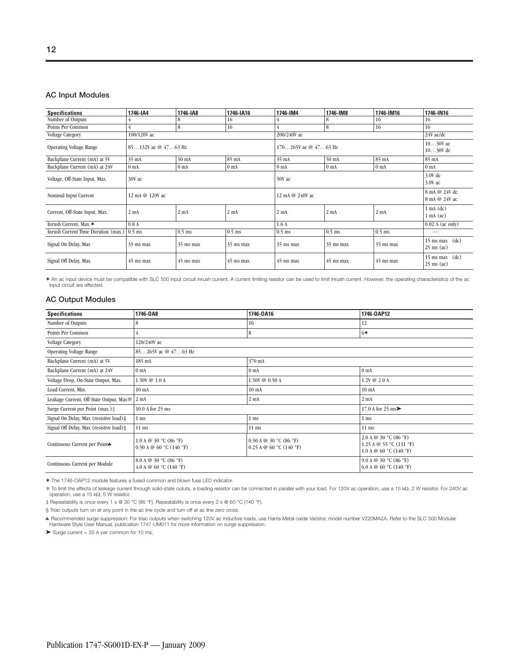#### **AC Input Modules**

| <b>Specifications</b>               | 1746-IA4            | 1746-IA8        | 1746-IA16        | 1746-IM4                 | 1746-IM8        | 1746-IM16       | 1746-IN16                                                |
|-------------------------------------|---------------------|-----------------|------------------|--------------------------|-----------------|-----------------|----------------------------------------------------------|
| Number of Outputs                   | 4                   | 8               | 16               |                          | 8               | 16              | 16                                                       |
| Points Per Common                   | 4                   | 8               | 16               |                          | 8               | 16              | 16                                                       |
| <b>Voltage Category</b>             | 100/120V ac         |                 |                  | 200/240V ac              |                 |                 | 24V ac/dc                                                |
| <b>Operating Voltage Range</b>      | 85132V ac @ 4763 Hz |                 |                  | $170265V$ ac @ $4763$ Hz |                 |                 | $1030V$ ac<br>$1030V$ dc                                 |
| Backplane Current (mA) at 5V        | 35 mA               | $50 \text{ mA}$ | 85 mA            | $35 \text{ mA}$          | $50 \text{ mA}$ | 85 mA           | 85 mA                                                    |
| Backplane Current (mA) at 24V       | 0 <sub>mA</sub>     | 0 <sub>mA</sub> | 0 <sub>mA</sub>  | 0 <sub>mA</sub>          | 0 <sub>mA</sub> | 0 <sub>mA</sub> | 0 <sub>mA</sub>                                          |
| Voltage, Off-State Input, Max.      | 30V ac              |                 |                  | 50V ac                   |                 |                 | $3.0V$ dc<br>$3.0V$ ac                                   |
| Nominal Input Current               | 12 mA @ 120V ac     |                 |                  | 12 mA @ 240V ac          |                 |                 | 8 mA @ 24V dc<br>8 mA @ 24V ac                           |
| Current, Off-State Input, Max.      | 2 <sub>mA</sub>     | 2 <sub>mA</sub> | 2 <sub>m</sub> A | $2 \text{ mA}$           | $2 \text{ mA}$  | $2 \text{ mA}$  | $1 \text{ mA} (\text{dc})$<br>$1 \text{ mA} (\text{ac})$ |
| Inrush Current, Max.*               | 0.8A                |                 |                  | 1.6A                     |                 |                 | $0.02$ A (ac only)                                       |
| Inrush Current Time Duration (max.) | $0.5$ ms            | $0.5$ ms        | $0.5$ ms         | $0.5$ ms                 | $0.5$ ms        | $0.5$ ms        |                                                          |
| Signal On Delay, Max                | $35$ ms max         | $35$ ms max     | $35$ ms max      | 35 ms max                | $35$ ms max     | $35$ ms max     | $15$ ms max $(dc)$<br>$25 \text{ ms}$ (ac)               |
| Signal Off Delay, Max               | 45 ms max           | 45 ms max       | $45$ ms max      | $45$ ms max              | 45 ms max       | 45 ms max       | $15$ ms max $(dc)$<br>$25 \text{ ms}$ (ac)               |

✶ An ac input device must be compatible with SLC 500 input circuit inrush current. A current limiting resistor can be used to limit inrush current. However, the operating characteristics of the ac input circuit are affected.

#### **AC Output Modules**

| <b>Specifications</b>                     | 1746-0A8                                                | 1746-0A16                                             | 1746-0AP12                                                                                     |
|-------------------------------------------|---------------------------------------------------------|-------------------------------------------------------|------------------------------------------------------------------------------------------------|
| Number of Outputs                         | 8                                                       | 16                                                    | 12                                                                                             |
| Points Per Common                         | 4                                                       | 8                                                     | $6*$                                                                                           |
| <b>Voltage Category</b>                   | 120/240V ac                                             |                                                       |                                                                                                |
| <b>Operating Voltage Range</b>            | 85265V ac @ 4763 Hz                                     |                                                       |                                                                                                |
| Backplane Current (mA) at 5V              | 185 mA                                                  | 370 mA                                                |                                                                                                |
| Backplane Current (mA) at 24V             | 0 <sub>mA</sub>                                         | 0 <sub>mA</sub>                                       | 0 <sub>mA</sub>                                                                                |
| Voltage Drop, On-State Output, Max.       | 1.50V @ 1.0 A                                           | 1.50V @ 0.50 A                                        | 1.2V @ 2.0 A                                                                                   |
| Load Current, Min.                        | $10 \text{ mA}$                                         | 10 <sub>mA</sub>                                      | 10 <sub>mA</sub>                                                                               |
| Leakage Current, Off-State Output, Max ** | $2 \text{ mA}$                                          | $2 \text{ mA}$                                        | $2 \text{ mA}$                                                                                 |
| Surge Current per Point (max.) $\ddagger$ | 10.0 A for 25 ms                                        |                                                       | 17.0 A for 25 ms $\blacktriangleright$                                                         |
| Signal On Delay, Max (resistive load) §   | $1 \text{ ms}$                                          | $1 \text{ ms}$                                        | $1 \text{ ms}$                                                                                 |
| Signal Off Delay, Max (resistive load) §  | $11$ ms                                                 | $11$ ms                                               | $11$ ms                                                                                        |
| Continuous Current per Point              | 1.0 A @ 30 $°C$ (86 $°F$ )<br>$0.50$ A @ 60 °C (140 °F) | $0.50$ A @ 30 °C (86 °F)<br>$0.25$ A @ 60 °C (140 °F) | 2.0 A @ 30 $°C$ (86 $°F$ )<br>1.25 A $@$ 55 °C (131 °F)<br>1.0 A $\circledcirc$ 60 °C (140 °F) |
| Continuous Current per Module             | 8.0 A @ 30 $°C$ (86 $°F$ )<br>4.0 A @ 60 °C (140 °F)    | 9.0 A @ 30 $°C$ (86 $°F$ )<br>6.0 A @ 60 °C (140 °F)  |                                                                                                |

✶ The 1746-OAP12 module features a fused common and blown fuse LED indicator.

\$ To limit the effects of leakage current through solid-state oututs, a loading resistor can be connected in parallel with your load. For 120V ac operation, use a 15 kΩ, 2 W resistor. For 240V ac<br>operation, use a 15 kΩ,

‡ Repeatability is once every 1 s @ 30 °C (86 °F). Repeatability is once every 2 s @ 60 °C (140 °F).

§ Triac outputs turn on at any point in the ac line cycle and turn off at ac line zero cross.

Frecommended surge suppression: For triac outputs when switching 120V ac inductive loads, use Harris Metal-oxide Varistor, model number V220MA2A. Refer to the SLC 500 Modular<br>Hardware Style User Manual, publication 1747-UM

 $\blacktriangleright$  Surge current = 35 A per common for 10 ms.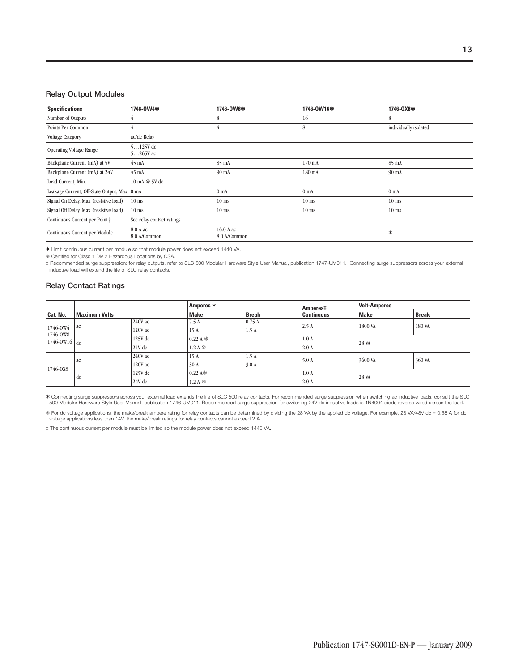#### **Relay Output Modules**

| <b>Specifications</b>                       | 1746-0W4&                 | 1746-0W8參                 | 1746-0W16參 | 1746-0X8*             |  |  |  |  |
|---------------------------------------------|---------------------------|---------------------------|------------|-----------------------|--|--|--|--|
| Number of Outputs                           |                           | 8                         | 16         | 8                     |  |  |  |  |
| Points Per Common                           | 4                         | 4                         | 8          | individually isolated |  |  |  |  |
| <b>Voltage Category</b>                     | ac/dc Relay               |                           |            |                       |  |  |  |  |
| <b>Operating Voltage Range</b>              | $5125V$ dc<br>5265V ac    |                           |            |                       |  |  |  |  |
| Backplane Current (mA) at 5V                | $45 \text{ mA}$           | 85 mA                     | 170 mA     | 85 mA                 |  |  |  |  |
| Backplane Current (mA) at 24V               | $45 \text{ mA}$           | 90 mA                     | 180 mA     | 90 mA                 |  |  |  |  |
| Load Current, Min.                          | 10 mA @ 5V dc             |                           |            |                       |  |  |  |  |
| Leakage Current, Off-State Output, Max 0 mA |                           | 0 <sub>mA</sub>           | $0$ mA     | 0 <sub>mA</sub>       |  |  |  |  |
| Signal On Delay, Max (resistive load)       | $10$ ms                   | $10$ ms                   | $10$ ms    | $10$ ms               |  |  |  |  |
| Signal Off Delay, Max (resistive load)      | $10$ ms                   | $10$ ms                   | $10$ ms    | $10$ ms               |  |  |  |  |
| Continuous Current per Point:               | See relay contact ratings |                           |            |                       |  |  |  |  |
| Continuous Current per Module               | 8.0 A ac<br>8.0 A/Common  | 16.0 A ac<br>8.0 A/Common | ∗          |                       |  |  |  |  |

✶ Limit continuous current per module so that module power does not exceed 1440 VA.

Certified for Class 1 Div 2 Hazardous Locations by CSA.

‡ Recommended surge suppression: for relay outputs, refer to SLC 500 Modular Hardware Style User Manual, publication 1747-UM011. Connecting surge suppressors across your external inductive load will extend the life of SLC relay contacts.

#### **Relay Contact Ratings**

|                                                 | <b>Maximum Volts</b> |           | Amperes $*$                   |              | Amperes‡          | <b>Volt-Amperes</b> |              |
|-------------------------------------------------|----------------------|-----------|-------------------------------|--------------|-------------------|---------------------|--------------|
| Cat. No.                                        |                      |           | <b>Make</b>                   | <b>Break</b> | <b>Continuous</b> | <b>Make</b>         | <b>Break</b> |
| 1746-OW4<br>1746-OW8<br>$1746$ -OW16 $\vert$ dc | ac                   | $240V$ ac | 7.5A                          | 0.75A        | 2.5A              | 1800 VA             | 180 VA       |
|                                                 |                      | 120V ac   | 15 A                          | 1.5A         |                   |                     |              |
|                                                 |                      | 125V dc   | 0.22A<br>$1.2A$ $\ddot{\ast}$ |              | 1.0A              | 28 VA               |              |
|                                                 |                      | 24V dc    |                               |              | 2.0A              |                     |              |
|                                                 |                      | 240V ac   | 15 A                          | 1.5A         | 5.0A              | 3600 VA             | 360 VA       |
| 1746-0X8                                        | ac                   | 120V ac   | 30 A                          | 3.0A         |                   |                     |              |
|                                                 | 125V dc              |           | $0.22 \text{ A}$              |              | 1.0A              | 28 VA               |              |
|                                                 | dc                   | $24V$ dc  | $1.2A$ $\ddot{\ast}$          |              | 2.0A              |                     |              |

\* Connecting surge suppressors across your external load extends the life of SLC 500 relay contacts. For recommended surge suppression when switching ac inductive loads, consult the SLC<br>500 Modular Hardware Style User Manu

\$ For dc voltage applications, the make/break ampere rating for relay contacts can be determined by dividing the 28 VA by the applied dc voltage. For example, 28 VA/48V dc = 0.58 A for dc<br>voltage applications less than 14

‡ The continuous current per module must be limited so the module power does not exceed 1440 VA.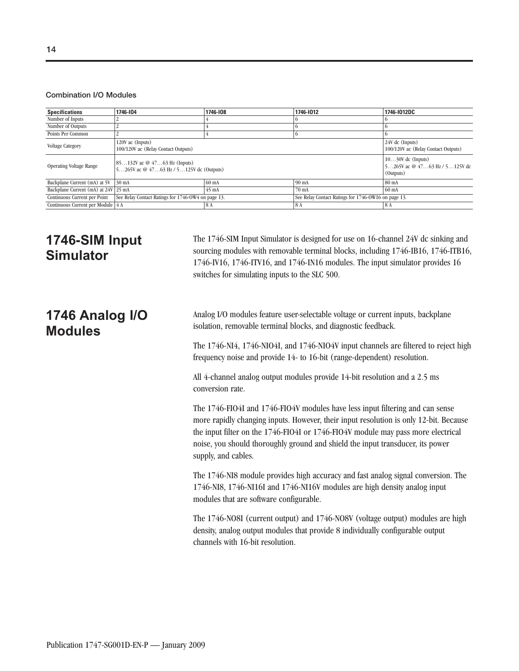#### **Combination I/O Modules**

| <b>Specifications</b>               | 1746-104                                                                                                  | 1746-108         | 1746-1012       | 1746-1012DC                                                       |
|-------------------------------------|-----------------------------------------------------------------------------------------------------------|------------------|-----------------|-------------------------------------------------------------------|
| Number of Inputs                    |                                                                                                           |                  |                 |                                                                   |
| Number of Outputs                   |                                                                                                           |                  |                 |                                                                   |
| Points Per Common                   |                                                                                                           |                  |                 |                                                                   |
| <b>Voltage Category</b>             | 120V ac (Inputs)<br>100/120V ac (Relay Contact Outputs)                                                   |                  |                 | 24V dc (Inputs)<br>100/120V ac (Relay Contact Outputs)            |
| <b>Operating Voltage Range</b>      | $85132V$ ac $@$ 4763 Hz (Inputs)<br>5265V ac $@$ 4763 Hz / 5125V dc (Outputs)                             |                  |                 | $1030V$ dc (Inputs)<br>5265V ac @ 4763 Hz / 5125V dc<br>(Outputs) |
| Backplane Current (mA) at 5V        | $30 \text{ mA}$                                                                                           | 60 <sub>mA</sub> | $90 \text{ mA}$ | 80 mA                                                             |
| Backplane Current (mA) at 24V 25 mA | $45 \text{ mA}$<br>70 <sub>mA</sub>                                                                       |                  |                 | 60 <sub>mA</sub>                                                  |
| Continuous Current per Point        | See Relay Contact Ratings for 1746-OW16 on page 13.<br>See Relay Contact Ratings for 1746-OW4 on page 13. |                  |                 |                                                                   |
| Continuous Current per Module 4 A   |                                                                                                           | 18 A             | 8A              | 8 A                                                               |

### **1746-SIM Input Simulator**

The 1746-SIM Input Simulator is designed for use on 16-channel 24V dc sinking and sourcing modules with removable terminal blocks, including 1746-IB16, 1746-ITB16, 1746-IV16, 1746-ITV16, and 1746-IN16 modules. The input simulator provides 16 switches for simulating inputs to the SLC 500.

### **1746 Analog I/O Modules**

Analog I/O modules feature user-selectable voltage or current inputs, backplane isolation, removable terminal blocks, and diagnostic feedback.

The 1746-NI4, 1746-NIO4I, and 1746-NIO4V input channels are filtered to reject high frequency noise and provide 14- to 16-bit (range-dependent) resolution.

All 4-channel analog output modules provide 14-bit resolution and a 2.5 ms conversion rate.

The 1746-FIO4I and 1746-FIO4V modules have less input filtering and can sense more rapidly changing inputs. However, their input resolution is only 12-bit. Because the input filter on the 1746-FIO4I or 1746-FIO4V module may pass more electrical noise, you should thoroughly ground and shield the input transducer, its power supply, and cables.

The 1746-NI8 module provides high accuracy and fast analog signal conversion. The 1746-NI8, 1746-NI16I and 1746-NI16V modules are high density analog input modules that are software configurable.

The 1746-NO8I (current output) and 1746-NO8V (voltage output) modules are high density, analog output modules that provide 8 individually configurable output channels with 16-bit resolution.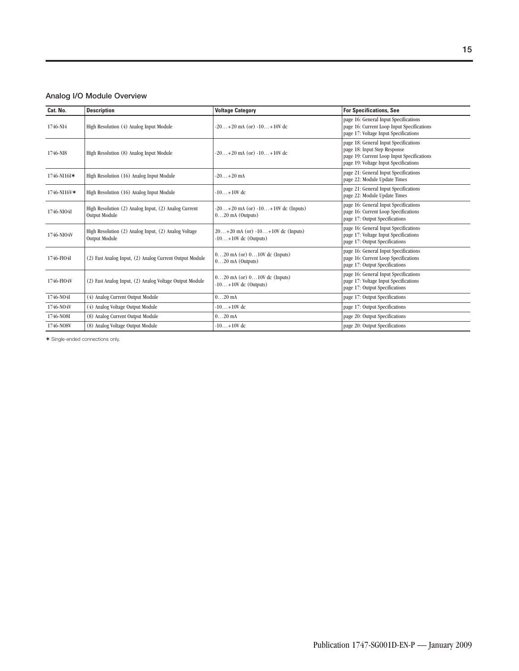### **Analog I/O Module Overview**

| Cat. No.    | <b>Description</b>                                                    | <b>Voltage Category</b>                                         | <b>For Specifications, See</b>                                                                                                                               |
|-------------|-----------------------------------------------------------------------|-----------------------------------------------------------------|--------------------------------------------------------------------------------------------------------------------------------------------------------------|
| 1746-NI4    | High Resolution (4) Analog Input Module                               | $-20+20$ mA (or) $-10+10V$ dc                                   | page 16: General Input Specifications<br>page 16: Current Loop Input Specifications<br>page 17: Voltage Input Specifications                                 |
| 1746-NI8    | High Resolution (8) Analog Input Module                               | $-20+20$ mA (or) $-10+10V$ dc                                   | page 18: General Input Specifications<br>page 18: Input Step Response<br>page 19: Current Loop Input Specifications<br>page 19: Voltage Input Specifications |
| 1746-NI16I* | High Resolution (16) Analog Input Module                              | $-20+20$ mA                                                     | page 21: General Input Specifications<br>page 22: Module Update Times                                                                                        |
| 1746-NI16V* | High Resolution (16) Analog Input Module                              | $-10+10V$ dc                                                    | page 21: General Input Specifications<br>page 22: Module Update Times                                                                                        |
| 1746-NIO4I  | High Resolution (2) Analog Input, (2) Analog Current<br>Output Module | $-20+20$ mA (or) $-10+10V$ dc (Inputs)<br>$020$ mA (Outputs)    | page 16: General Input Specifications<br>page 16: Current Loop Specifications<br>page 17: Output Specifications                                              |
| 1746-NIO4V  | High Resolution (2) Analog Input, (2) Analog Voltage<br>Output Module | $20+20$ mA (or) $-10+10V$ dc (Inputs)<br>$-10+10V$ dc (Outputs) | page 16: General Input Specifications<br>page 17: Voltage Input Specifications<br>page 17: Output Specifications                                             |
| 1746-FIO4I  | (2) Fast Analog Input, (2) Analog Current Output Module               | $020$ mA (or) $010V$ dc (Inputs)<br>$020$ mA (Outputs)          | page 16: General Input Specifications<br>page 16: Current Loop Specifications<br>page 17: Output Specifications                                              |
| 1746-FIO4V  | (2) Fast Analog Input, (2) Analog Voltage Output Module               | $020$ mA (or) $010V$ dc (Inputs)<br>$-10+10V$ dc (Outputs)      | page 16: General Input Specifications<br>page 17: Voltage Input Specifications<br>page 17: Output Specifications                                             |
| 1746-NO4I   | (4) Analog Current Output Module                                      | $020$ mA                                                        | page 17: Output Specifications                                                                                                                               |
| 1746-NO4V   | (4) Analog Voltage Output Module                                      | $-10+10V$ dc                                                    | page 17: Output Specifications                                                                                                                               |
| 1746-NO8I   | (8) Analog Current Output Module                                      | $020$ mA                                                        | page 20: Output Specifications                                                                                                                               |
| 1746-NO8V   | (8) Analog Voltage Output Module                                      | $-10+10V$ dc                                                    | page 20: Output Specifications                                                                                                                               |

✶ Single-ended connections only.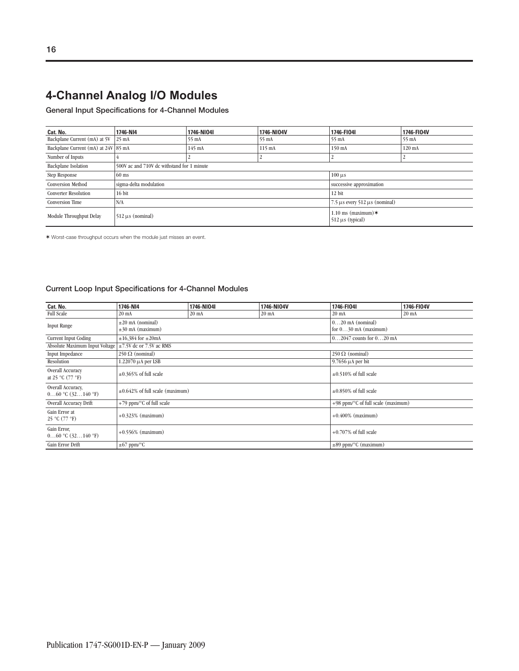**General Input Specifications for 4-Channel Modules**

| Cat. No.                            | 1746-NI4                                   | 1746-NI04I       | 1746-NI04V       | 1746-FI04I                                     | 1746-FI04V       |
|-------------------------------------|--------------------------------------------|------------------|------------------|------------------------------------------------|------------------|
| Backplane Current (mA) at 5V        | $25 \text{ mA}$                            | $55 \text{ mA}$  | 55 mA            | 55 mA                                          | 55 mA            |
| Backplane Current (mA) at 24V 85 mA |                                            | $145 \text{ mA}$ | $115 \text{ mA}$ | 150 mA                                         | $120 \text{ mA}$ |
| Number of Inputs                    |                                            |                  |                  | ∸                                              |                  |
| <b>Backplane Isolation</b>          | 500V ac and 710V dc withstand for 1 minute |                  |                  |                                                |                  |
| Step Response                       | $60$ ms                                    |                  |                  | $100 \,\mu s$                                  |                  |
| <b>Conversion Method</b>            | sigma-delta modulation                     |                  |                  | successive approximation                       |                  |
| <b>Converter Resolution</b>         | $16$ bit<br>12 bit                         |                  |                  |                                                |                  |
| <b>Conversion Time</b>              | N/A                                        |                  |                  | $7.5 \mu s$ every $512 \mu s$ (nominal)        |                  |
| Module Throughput Delay             | $512 \mu s$ (nominal)                      |                  |                  | 1.10 ms (maximum) $*$<br>$512 \mu s$ (typical) |                  |

✶ Worst-case throughput occurs when the module just misses an event.

### **Current Loop Input Specifications for 4-Channel Modules**

| Cat. No.                                                     | 1746-NI4                              | 1746-NIO4I      | 1746-NI04V      | 1746-FI04I                          | 1746-FI04V |  |
|--------------------------------------------------------------|---------------------------------------|-----------------|-----------------|-------------------------------------|------------|--|
| <b>Full Scale</b>                                            | $20 \text{ mA}$                       | $20 \text{ mA}$ | $20 \text{ mA}$ | $20 \text{ mA}$                     | 20 mA      |  |
| <b>Input Range</b>                                           | $\pm 20$ mA (nominal)                 |                 |                 | $020$ mA (nominal)                  |            |  |
|                                                              | $\pm 30$ mA (maximum)                 |                 |                 | for $030$ mA (maximum)              |            |  |
| <b>Current Input Coding</b>                                  | $\pm 16,384$ for $\pm 20$ mA          |                 |                 | $02047$ counts for $020$ mA         |            |  |
| Absolute Maximum Input Voltage                               | $\pm$ 7.5V dc or 7.5V ac RMS          |                 |                 |                                     |            |  |
| Input Impedance                                              | $250 \Omega$ (nominal)                |                 |                 | $250 \Omega$ (nominal)              |            |  |
| Resolution                                                   | 1.22070 µA per LSB                    |                 |                 | $9.7656 \mu A$ per bit              |            |  |
| Overall Accuracy<br>at 25 °C $(77 \text{ }^{\circ}\text{F})$ | $\pm 0.365\%$ of full scale           |                 |                 | $\pm 0.510\%$ of full scale         |            |  |
| Overall Accuracy,<br>$060$ °C $(32140$ °F)                   | $\pm 0.642\%$ of full scale (maximum) |                 |                 | $\pm 0.850\%$ of full scale         |            |  |
| Overall Accuracy Drift                                       | $+79$ ppm/ $\degree$ C of full scale  |                 |                 | +98 ppm/°C of full scale (maximum)  |            |  |
| Gain Error at<br>25 °C (77 °F)                               | $+0.323\%$ (maximum)                  |                 |                 | $+0.400\%$ (maximum)                |            |  |
| Gain Error,<br>$060$ °C $(32140$ °F)                         | $+0.556\%$ (maximum)                  |                 |                 | $+0.707\%$ of full scale            |            |  |
| Gain Error Drift                                             | $\pm 67$ ppm/°C                       |                 |                 | $\pm 89$ ppm/ $\degree$ C (maximum) |            |  |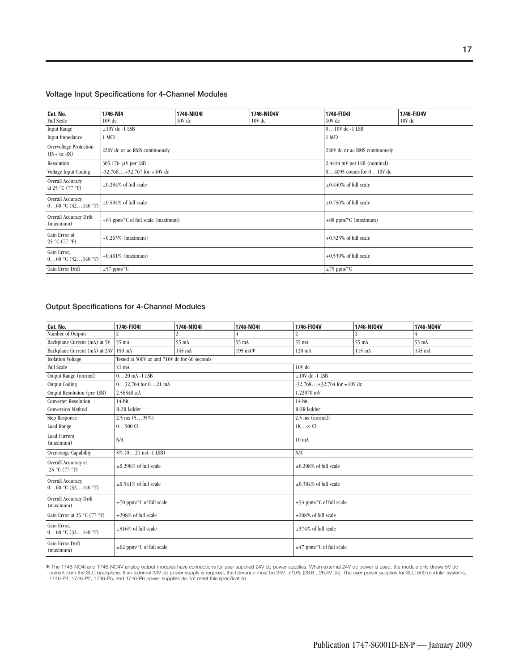#### **Voltage Input Specifications for 4-Channel Modules**

| Cat. No.                                                     | 1746-NI4                                       | 1746-NI04I | 1746-NI04V | 1746-FI04I                     | 1746-FI04V |  |
|--------------------------------------------------------------|------------------------------------------------|------------|------------|--------------------------------|------------|--|
| <b>Full Scale</b>                                            | 10V dc                                         | 10V dc     | $10V$ dc   | 10V dc                         | 10V dc     |  |
| <b>Input Range</b>                                           | $\pm 10V$ dc -1 LSB                            |            |            | $010V$ dc -1 LSB               |            |  |
| Input Impedance                                              | $1 M\Omega$                                    |            |            | $1 M\Omega$                    |            |  |
| <b>Overvoltage Protection</b><br>$(IN + to -IN)$             | 220V dc or ac RMS continuously                 |            |            | 220V dc or ac RMS continuously |            |  |
| Resolution                                                   | 305.176 μV per LSB                             |            |            | 2.4414 mV per LSB (nominal)    |            |  |
| Voltage Input Coding                                         | $-32,768+32,767$ for $+10V$ dc                 |            |            | $04095$ counts for $010V$ dc   |            |  |
| Overall Accuracy<br>at 25 °C $(77 \text{ }^{\circ}\text{F})$ | $\pm 0.284\%$ of full scale                    |            |            | $\pm 0.440\%$ of full scale    |            |  |
| Overall Accuracy,<br>$060$ °C $(32140$ °F)                   | $\pm 0.504\%$ of full scale                    |            |            | $\pm 0.750\%$ of full scale    |            |  |
| Overall Accuracy Drift<br>(maximum)                          | $+63$ ppm/ $\degree$ C of full scale (maximum) |            |            | +88 ppm/°C (maximum)           |            |  |
| Gain Error at<br>25 °C (77 °F)                               | $+0.263%$ (maximum)                            |            |            | $+0.323\%$ of full scale       |            |  |
| Gain Error,<br>$060$ °C $(32140$ °F)                         | $+0.461\%$ (maximum)                           |            |            | $+0.530\%$ of full scale       |            |  |
| Gain Error Drift                                             | $\pm 57$ ppm/°C                                |            |            | $\pm$ 79 ppm/°C                |            |  |

### **Output Specifications for 4-Channel Modules**

| Cat. No.                                   | 1746-FI04I                                   | 1746-NI04I     | 1746-N04I | 1746-FI04V                        | 1746-NI04V       | 1746-N04V        |  |
|--------------------------------------------|----------------------------------------------|----------------|-----------|-----------------------------------|------------------|------------------|--|
| Number of Outputs                          | $\overline{\mathcal{L}}$                     | $\overline{2}$ | 4         | 2                                 | 2                | 4                |  |
| Backplane Current (mA) at 5V               | 55 mA                                        | 55 mA          | 55 mA     | 55 mA                             | 55 mA            | 55 mA            |  |
| Backplane Current (mA) at 24V              | 150 mA                                       | 145 mA         | 195 mA*   | 120 mA                            | $115 \text{ mA}$ | $145 \text{ mA}$ |  |
| <b>Isolation Voltage</b>                   | Tested at 500V ac and 710V dc for 60 seconds |                |           |                                   |                  |                  |  |
| <b>Full Scale</b>                          | 21 mA                                        |                |           | 10V dc                            |                  |                  |  |
| Output Range (normal)                      | $020$ mA -1 LSB                              |                |           | $\pm 10V$ dc -1 LSB               |                  |                  |  |
| <b>Output Coding</b>                       | $032,764$ for $021$ mA                       |                |           | $-32,768+32,764$ for $\pm 10V$ dc |                  |                  |  |
| Output Resolution (per LSB)                | 2.56348 µA                                   |                |           | 1.22070 mV                        |                  |                  |  |
| <b>Converter Resolution</b>                | 14-bit                                       |                |           | 14-bit                            |                  |                  |  |
| <b>Conversion Method</b>                   | R-2R ladder                                  |                |           | R-2R ladder                       |                  |                  |  |
| Step Response                              | $2.5$ ms $(595%)$                            |                |           | 2.5 ms (normal)                   |                  |                  |  |
| Load Range                                 | $0500\Omega$                                 |                |           | 1K $\infty$ $\Omega$              |                  |                  |  |
| <b>Load Current</b><br>(maximum)           | N/A                                          |                |           | $10 \text{ mA}$                   |                  |                  |  |
| Over-range Capability                      | $5\%$ $(021 \text{ mA} - 1 \text{ LSB})$     |                |           | N/A                               |                  |                  |  |
| Overall Accuracy at<br>25 °C (77 °F)       | $\pm 0.298\%$ of full scale                  |                |           | $\pm 0.208\%$ of full scale       |                  |                  |  |
| Overall Accuracy,<br>$060$ °C $(32140$ °F) | $\pm 0.541\%$ of full scale                  |                |           | $\pm 0.384\%$ of full scale       |                  |                  |  |
| Overall Accuracy Drift<br>(maximum)        | $\pm$ 70 ppm/°C of full scale                |                |           | $\pm$ 54 ppm/°C of full scale     |                  |                  |  |
| Gain Error at 25 °C (77 °F)                | $\pm 298\%$ of full scale                    |                |           | $\pm 208\%$ of full scale         |                  |                  |  |
| Gain Error,<br>$060$ °C $(32140$ °F)       | $\pm$ 516% of full scale                     |                |           | $\pm$ 374% of full scale          |                  |                  |  |
| Gain Error Drift<br>(maximum)              | $\pm 62$ ppm/°C of full scale                |                |           | $\pm$ 47 ppm/°C of full scale     |                  |                  |  |

\* The 1746-NO4I and 1746-NO4V analog output modules have connections for user-supplied 24V dc power supplies. When external 24V dc power is used, the module only draws 5V dc<br>current from the SLC backplane. If an external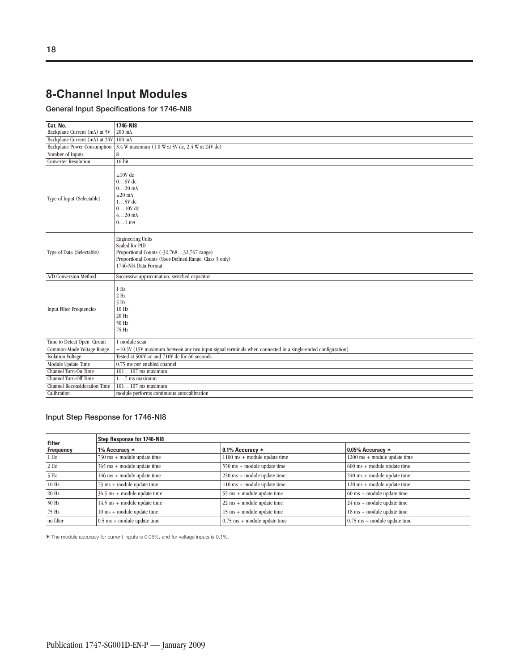### **8-Channel Input Modules**

**General Input Specifications for 1746-NI8**

| Cat. No.                             | 1746-NI8                                                                                                                                                                  |
|--------------------------------------|---------------------------------------------------------------------------------------------------------------------------------------------------------------------------|
| Backplane Current (mA) at 5V         | 200 mA                                                                                                                                                                    |
| Backplane Current (mA) at 24V 100 mA |                                                                                                                                                                           |
|                                      | Backplane Power Consumption 3.4 W maximum (1.0 W at 5V dc, 2.4 W at 24V dc)                                                                                               |
| Number of Inputs                     | 8                                                                                                                                                                         |
| <b>Converter Resolution</b>          | $16$ -bit                                                                                                                                                                 |
| Type of Input (Selectable)           | $\pm 10V$ dc<br>$05V$ dc<br>$020$ mA<br>$\pm 20$ mA<br>$15V$ dc<br>$010V$ dc<br>$420$ mA<br>$01$ mA                                                                       |
| Type of Data (Selectable)            | <b>Engineering Units</b><br>Scaled for PID<br>Proportional Counts (-32,76832,767 range)<br>Proportional Counts (User-Defined Range, Class 3 only)<br>1746-NI4 Data Format |
| A/D Conversion Method                | Successive approximation, switched capacitor                                                                                                                              |
| <b>Input Filter Frequencies</b>      | $1$ Hz<br>$2$ Hz<br>$5$ Hz<br>10 Hz<br>20 Hz<br>50 Hz<br>75 Hz                                                                                                            |
| Time to Detect Open Circuit          | 1 module scan                                                                                                                                                             |
| Common-Mode Voltage Range            | $\pm 10.5V$ (15V maximum between any two input signal terminals when connected in a single-ended configuration)                                                           |
| <b>Isolation Voltage</b>             | Tested at 500V ac and 710V dc for 60 seconds                                                                                                                              |
| Module Update Time                   | 0.75 ms per enabled channel                                                                                                                                               |
| Channel Turn-On Time                 | $101107$ ms maximum                                                                                                                                                       |
| Channel Turn-Off Time                | $17$ ms maximum                                                                                                                                                           |
| Channel Reconsideration Time         | $101107$ ms maximum                                                                                                                                                       |
| Calibration                          | module performs continuous autocalibration                                                                                                                                |

### **Input Step Response for 1746-NI8**

| <b>Filter</b> | <b>Step Response for 1746-NI8</b>            |                                               |                                               |  |  |  |
|---------------|----------------------------------------------|-----------------------------------------------|-----------------------------------------------|--|--|--|
| Frequency     | 1% Accuracy $*$                              | $0.1\%$ Accuracy $*$                          | 0.05% Accuracy $*$                            |  |  |  |
| $1$ Hz        | $730 \text{ ms} + \text{module update time}$ | $1100 \text{ ms} + \text{module update time}$ | $1200 \text{ ms} + \text{module update time}$ |  |  |  |
| $2$ Hz        | $365 \text{ ms} + \text{module update time}$ | 550 ms + module update time                   | $600 \text{ ms} + \text{module update time}$  |  |  |  |
| 5 Hz          | $146 \text{ ms} + \text{module update time}$ | 220 ms + module update time                   | $240 \text{ ms} + \text{module update time}$  |  |  |  |
| $10$ Hz       | 73 ms + module update time                   | 110 ms + module update time                   | 120 ms + module update time                   |  |  |  |
| $20$ Hz       | 36.5 ms + module update time                 | 55 ms + module update time                    | $60 \text{ ms} + \text{module update time}$   |  |  |  |
| 50 Hz         | 14.5 ms + module update time                 | 22 ms + module update time                    | 24 ms + module update time                    |  |  |  |
| 75 Hz         | 10 ms + module update time                   | 15 ms + module update time                    | 18 ms + module update time                    |  |  |  |
| no filter     | $0.5 \text{ ms} + \text{module update time}$ | $0.75 \text{ ms} + \text{module update time}$ | $0.75 \text{ ms} + \text{module update time}$ |  |  |  |

✶ The module accuracy for current inputs is 0.05%, and for voltage inputs is 0.1%.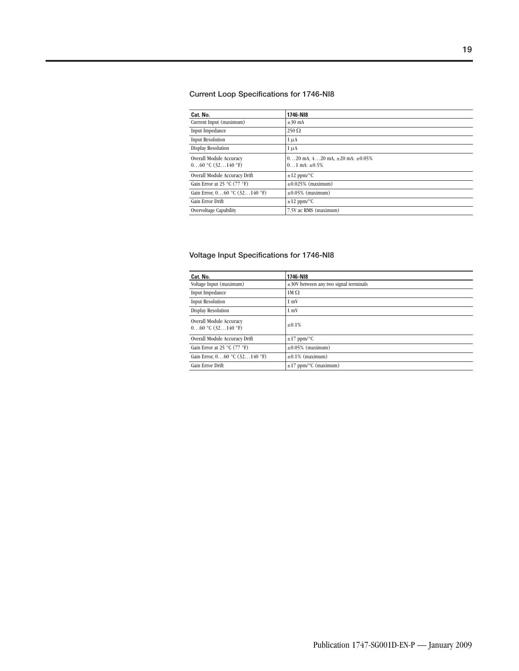### **Current Loop Specifications for 1746-NI8**

| Cat. No.                                         | 1746-NI8                                                              |
|--------------------------------------------------|-----------------------------------------------------------------------|
| Current Input (maximum)                          | $\pm 30$ mA                                                           |
| Input Impedance                                  | $250 \Omega$                                                          |
| <b>Input Resolution</b>                          | $1 \mu A$                                                             |
| <b>Display Resolution</b>                        | $1 \mu A$                                                             |
| Overall Module Accuracy<br>$060$ °C $(32140$ °F) | $020$ mA, $420$ mA, $\pm 20$ mA: $\pm 0.05\%$<br>$01$ mA: $\pm 0.5\%$ |
| Overall Module Accuracy Drift                    | $\pm 12$ ppm/°C                                                       |
| Gain Error at 25 °C (77 °F)                      | $\pm 0.025\%$ (maximum)                                               |
| Gain Error, $060$ °C $(32140$ °F)                | $\pm 0.05\%$ (maximum)                                                |
| Gain Error Drift                                 | $\pm 12$ ppm/°C                                                       |
| Overvoltage Capability                           | 7.5V ac RMS (maximum)                                                 |

### **Voltage Input Specifications for 1746-NI8**

| Cat. No.                                         | 1746-NI8                                   |
|--------------------------------------------------|--------------------------------------------|
| Voltage Input (maximum)                          | $\pm$ 30V between any two signal terminals |
| Input Impedance                                  | $1M \Omega$                                |
| <b>Input Resolution</b>                          | $1 \text{ mV}$                             |
| <b>Display Resolution</b>                        | $1 \text{ mV}$                             |
| Overall Module Accuracy<br>$060$ °C $(32140$ °F) | ±0.1%                                      |
| Overall Module Accuracy Drift                    | $\pm 17$ ppm/°C                            |
| Gain Error at 25 °C (77 °F)                      | $\pm 0.05\%$ (maximum)                     |
| Gain Error, $060$ °C $(32140$ °F)                | $\pm 0.1\%$ (maximum)                      |
| Gain Error Drift                                 | $\pm 17$ ppm/ $\degree$ C (maximum)        |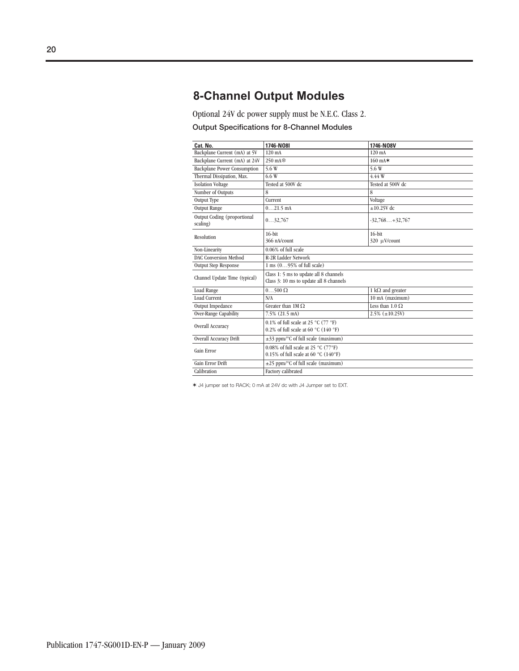### **8-Channel Output Modules**

Optional 24V dc power supply must be N.E.C. Class 2.

### **Output Specifications for 8-Channel Modules**

| Cat. No.                                | 1746-N08I                                                                         | 1746-N08V                |  |
|-----------------------------------------|-----------------------------------------------------------------------------------|--------------------------|--|
| Backplane Current (mA) at 5V            | $120 \text{ mA}$                                                                  | $120 \text{ mA}$         |  |
| Backplane Current (mA) at 24V           | 250 mA参                                                                           | $160 \text{ mA}$         |  |
| <b>Backplane Power Consumption</b>      | 5.6W                                                                              | 5.6W                     |  |
| Thermal Dissipation, Max.               | 6.6W                                                                              | 4.44 W                   |  |
| <b>Isolation Voltage</b>                | Tested at 500V dc                                                                 | Tested at 500V dc        |  |
| Number of Outputs                       | 8                                                                                 | 8                        |  |
| Output Type                             | Current                                                                           | Voltage                  |  |
| <b>Output Range</b>                     | $021.5$ mA                                                                        | $\pm 10.25V$ dc          |  |
| Output Coding (proportional<br>scaling) | 032,767<br>$-32,768+32,767$                                                       |                          |  |
| Resolution                              | $16$ -bit                                                                         | $16$ -bit                |  |
|                                         | 366 nA/count                                                                      | 320 µV/count             |  |
| Non-Linearity                           | 0.06% of full scale                                                               |                          |  |
| <b>DAC Conversion Method</b>            | R-2R Ladder Network                                                               |                          |  |
| <b>Output Step Response</b>             | 1 ms (095% of full scale)                                                         |                          |  |
| Channel Update Time (typical)           | Class 1: 5 ms to update all 8 channels<br>Class 3: 10 ms to update all 8 channels |                          |  |
| Load Range                              | $0500 \Omega$                                                                     | 1 $k\Omega$ and greater  |  |
| <b>Load Current</b>                     | N/A                                                                               | $10$ mA (maximum)        |  |
| Output Impedance                        | Greater than $1M \Omega$                                                          | Less than $1.0 \Omega$   |  |
| Over-Range Capability                   | 7.5% (21.5 mA)                                                                    | $2.5\%$ ( $\pm 10.25V$ ) |  |
| Overall Accuracy                        | 0.1% of full scale at 25 °C (77 °F)<br>0.2% of full scale at 60 °C (140 °F)       |                          |  |
| Overall Accuracy Drift                  | $\pm$ 33 ppm/°C of full scale (maximum)                                           |                          |  |
| Gain Error                              | 0.08% of full scale at 25 °C (77°F)<br>0.15% of full scale at 60 °C (140°F)       |                          |  |
| Gain Error Drift                        | $\pm 25$ ppm/°C of full scale (maximum)                                           |                          |  |
| Calibration                             | <b>Factory</b> calibrated                                                         |                          |  |

✶ J4 jumper set to RACK; 0 mA at 24V dc with J4 Jumper set to EXT.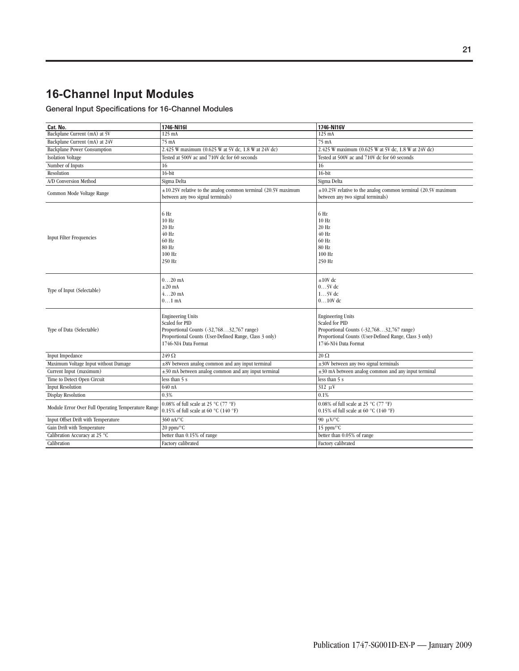### **16-Channel Input Modules**

### **General Input Specifications for 16-Channel Modules**

| Cat. No.                                           | 1746-N116I                                                                                                                                                                       | 1746-NI16V                                                                                                                                                                       |
|----------------------------------------------------|----------------------------------------------------------------------------------------------------------------------------------------------------------------------------------|----------------------------------------------------------------------------------------------------------------------------------------------------------------------------------|
| Backplane Current (mA) at 5V                       | 125 mA                                                                                                                                                                           | 125 mA                                                                                                                                                                           |
| Backplane Current (mA) at 24V                      | 75 mA                                                                                                                                                                            | 75 mA                                                                                                                                                                            |
| <b>Backplane Power Consumption</b>                 | 2.425 W maximum (0.625 W at 5V dc, 1.8 W at 24V dc)                                                                                                                              | 2.425 W maximum (0.625 W at 5V dc, 1.8 W at 24V dc)                                                                                                                              |
| <b>Isolation Voltage</b>                           | Tested at 500V ac and 710V dc for 60 seconds                                                                                                                                     | Tested at 500V ac and 710V dc for 60 seconds                                                                                                                                     |
| Number of Inputs                                   | 16                                                                                                                                                                               | 16                                                                                                                                                                               |
| Resolution                                         | $16$ -bit                                                                                                                                                                        | $16$ -bit                                                                                                                                                                        |
| A/D Conversion Method                              | Sigma Delta                                                                                                                                                                      | Sigma Delta                                                                                                                                                                      |
| Common Mode Voltage Range                          | $\pm 10.25$ V relative to the analog common terminal (20.5V maximum<br>between any two signal terminals)                                                                         | $\pm 10.25V$ relative to the analog common terminal (20.5V maximum<br>between any two signal terminals)                                                                          |
| <b>Input Filter Frequencies</b>                    | 6 Hz<br>10 Hz<br>20 Hz<br>40 Hz<br>60 Hz<br>80 Hz<br>100 Hz<br>250 Hz                                                                                                            | 6 Hz<br>10 Hz<br>20 Hz<br>$40$ Hz<br>60 Hz<br>80 Hz<br>100 Hz<br>250 Hz                                                                                                          |
| Type of Input (Selectable)                         | $020$ mA<br>$\pm 20$ mA<br>$420$ mA<br>$0 \dots 1$ mA                                                                                                                            | $\pm 10V$ dc<br>$05V$ dc<br>$15V$ dc<br>$010V$ dc                                                                                                                                |
| Type of Data (Selectable)                          | <b>Engineering Units</b><br><b>Scaled for PID</b><br>Proportional Counts (-32,76832,767 range)<br>Proportional Counts (User-Defined Range, Class 3 only)<br>1746-NI4 Data Format | <b>Engineering Units</b><br><b>Scaled for PID</b><br>Proportional Counts (-32,76832,767 range)<br>Proportional Counts (User-Defined Range, Class 3 only)<br>1746-NI4 Data Format |
| <b>Input Impedance</b>                             | $249\Omega$                                                                                                                                                                      | $20\,\Omega$                                                                                                                                                                     |
| Maximum Voltage Input without Damage               | ±8V between analog common and any input terminal                                                                                                                                 | $\pm 30V$ between any two signal terminals                                                                                                                                       |
| Current Input (maximum)                            | $\pm 30$ mA between analog common and any input terminal                                                                                                                         | $\pm 30$ mA between analog common and any input terminal                                                                                                                         |
| Time to Detect Open Circuit                        | less than 5 s                                                                                                                                                                    | less than 5 s                                                                                                                                                                    |
| <b>Input Resolution</b>                            | 640 nA                                                                                                                                                                           | $312 \mu V$                                                                                                                                                                      |
| Display Resolution                                 | 0.3%                                                                                                                                                                             | 0.1%                                                                                                                                                                             |
| Module Error Over Full Operating Temperature Range | 0.08% of full scale at 25 °C (77 °F)<br>0.15% of full scale at 60 °C (140 °F)                                                                                                    | 0.08% of full scale at 25 °C (77 °F)<br>0.15% of full scale at 60 °C (140 °F)                                                                                                    |
| Input Offset Drift with Temperature                | 360 nA/°C                                                                                                                                                                        | 90 $\mu$ V/°C                                                                                                                                                                    |
| Gain Drift with Temperature                        | 20 ppm/°C                                                                                                                                                                        | 15 ppm/°C                                                                                                                                                                        |
| Calibration Accuracy at 25 °C                      | better than 0.15% of range                                                                                                                                                       | better than 0.05% of range                                                                                                                                                       |
| Calibration                                        | Factory calibrated                                                                                                                                                               | Factory calibrated                                                                                                                                                               |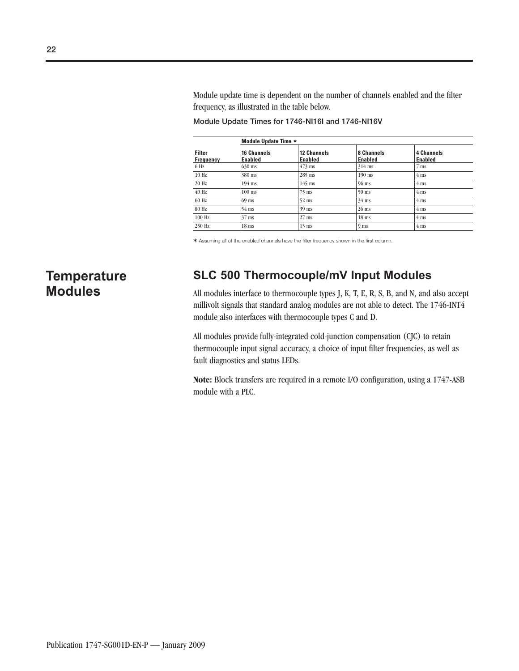Module update time is dependent on the number of channels enabled and the filter frequency, as illustrated in the table below.

**Module Update Time** ✶ **Filter Frequency 16 Channels Enabled 12 Channels Enabled 8 Channels Enabled 4 Channels Enabled** 6 Hz  $630 \text{ ms}$   $473 \text{ ms}$   $314 \text{ ms}$  7 ms 10 Hz 380 ms 285 ms 190 ms 4 ms 20 Hz 194 ms 145 ms 96 ms 4 ms 40 Hz  $100 \text{ ms}$  75 ms 50 ms 4 ms 60 Hz 69 ms 52 ms  $34 \text{ ms}$   $4 \text{ ms}$  4 ms  $80 \text{ Hz}$   $54 \text{ ms}$   $39 \text{ ms}$   $26 \text{ ms}$   $4 \text{ ms}$ 100 Hz  $37 \text{ ms}$  27 ms 18 ms 4 ms 250 Hz 18 ms 13 ms 13 ms 4 ms

**Module Update Times for 1746-NI16I and 1746-NI16V**

✶ Assuming all of the enabled channels have the filter frequency shown in the first column.

### **Temperature Modules**

### **SLC 500 Thermocouple/mV Input Modules**

All modules interface to thermocouple types J, K, T, E, R, S, B, and N, and also accept millivolt signals that standard analog modules are not able to detect. The 1746-INT4 module also interfaces with thermocouple types C and D.

All modules provide fully-integrated cold-junction compensation (CJC) to retain thermocouple input signal accuracy, a choice of input filter frequencies, as well as fault diagnostics and status LEDs.

**Note:** Block transfers are required in a remote I/O configuration, using a 1747-ASB module with a PLC.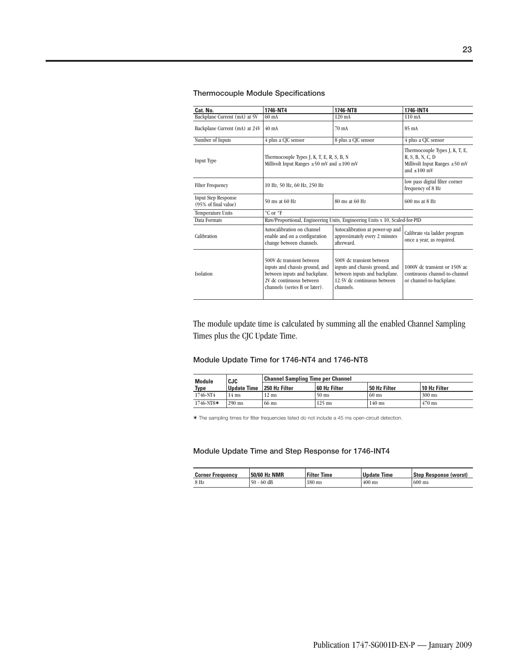### **Thermocouple Module Specifications**

| Cat. No.                                           | 1746-NT4                                                                                                                                                  | 1746-NT8                                                                                                                                 | 1746-INT4                                                                                  |
|----------------------------------------------------|-----------------------------------------------------------------------------------------------------------------------------------------------------------|------------------------------------------------------------------------------------------------------------------------------------------|--------------------------------------------------------------------------------------------|
| Backplane Current (mA) at 5V                       | $60 \text{ mA}$                                                                                                                                           | $120 \text{ mA}$                                                                                                                         | $110 \text{ mA}$                                                                           |
|                                                    |                                                                                                                                                           |                                                                                                                                          |                                                                                            |
| Backplane Current (mA) at 24V                      | $40 \text{ mA}$                                                                                                                                           | 70 mA                                                                                                                                    | 85 mA                                                                                      |
| Number of Inputs                                   | 4 plus a CJC sensor                                                                                                                                       | 8 plus a CJC sensor                                                                                                                      | 4 plus a CJC sensor                                                                        |
| Input Type                                         | Thermocouple Types J, K, T, E, R, S, B, N<br>Millivolt Input Ranges $\pm 50$ mV and $\pm 100$ mV                                                          | Thermocouple Types J, K, T, E,<br>R, S, B, N, C, D<br>Millivolt Input Ranges $\pm 50$ mV<br>and $\pm 100$ mV                             |                                                                                            |
| <b>Filter Frequency</b>                            | 10 Hz, 50 Hz, 60 Hz, 250 Hz                                                                                                                               | low pass digital filter corner<br>frequency of 8 Hz                                                                                      |                                                                                            |
| <b>Input Step Response</b><br>(95% of final value) | 50 ms at 60 Hz<br>80 ms at 60 Hz                                                                                                                          |                                                                                                                                          | $600$ ms at $8$ Hz                                                                         |
| <b>Temperature Units</b>                           | °C or °F                                                                                                                                                  |                                                                                                                                          |                                                                                            |
| Data Formats                                       |                                                                                                                                                           | Raw/Proportional, Engineering Units, Engineering Units x 10, Scaled-for-PID                                                              |                                                                                            |
| Calibration                                        | Autocalibration on channel<br>enable and on a configuration<br>change between channels.                                                                   | Autocalibration at power-up and<br>approximately every 2 minutes<br>afterward.                                                           | Calibrate via ladder program<br>once a year, as required.                                  |
| <b>Isolation</b>                                   | 500V dc transient between<br>inputs and chassis ground, and<br>between inputs and backplane.<br>2V dc continuous between<br>channels (series B or later). | 500V dc transient between<br>inputs and chassis ground, and<br>between inputs and backplane.<br>12.5V dc continuous between<br>channels. | 1000V dc transient or 150V ac<br>continuous channel-to-channel<br>or channel-to-backplane. |

The module update time is calculated by summing all the enabled Channel Sampling Times plus the CJC Update Time.

#### **Module Update Time for 1746-NT4 and 1746-NT8**

| Module      | <b>CJC</b>         | <b>Channel Sampling Time per Channel</b> |              |              |              |
|-------------|--------------------|------------------------------------------|--------------|--------------|--------------|
| <b>Type</b> | <b>Update Time</b> | 250 Hz Filter                            | 60 Hz Filter | 50 Hz Filter | 10 Hz Filter |
| 1746-NT4    | 14 ms              | $12 \text{ ms}$                          | $50$ ms      | $60$ ms      | $300$ ms     |
| 1746-NT8*   | $290$ ms           | $66$ ms                                  | $125$ ms     | $140$ ms     | $470$ ms     |

✶ The sampling times for filter frequencies listed do not include a 45 ms open-circuit detection.

**Module Update Time and Step Response for 1746-INT4**

| 50/60 Hz NMR<br><b>Corner Frequency</b> |                | <b>Filter Time</b> | <b>Undate</b><br><b>Time</b> | Step Response (worst) |  |
|-----------------------------------------|----------------|--------------------|------------------------------|-----------------------|--|
| 8 Hz                                    | 50<br>$-60$ dB | $180$ ms           | $400$ ms                     | $600$ ms              |  |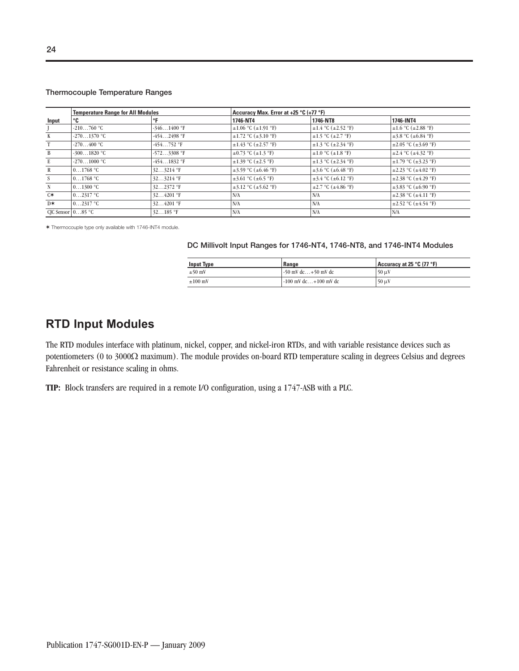#### **Thermocouple Temperature Ranges**

|       | <b>Temperature Range for All Modules</b> |               |                                | Accuracy Max. Error at +25 °C (+77 °F) |                                |  |  |
|-------|------------------------------------------|---------------|--------------------------------|----------------------------------------|--------------------------------|--|--|
| Input | ℃                                        | °F            | 1746-NT4                       | 1746-NT8                               | 1746-INT4                      |  |  |
|       | $-210760$ °C                             | $-3461400$ °F | $\pm 1.06$ °C ( $\pm 1.91$ °F) | $\pm 1.4$ °C ( $\pm 2.52$ °F)          | $\pm 1.6$ °C ( $\pm 2.88$ °F)  |  |  |
| K     | $-2701370$ °C                            | $-4542498$ °F | $\pm 1.72$ °C ( $\pm 3.10$ °F) | $\pm 1.5$ °C ( $\pm 2.7$ °F)           | $\pm 3.8$ °C ( $\pm 6.84$ °F)  |  |  |
|       | $-270400$ °C                             | $-454752$ °F  | $\pm 1.43$ °C ( $\pm 2.57$ °F) | $\pm 1.3$ °C ( $\pm 2.34$ °F)          | $\pm 2.05$ °C ( $\pm 3.69$ °F) |  |  |
| B     | $-3001820$ °C                            | $-5723308$ °F | $\pm 0.73$ °C ( $\pm 1.3$ °F)  | $\pm 1.0$ °C ( $\pm 1.8$ °F)           | $\pm 2.4$ °C ( $\pm 4.32$ °F)  |  |  |
| E     | $-2701000$ °C                            | $-4541832$ °F | $\pm 1.39$ °C ( $\pm 2.5$ °F)  | $\pm 1.3$ °C ( $\pm 2.34$ °F)          | $\pm 1.79$ °C ( $\pm 3.23$ °F) |  |  |
| R     | $0 \dots 1768$ °C                        | $323214$ °F   | $\pm 3.59$ °C ( $\pm 6.46$ °F) | $\pm 3.6$ °C ( $\pm 6.48$ °F)          | $\pm 2.23$ °C ( $\pm 4.02$ °F) |  |  |
| S     | 01768 °C                                 | $323214$ °F   | $\pm 3.61$ °C ( $\pm 6.5$ °F)  | $\pm$ 3.4 °C ( $\pm$ 6.12 °F)          | $\pm 2.38$ °C ( $\pm 4.29$ °F) |  |  |
| N     | $0 \dots 1300$ °C                        | $322372$ °F   | $\pm 3.12$ °C ( $\pm 5.62$ °F) | $\pm 2.7$ °C ( $\pm 4.86$ °F)          | $\pm$ 3.83 °C ( $\pm$ 6.90 °F) |  |  |
| $C*$  | $0 \dots 2317$ °C                        | $324201$ °F   | N/A                            | N/A                                    | $\pm 2.38$ °C ( $\pm 4.11$ °F) |  |  |
| D*    | $0 \dots 2317$ °C                        | $324201$ °F   | N/A                            | N/A                                    | $\pm 2.52$ °C ( $\pm 4.54$ °F) |  |  |
|       | CIC Sensor $\vert 085 \vert$ °C          | $32185$ °F    | N/A                            | N/A                                    | N/A                            |  |  |

✶ Thermocouple type only available with 1746-INT4 module.

#### **DC Millivolt Input Ranges for 1746-NT4, 1746-NT8, and 1746-INT4 Modules**

| <b>Input Type</b> | Range                     | Accuracy at 25 °C (77 °F) |
|-------------------|---------------------------|---------------------------|
| $\pm 50$ mV       | $-50$ mV dc $+50$ mV dc   | $50 \mu V$                |
| $\pm 100$ mV      | $-100$ mV dc $+100$ mV dc | $50 \mu V$                |

### **RTD Input Modules**

The RTD modules interface with platinum, nickel, copper, and nickel-iron RTDs, and with variable resistance devices such as potentiometers (0 to 3000Ω maximum). The module provides on-board RTD temperature scaling in degrees Celsius and degrees Fahrenheit or resistance scaling in ohms.

**TIP:** Block transfers are required in a remote I/O configuration, using a 1747-ASB with a PLC.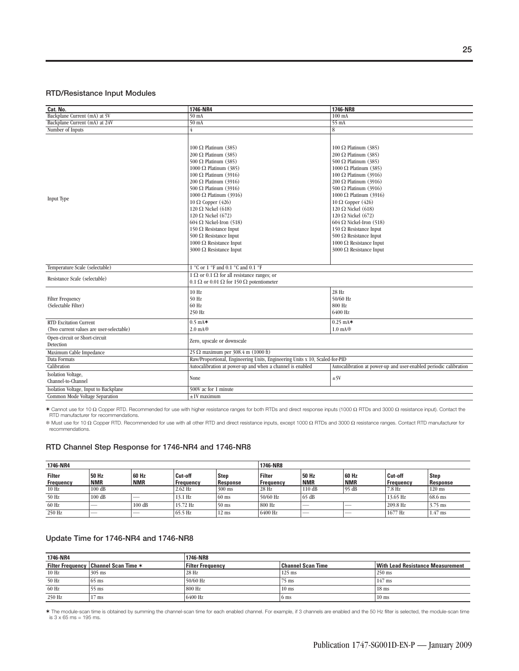#### **RTD/Resistance Input Modules**

| Cat. No.                                                                  | 1746-NR4                                                                                                                                                                                                                                                                                                                                                                                                                                                                                                                 | 1746-NR8                                                                                                                                                                                                                                                                                                                                                                                                                                                                                                          |
|---------------------------------------------------------------------------|--------------------------------------------------------------------------------------------------------------------------------------------------------------------------------------------------------------------------------------------------------------------------------------------------------------------------------------------------------------------------------------------------------------------------------------------------------------------------------------------------------------------------|-------------------------------------------------------------------------------------------------------------------------------------------------------------------------------------------------------------------------------------------------------------------------------------------------------------------------------------------------------------------------------------------------------------------------------------------------------------------------------------------------------------------|
| Backplane Current (mA) at 5V                                              | $50 \text{ mA}$                                                                                                                                                                                                                                                                                                                                                                                                                                                                                                          | $100 \text{ mA}$                                                                                                                                                                                                                                                                                                                                                                                                                                                                                                  |
| Backplane Current (mA) at 24V                                             | $50 \text{ mA}$                                                                                                                                                                                                                                                                                                                                                                                                                                                                                                          | $55 \text{ mA}$                                                                                                                                                                                                                                                                                                                                                                                                                                                                                                   |
| Number of Inputs                                                          | 4                                                                                                                                                                                                                                                                                                                                                                                                                                                                                                                        | 8                                                                                                                                                                                                                                                                                                                                                                                                                                                                                                                 |
| Input Type                                                                | 100 $\Omega$ Platinum (385)<br>200 $\Omega$ Platinum (385)<br>500 $\Omega$ Platinum (385)<br>1000 $\Omega$ Platinum (385)<br>100 $\Omega$ Platinum (3916)<br>200 $\Omega$ Platinum (3916)<br>500 $\Omega$ Platinum (3916)<br>1000 $\Omega$ Platinum (3916)<br>10 $\Omega$ Copper (426)<br>120 $\Omega$ Nickel (618)<br>120 $\Omega$ Nickel (672)<br>$604 \Omega$ Nickel-Iron (518)<br>150 $\Omega$ Resistance Input<br>500 $\Omega$ Resistance Input<br>1000 $\Omega$ Resistance Input<br>3000 $\Omega$ Resistance Input | 100 $\Omega$ Platinum (385)<br>200 $\Omega$ Platinum (385)<br>500 $\Omega$ Platinum (385)<br>1000 $\Omega$ Platinum (385)<br>100 Ω Platinum (3916)<br>200 $\Omega$ Platinum (3916)<br>500 $\Omega$ Platinum (3916)<br>1000 $\Omega$ Platinum (3916)<br>10 $\Omega$ Copper (426)<br>120 $\Omega$ Nickel (618)<br>120 $\Omega$ Nickel (672)<br>$604 \Omega$ Nickel-Iron (518)<br>150 $\Omega$ Resistance Input<br>500 $\Omega$ Resistance Input<br>1000 $\Omega$ Resistance Input<br>3000 $\Omega$ Resistance Input |
| Temperature Scale (selectable)                                            | 1 °C or 1 °F and 0.1 °C and 0.1 °F                                                                                                                                                                                                                                                                                                                                                                                                                                                                                       |                                                                                                                                                                                                                                                                                                                                                                                                                                                                                                                   |
| Resistance Scale (selectable)                                             | 1 $\Omega$ or 0.1 $\Omega$ for all resistance ranges; or<br>$0.1 \Omega$ or $0.01 \Omega$ for 150 $\Omega$ potentiometer                                                                                                                                                                                                                                                                                                                                                                                                 |                                                                                                                                                                                                                                                                                                                                                                                                                                                                                                                   |
| <b>Filter Frequency</b><br>(Selectable Filter)                            | 10 Hz<br>50 Hz<br>60 Hz<br>250 Hz                                                                                                                                                                                                                                                                                                                                                                                                                                                                                        | 28 Hz<br>50/60 Hz<br>800 Hz<br>6400 Hz                                                                                                                                                                                                                                                                                                                                                                                                                                                                            |
| <b>RTD Excitation Current</b><br>(Two current values are user-selectable) | $0.5 \text{ mA}$<br>$2.0 \text{ mA}$                                                                                                                                                                                                                                                                                                                                                                                                                                                                                     | $0.25$ mA $*$<br>$1.0 \text{ mA}$                                                                                                                                                                                                                                                                                                                                                                                                                                                                                 |
| Open-circuit or Short-circuit<br>Detection                                | Zero, upscale or downscale                                                                                                                                                                                                                                                                                                                                                                                                                                                                                               |                                                                                                                                                                                                                                                                                                                                                                                                                                                                                                                   |
| Maximum Cable Impedance                                                   | 25 $\Omega$ maximum per 308.4 m (1000 ft)                                                                                                                                                                                                                                                                                                                                                                                                                                                                                |                                                                                                                                                                                                                                                                                                                                                                                                                                                                                                                   |
| Data Formats                                                              | Raw/Proportional, Engineering Units, Engineering Units x 10, Scaled-for-PID                                                                                                                                                                                                                                                                                                                                                                                                                                              |                                                                                                                                                                                                                                                                                                                                                                                                                                                                                                                   |
| Calibration                                                               | Autocalibration at power-up and when a channel is enabled                                                                                                                                                                                                                                                                                                                                                                                                                                                                | Autocalibration at power-up and user-enabled periodic calibration                                                                                                                                                                                                                                                                                                                                                                                                                                                 |
| Isolation Voltage,<br>Channel-to-Channel                                  | None                                                                                                                                                                                                                                                                                                                                                                                                                                                                                                                     | ±5V                                                                                                                                                                                                                                                                                                                                                                                                                                                                                                               |
| Isolation Voltage, Input to Backplane                                     | 500V ac for 1 minute                                                                                                                                                                                                                                                                                                                                                                                                                                                                                                     |                                                                                                                                                                                                                                                                                                                                                                                                                                                                                                                   |
| Common Mode Voltage Separation                                            | $±1V$ maximum                                                                                                                                                                                                                                                                                                                                                                                                                                                                                                            |                                                                                                                                                                                                                                                                                                                                                                                                                                                                                                                   |

✶ Cannot use for 10 Ω Copper RTD. Recommended for use with higher resistance ranges for both RTDs and direct response inputs (1000 Ω RTDs and 3000 Ω resistance input). Contact the RTD manufacturer for recommendations.

 Must use for 10 Ω Copper RTD. Recommended for use with all other RTD and direct resistance inputs, except 1000 Ω RTDs and 3000 Ω resistance ranges. Contact RTD manufacturer for recommendations.

#### **RTD Channel Step Response for 1746-NR4 and 1746-NR8**

| 1746-NR4                   |                          |                     |                             |                                | 1746-NR8                          |                     |                          |                             |                         |
|----------------------------|--------------------------|---------------------|-----------------------------|--------------------------------|-----------------------------------|---------------------|--------------------------|-----------------------------|-------------------------|
| <b>Filter</b><br>Frequency | 50 Hz<br><b>NMR</b>      | 60 Hz<br><b>NMR</b> | Cut-off<br><b>Frequency</b> | <b>Step</b><br><b>Response</b> | <b>Filter</b><br><b>Frequency</b> | 50 Hz<br><b>NMR</b> | 60 Hz<br><b>NMR</b>      | Cut-off<br><b>Frequency</b> | <b>Step</b><br>Response |
| 10 Hz                      | $100 \text{ dB}$         |                     | $2.62$ Hz                   | $300$ ms                       | 28 Hz                             | 110 dB              | 95 dB                    | 7.8 Hz                      | $120$ ms                |
| 50 Hz                      | $100$ dB                 |                     | $13.1$ Hz                   | $60$ ms                        | 50/60 Hz                          | 65dB                |                          | 13.65 Hz                    | $68.6$ ms               |
| 60 Hz                      | __                       | 100 dB              | 15.72 Hz                    | $50$ ms                        | 800 Hz                            | __                  | __                       | 209.8 Hz                    | $3.75$ ms               |
| 250 Hz                     | $\overline{\phantom{a}}$ | $-$                 | 65.5 Hz                     | $12 \text{ ms}$                | 6400 Hz                           | $\sim$              | $\overline{\phantom{a}}$ | 1677 Hz                     | $1.47$ ms               |

#### **Update Time for 1746-NR4 and 1746-NR8**

| 1746-NR4 |                                          | 1746-NR8                |                          |                                         |  |  |  |  |
|----------|------------------------------------------|-------------------------|--------------------------|-----------------------------------------|--|--|--|--|
|          | Filter Frequency   Channel Scan Time $*$ | <b>Filter Frequency</b> | <b>Channel Scan Time</b> | <b>With Lead Resistance Measurement</b> |  |  |  |  |
| 10 Hz    | $305$ ms                                 | 28 Hz                   | $125$ ms                 | $250$ ms                                |  |  |  |  |
| 50 Hz    | $65 \text{ ms}$                          | 50/60 Hz                | $75$ ms                  | $147$ ms                                |  |  |  |  |
| 60 Hz    | $55$ ms                                  | 800 Hz                  | $10$ ms                  | $18$ ms                                 |  |  |  |  |
| 250 Hz   | ms                                       | 6400 Hz                 | 6 <sub>ms</sub>          | $10$ ms                                 |  |  |  |  |

✶ The module-scan time is obtained by summing the channel-scan time for each enabled channel. For example, if 3 channels are enabled and the 50 Hz filter is selected, the module-scan time is 3 x 65 ms = 195 ms.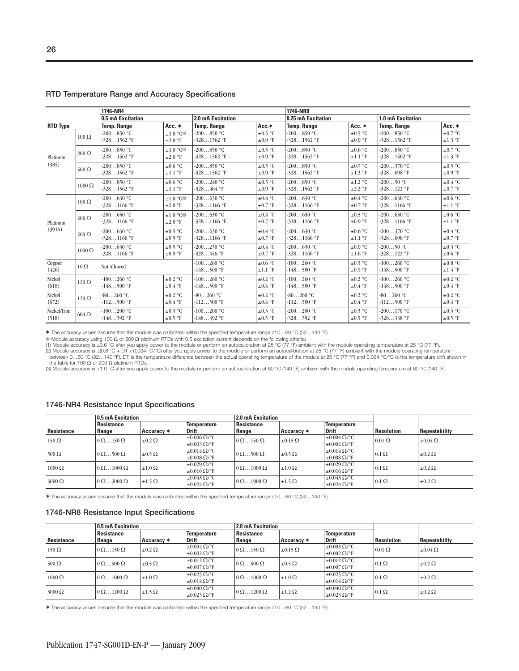|                      |               | 1746-NR4                      |                                           |                               |                              | 1746-NR8                      |                              |                               |                              |
|----------------------|---------------|-------------------------------|-------------------------------------------|-------------------------------|------------------------------|-------------------------------|------------------------------|-------------------------------|------------------------------|
|                      |               | 0.5 mA Excitation             |                                           | 2.0 mA Excitation             |                              | 0.25 mA Excitation            |                              | <b>1.0 mA Excitation</b>      |                              |
| <b>RTD Type</b>      |               | <b>Temp. Range</b>            | Acc. $*$                                  | <b>Temp. Range</b>            | $Acc.*$                      | <b>Temp. Range</b>            | Acc. *                       | <b>Temp. Range</b>            | Acc. $*$                     |
|                      | $100 \Omega$  | $-200850$ °C<br>$-3281562$ °F | $\pm 1.0$ °C <sup>*</sup><br>$\pm 2.0$ °F | $-200850$ °C<br>$-3281562$ °F | $\pm 0.5$ °C<br>$\pm 0.9$ °F | $-200850$ °C<br>$-3281562$ °F | $\pm 0.5$ °C<br>$\pm 0.9$ °F | $-200850$ °C<br>$-3281562$ °F | $\pm 0.7$ °C<br>$\pm 1.3$ °F |
| Platinum             | $200 \Omega$  | $-200850$ °C<br>$-3281562$ °F | $\pm 1.0$ °C <sup>*</sup><br>$\pm 2.0$ °F | $-200850$ °C<br>$-3281562$ °F | $\pm 0.5$ °C<br>$\pm 0.9$ °F | $-200850$ °C<br>$-3281562$ °F | $\pm 0.6$ °C<br>$\pm 1.1$ °F | $-200850$ °C<br>$-3281562$ °F | $\pm 0.7$ °C<br>$\pm 1.3$ °F |
| (385)                | $500 \Omega$  | $-200850$ °C<br>$-3281562$ °F | $\pm 0.6$ °C<br>$\pm 1.1$ °F              | $-200850$ °C<br>$-3281562$ °F | $\pm 0.5$ °C<br>$\pm 0.9$ °F | $-200850$ °C<br>$-3281562$ °F | $\pm 0.7$ °C<br>$\pm 1.3$ °F | $-200370$ °C<br>$-328698$ °F  | $\pm 0.5$ °C<br>$\pm 0.9$ °F |
|                      | $1000 \Omega$ | $-200850$ °C<br>$-3281562$ °F | $\pm 0.6$ °C<br>$\pm 1.1$ °F              | $-200240$ °C<br>$-328464$ °F  | $\pm 0.5$ °C<br>$\pm 0.9$ °F | $-200850$ °C<br>$-3281562$ °F | $\pm 1.2$ °C<br>$\pm 2.2$ °F | $-20050$ °C<br>$-328122$ °F   | $\pm 0.4$ °C<br>$\pm 0.7$ °F |
|                      | $100 \Omega$  | $-200630$ °C<br>$-3281166$ °F | $\pm 1.0$ °C <sup>*</sup><br>$\pm 2.0$ °F | $-200630$ °C<br>$-3281166$ °F | $\pm 0.4$ °C<br>$\pm 0.7$ °F | $-200630$ °C<br>$-3281166$ °F | $\pm 0.4$ °C<br>$\pm 0.7$ °F | $-200630$ °C<br>$-3281166$ °F | $\pm 0.6$ °C<br>$\pm 1.1$ °F |
| Platinum             | $200 \Omega$  | $-200630$ °C<br>$-3281166$ °F | $\pm 1.0$ °C <sup>*</sup><br>$\pm 2.0$ °F | $-200630$ °C<br>$-3281166$ °F | $\pm 0.4$ °C<br>$\pm 0.7$ °F | $-200630$ °C<br>$-3281166$ °F | $\pm 0.5$ °C<br>$\pm 0.9$ °F | $-200630$ °C<br>$-3281166$ °F | $\pm 0.6$ °C<br>$\pm 1.1$ °F |
| (3916)               | $500 \Omega$  | $-200630$ °C<br>$-3281166$ °F | $\pm 0.5$ °C<br>$\pm 0.9$ °F              | $-200630$ °C<br>$-3281166$ °F | $\pm 0.4$ °C<br>$\pm 0.7$ °F | $-200630$ °C<br>$-3281166$ °F | $\pm 0.6$ °C<br>$\pm 1.1$ °F | $-200370$ °C<br>$-328698$ °F  | $\pm 0.4$ °C<br>$\pm 0.7$ °F |
|                      | $1000 \Omega$ | $-200630$ °C<br>$-3281166$ °F | $\pm 0.5$ °C<br>$\pm 0.9$ °F              | $-200230$ °C<br>$-328446$ °F  | $\pm 0.4$ °C<br>$\pm 0.7$ °F | $-200630$ °C<br>$-3281166$ °F | $\pm 0.9$ °C<br>$\pm 1.6$ °F | $-20050$ °C<br>$-328122$ °F   | $\pm 0.3$ °C<br>$\pm 0.6$ °F |
| Copper<br>(426)      | $10 \Omega$   | Not Allowed                   |                                           | $-100260$ °C<br>$-148500$ °F  | $\pm 0.6$ °C<br>$\pm 1.1$ °F | $-100260$ °C<br>$-148500$ °F  | $\pm 0.5$ °C<br>$\pm 0.9$ °F | $-100260$ °C<br>$-148500$ °F  | $\pm 0.8$ °C<br>$\pm 1.4$ °F |
| Nickel<br>(618)      | $120 \Omega$  | $-100260$ °C<br>$-148500$ °F  | $\pm 0.2$ °C<br>$\pm 0.4$ °F              | $-100260$ °C<br>$-148500$ °F  | $\pm 0.2$ °C<br>$\pm 0.4$ °F | $-100260$ °C<br>$-148500$ °F  | $\pm 0.2$ °C<br>$\pm 0.4$ °F | $-100260$ °C<br>$-148500$ °F  | $\pm 0.2$ °C<br>$\pm 0.4$ °F |
| Nickel<br>(672)      | $120 \Omega$  | $-80260$ °C<br>$-112500$ °F   | $\pm 0.2$ °C<br>$\pm 0.4$ °F              | $-80260$ °C<br>$-112500$ °F   | $\pm 0.2$ °C<br>$\pm 0.4$ °F | $-80260$ °C<br>$-112500$ °F   | $\pm 0.2$ °C<br>$\pm 0.4$ °F | $-80260$ °C<br>$-112500$ °F   | $\pm 0.2$ °C<br>$\pm 0.4$ °F |
| Nickel/Iron<br>(518) | $604 \Omega$  | $-100200$ °C<br>$-148392$ °F  | $\pm 0.3$ °C<br>$\pm 0.5$ °F              | $-100200$ °C<br>$-148392$ °F  | $\pm 0.3$ °C<br>$\pm 0.5$ °F | $-200200$ °C<br>$-328392$ °F  | $\pm 0.3$ °C<br>$\pm 0.5$ °F | $-200170$ °C<br>$-328338$ °F  | $\pm 0.3$ °C<br>$\pm 0.5$ °F |

#### **RTD Temperature Range and Accuracy Specifications**

✶ The accuracy values assume that the module was calibrated within the specified temperature range of 0…60 °C (32…140 °F).

\$ Module accuracy using 100 Ω or 200 Ω platinum RTDs with 0.5 excitation current depends on the following criteria:<br>(1) Module accuracy is ±0.6 °C after you apply power to the module or perform an autocalibration at 25 °

(3) Module accuracy is ±1.0 °C after you apply power to the module or perform an autocalibration at 60 °C (140 °F) ambient with the module operating temperature at 60 °C (140 °F).

#### **1746-NR4 Resistance Input Specifications**

|                   | 0.5 mA Excitation        |                  |                                   | 2.0 mA Excitation        |                   |                                   |                   |                   |
|-------------------|--------------------------|------------------|-----------------------------------|--------------------------|-------------------|-----------------------------------|-------------------|-------------------|
|                   | <b>Resistance</b>        |                  | Temperature                       | Resistance               |                   | <b>Temperature</b>                |                   |                   |
| <b>Resistance</b> | Range                    | Accuracy $*$     | <b>Drift</b>                      | Range                    | Accuracy $*$      | <b>Drift</b>                      | <b>Resolution</b> | Repeatability     |
| $150 \Omega$      | $0 \Omega$ 150 $\Omega$  | $\pm 0.2 \Omega$ | $\pm 0.006 \Omega$ /°C            | $0 \Omega$ 150 $\Omega$  | $\pm 0.15 \Omega$ | $\pm 0.004 \Omega$ <sup>o</sup> C | $0.01 \Omega$     | $\pm 0.04 \Omega$ |
|                   |                          |                  | $\pm 0.003 \Omega$ /°F            |                          |                   | $\pm 0.002 \Omega$ /°F            |                   |                   |
| 500 $\Omega$      | $0 \Omega$ 500 $\Omega$  | $\pm 0.5 \Omega$ | $\pm 0.014 \Omega$ /°C            | $0 \Omega$ 500 $\Omega$  | $\pm 0.5 \Omega$  | $\pm 0.014 \Omega$ <sup>o</sup> C | $0.1 \Omega$      | $\pm 0.2 \Omega$  |
|                   |                          |                  | $\pm 0.008 \Omega$ /°F            |                          |                   | $\pm 0.008 \Omega$ /°F            |                   |                   |
| $1000 \Omega$     | $0 \Omega$ 1000 $\Omega$ | $\pm 1.0 \Omega$ | $\pm 0.029 \Omega$ /°C            | $0 \Omega$ 1000 $\Omega$ | $\pm 1.0 \Omega$  | $\pm 0.029 \Omega$ /°C            | $0.1 \Omega$      | $\pm 0.2 \Omega$  |
|                   |                          |                  | $\pm 0.016 \Omega$ <sup>o</sup> F |                          |                   | $\pm 0.016 \Omega$ <sup>o</sup> F |                   |                   |
| $3000 \Omega$     | $0 \Omega$ 3000 $\Omega$ | $\pm 1.5 \Omega$ | $\pm 0.043 \Omega$ /°C            | $0 \Omega$ 1900 $\Omega$ | $\pm 1.5 \Omega$  | $\pm 0.043 \Omega$ /°C            | $0.1 \Omega$      | $\pm 0.2 \Omega$  |
|                   |                          |                  | $\pm 0.024 \Omega$ <sup>o</sup> F |                          |                   | $\pm 0.024 \Omega$ /°F            |                   |                   |

✶ The accuracy values assume that the module was calibrated within the specified temperature range of 0…60 °C (32…140 °F).

#### **1746-NR8 Resistance Input Specifications**

|                   | 0.5 mA Excitation        |                  |                                    | 2.0 mA Excitation              |                   |                                    |                   |                   |
|-------------------|--------------------------|------------------|------------------------------------|--------------------------------|-------------------|------------------------------------|-------------------|-------------------|
| <b>Resistance</b> | Resistance<br>Range      |                  | <b>Temperature</b><br><b>Drift</b> | <b>Resistance</b>              |                   | <b>Temperature</b><br><b>Drift</b> | <b>Resolution</b> |                   |
|                   |                          | Accuracy $*$     |                                    | Range                          | Accuracy $*$      |                                    |                   | Repeatability     |
| $150 \Omega$      | $0 \Omega$ 150 $\Omega$  | $\pm 0.2 \Omega$ | $\pm 0.004 \Omega$ /°C             | $0 \Omega$ 150 $\Omega$        | $\pm 0.15 \Omega$ | $\pm 0.003 \Omega$ /°C             | $0.01 \Omega$     | $\pm 0.04 \Omega$ |
|                   |                          |                  | $\pm 0.002 \Omega$ /°F             |                                |                   | $\pm 0.002 \Omega$ /°F             |                   |                   |
|                   |                          |                  | $\pm 0.012 \Omega$ /°C             |                                |                   | $\pm 0.012 \Omega$ /°C             |                   |                   |
| 500 $\Omega$      | $0 \Omega$ 500 $\Omega$  | $\pm 0.5 \Omega$ | $\pm 0.007 \Omega$ /°F             | $0 \Omega$ 500 $\Omega$        | $\pm 0.5 \Omega$  | $\pm 0.007 \Omega$ /°F             | $0.1 \Omega$      | $\pm 0.2 \Omega$  |
|                   |                          |                  | $\pm 0.025 \Omega$ /°C             |                                |                   | $\pm 0.025 \Omega$ /°C             |                   |                   |
| $1000 \Omega$     | $0 \Omega$ 1000 $\Omega$ | $\pm 1.0 \Omega$ | $\pm 0.014 \Omega$ <sup>o</sup> F  | $\vert 0 \Omega$ 1000 $\Omega$ | $\pm 1.0 \Omega$  | $\pm 0.014 \Omega$ <sup>o</sup> F  | $0.1 \Omega$      | $\pm 0.2 \Omega$  |
|                   | $0 \Omega$ 1200 $\Omega$ | $\pm 1.5 \Omega$ | $\pm 0.040 \Omega$ /°C             | $\vert 0 \Omega$ 1200 $\Omega$ | $\pm 1.2 \Omega$  | $\pm 0.040 \Omega$ /°C             | $0.1 \Omega$      | $\pm 0.2 \Omega$  |
| $3000 \Omega$     |                          |                  | $\pm 0.023 \Omega$ /°F             |                                |                   | $\pm 0.023 \Omega$ /°F             |                   |                   |

✶ The accuracy values assume that the module was calibrated within the specified temperature range of 0…60 °C (32…140 °F).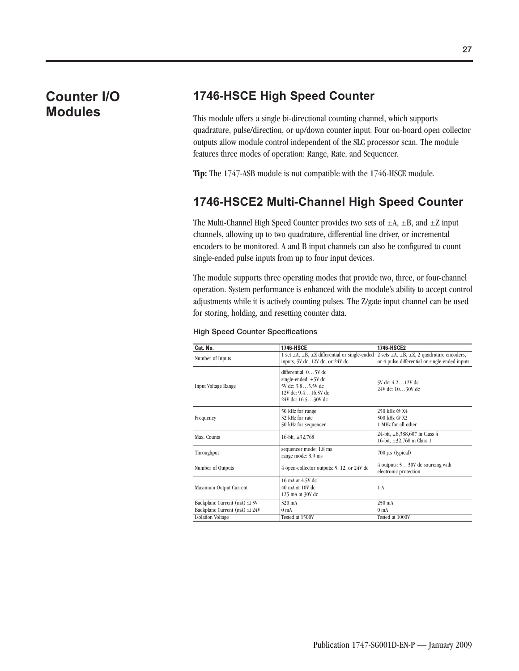### **Counter I/O Modules**

### **1746-HSCE High Speed Counter**

This module offers a single bi-directional counting channel, which supports quadrature, pulse/direction, or up/down counter input. Four on-board open collector outputs allow module control independent of the SLC processor scan. The module features three modes of operation: Range, Rate, and Sequencer.

**Tip:** The 1747-ASB module is not compatible with the 1746-HSCE module.

### **1746-HSCE2 Multi-Channel High Speed Counter**

The Multi-Channel High Speed Counter provides two sets of  $\pm A$ ,  $\pm B$ , and  $\pm Z$  input channels, allowing up to two quadrature, differential line driver, or incremental encoders to be monitored. A and B input channels can also be configured to count single-ended pulse inputs from up to four input devices.

The module supports three operating modes that provide two, three, or four-channel operation. System performance is enhanced with the module's ability to accept control adjustments while it is actively counting pulses. The Z/gate input channel can be used for storing, holding, and resetting counter data.

|  |  | <b>High Speed Counter Specifications</b> |
|--|--|------------------------------------------|
|--|--|------------------------------------------|

| Cat. No.                      | 1746-HSCE                                                                                                           | 1746-HSCE2                                                                                                    |
|-------------------------------|---------------------------------------------------------------------------------------------------------------------|---------------------------------------------------------------------------------------------------------------|
| Number of Inputs              | 1 set $\pm$ A, $\pm$ B, $\pm$ Z differential or single-ended<br>inputs, 5V dc, 12V dc, or 24V dc                    | 2 sets $\pm A$ , $\pm B$ , $\pm Z$ , 2 quadrature encoders,<br>or 4 pulse differential or single-ended inputs |
| <b>Input Voltage Range</b>    | differential: 05V dc<br>single-ended: $\pm 5V$ dc<br>5V dc: 3.85.5V dc<br>12V dc: 9.416.5V dc<br>24V dc: 16.530V dc | 5V dc: 4.212V dc<br>24V dc: 1030V dc                                                                          |
| Frequency                     | 50 kHz for range<br>32 kHz for rate<br>50 kHz for sequencer                                                         | 250 kHz @ X4<br>500 kHz @ X2<br>1 MHz for all other                                                           |
| Max. Counts                   | 16-bit, $\pm$ 32,768                                                                                                | 24-bit, $\pm 8,388,607$ in Class 4<br>16-bit, $\pm 32,768$ in Class 1                                         |
| Throughput                    | sequencer mode: 1.8 ms<br>range mode: 3.9 ms                                                                        | $700 \mu s$ (typical)                                                                                         |
| Number of Outputs             | 4 open-collector outputs: 5, 12, or 24V dc                                                                          | 4 outputs: 530V dc sourcing with<br>electronic protection                                                     |
| Maximum Output Current        | 16 mA at 4.5V dc<br>40 mA at 10V dc.<br>125 mA at 30V dc                                                            | 1 A                                                                                                           |
| Backplane Current (mA) at 5V  | 320 mA                                                                                                              | 250 mA                                                                                                        |
| Backplane Current (mA) at 24V | 0 <sub>mA</sub>                                                                                                     | 0 <sub>m</sub> A                                                                                              |
| <b>Isolation Voltage</b>      | Tested at 1500V                                                                                                     | Tested at 1000V                                                                                               |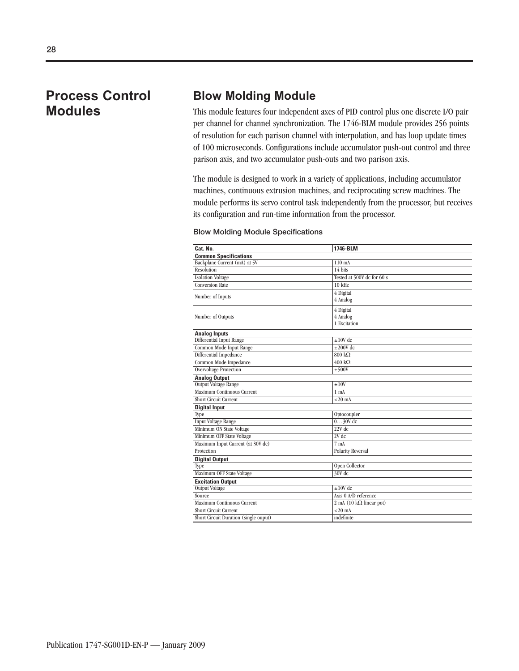### **Process Control Modules**

### **Blow Molding Module**

This module features four independent axes of PID control plus one discrete I/O pair per channel for channel synchronization. The 1746-BLM module provides 256 points of resolution for each parison channel with interpolation, and has loop update times of 100 microseconds. Configurations include accumulator push-out control and three parison axis, and two accumulator push-outs and two parison axis.

The module is designed to work in a variety of applications, including accumulator machines, continuous extrusion machines, and reciprocating screw machines. The module performs its servo control task independently from the processor, but receives its configuration and run-time information from the processor.

#### **Blow Molding Module Specifications**

| Cat. No.                              | 1746-BLM                                  |
|---------------------------------------|-------------------------------------------|
| <b>Common Specifications</b>          |                                           |
| Backplane Current (mA) at 5V          | 110 mA                                    |
| Resolution                            | 14 bits                                   |
| <b>Isolation Voltage</b>              | Tested at 500V dc for 60 s                |
| <b>Conversion Rate</b>                | $10$ kHz                                  |
|                                       | 4 Digital                                 |
| Number of Inputs                      | 4 Analog                                  |
|                                       | 4 Digital                                 |
| Number of Outputs                     | 4 Analog                                  |
|                                       | 1 Excitation                              |
| <b>Analog Inputs</b>                  |                                           |
| Differential Input Range              | $\pm 10V$ dc                              |
| Common Mode Input Range               | $\pm 200V$ dc                             |
| Differential Impedance                | $800 k\Omega$                             |
| Common Mode Impedance                 | $400 \text{ k}\Omega$                     |
| <b>Overvoltage Protection</b>         | $\pm 500V$                                |
| <b>Analog Output</b>                  |                                           |
| <b>Output Voltage Range</b>           | ±10V                                      |
| Maximum Continuous Current            | 1 <sub>mA</sub>                           |
| <b>Short Circuit Current</b>          | $<$ 20 mA                                 |
| <b>Digital Input</b>                  |                                           |
| Type                                  | Optocoupler                               |
| <b>Input Voltage Range</b>            | $030V$ dc                                 |
| Minimum ON State Voltage              | $22V$ dc                                  |
| Minimum OFF State Voltage             | $2V$ dc                                   |
| Maximum Input Current (at 30V dc)     | 7 <sub>mA</sub>                           |
| Protection                            | <b>Polarity Reversal</b>                  |
| <b>Digital Output</b>                 |                                           |
| Type                                  | Open Collector                            |
| Maximum OFF State Voltage             | 30V dc                                    |
| <b>Excitation Output</b>              |                                           |
| Output Voltage                        | $\pm 10V$ dc                              |
| Source                                | Axis 0 A/D reference                      |
| Maximum Continuous Current            | $2 \text{ mA}$ (10 k $\Omega$ linear pot) |
| <b>Short Circuit Current</b>          | $<$ 20 $mA$                               |
| Short Circuit Duration (single ouput) | indefinite                                |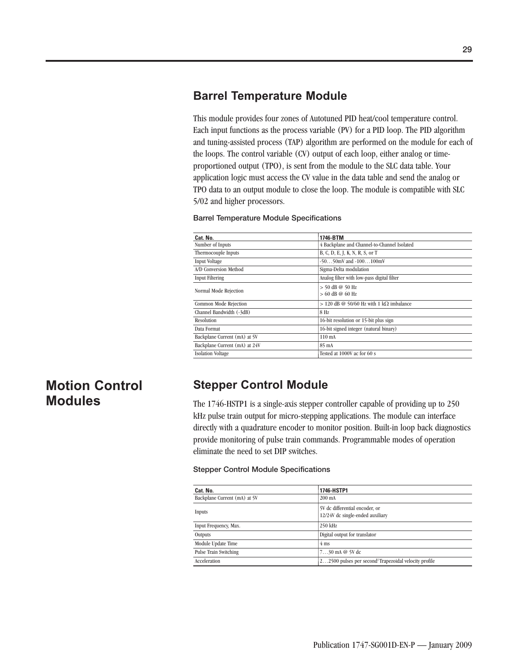### **Barrel Temperature Module**

This module provides four zones of Autotuned PID heat/cool temperature control. Each input functions as the process variable (PV) for a PID loop. The PID algorithm and tuning-assisted process (TAP) algorithm are performed on the module for each of the loops. The control variable (CV) output of each loop, either analog or timeproportioned output (TPO), is sent from the module to the SLC data table. Your application logic must access the CV value in the data table and send the analog or TPO data to an output module to close the loop. The module is compatible with SLC 5/02 and higher processors.

#### **Barrel Temperature Module Specifications**

| Cat. No.                      | 1746-BTM                                    |
|-------------------------------|---------------------------------------------|
| Number of Inputs              | 4 Backplane and Channel-to-Channel Isolated |
| Thermocouple Inputs           | B, C, D, E, J, K, N, R, S, or T             |
| <b>Input Voltage</b>          | $-5050$ mV and $-100100$ mV                 |
| A/D Conversion Method         | Sigma-Delta modulation                      |
| <b>Input Filtering</b>        | Analog filter with low-pass digital filter  |
| Normal Mode Rejection         | $> 50$ dB @ 50 Hz<br>$> 60$ dB @ 60 Hz      |
| Common Mode Rejection         | $> 120$ dB @ 50/60 Hz with 1 kQ imbalance   |
| Channel Bandwidth (-3dB)      | 8 Hz                                        |
| Resolution                    | 16-bit resolution or 15-bit plus sign       |
| Data Format                   | 16-bit signed integer (natural binary)      |
| Backplane Current (mA) at 5V  | $110 \text{ mA}$                            |
| Backplane Current (mA) at 24V | 85 mA                                       |
| <b>Isolation Voltage</b>      | Tested at 1000V ac for 60 s                 |

### **Motion Control Modules**

### **Stepper Control Module**

The 1746-HSTP1 is a single-axis stepper controller capable of providing up to 250 kHz pulse train output for micro-stepping applications. The module can interface directly with a quadrature encoder to monitor position. Built-in loop back diagnostics provide monitoring of pulse train commands. Programmable modes of operation eliminate the need to set DIP switches.

#### **Stepper Control Module Specifications**

| Cat. No.                     | 1746-HSTP1                                                         |
|------------------------------|--------------------------------------------------------------------|
| Backplane Current (mA) at 5V | $200 \text{ mA}$                                                   |
| Inputs                       | 5V dc differential encoder, or<br>12/24V dc single-ended auxiliary |
| Input Frequency, Max.        | 250 kHz                                                            |
| Outputs                      | Digital output for translator                                      |
| Module Update Time           | $4 \text{ ms}$                                                     |
| Pulse Train Switching        | $730$ mA @ 5V dc                                                   |
| Acceleration                 | 22500 pulses per second <sup>2</sup> Trapezoidal velocity profile  |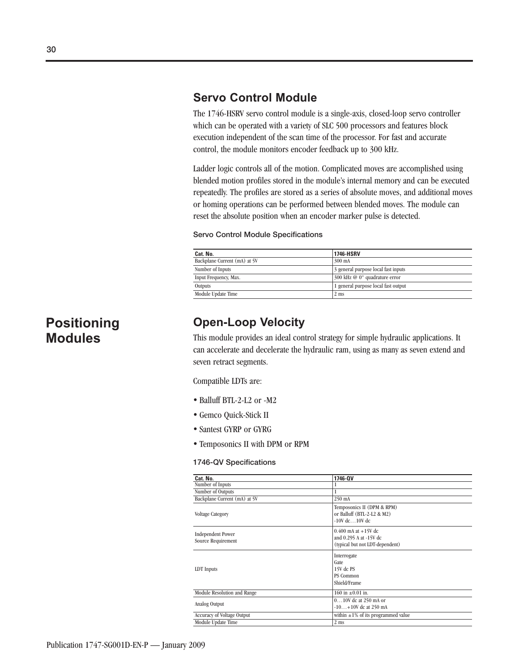### **Servo Control Module**

The 1746-HSRV servo control module is a single-axis, closed-loop servo controller which can be operated with a variety of SLC 500 processors and features block execution independent of the scan time of the processor. For fast and accurate control, the module monitors encoder feedback up to 300 kHz.

Ladder logic controls all of the motion. Complicated moves are accomplished using blended motion profiles stored in the module's internal memory and can be executed repeatedly. The profiles are stored as a series of absolute moves, and additional moves or homing operations can be performed between blended moves. The module can reset the absolute position when an encoder marker pulse is detected.

#### **Servo Control Module Specifications**

| Cat. No.                     | <b>1746-HSRV</b>                    |
|------------------------------|-------------------------------------|
| Backplane Current (mA) at 5V | 300 mA                              |
| Number of Inputs             | 3 general purpose local fast inputs |
| Input Frequency, Max.        | 300 kHz @ 0° quadrature error       |
| Outputs                      | 1 general purpose local fast output |
| Module Update Time           | $2 \text{ ms}$                      |

### **Positioning Modules**

### **Open-Loop Velocity**

This module provides an ideal control strategy for simple hydraulic applications. It can accelerate and decelerate the hydraulic ram, using as many as seven extend and seven retract segments.

Compatible LDTs are:

- Balluff BTL-2-L2 or -M2
- · Gemco Quick-Stick II
- Santest GYRP or GYRG
- Temposonics II with DPM or RPM

#### **1746-QV Specifications**

| Cat. No.                                       | 1746-QV                                                                              |
|------------------------------------------------|--------------------------------------------------------------------------------------|
| Number of Inputs                               |                                                                                      |
| Number of Outputs                              |                                                                                      |
| Backplane Current (mA) at 5V                   | 250 mA                                                                               |
| <b>Voltage Category</b>                        | Temposonics II (DPM & RPM)<br>or Balluff (BTL-2-L2 & M2)<br>$-10V$ dc $10V$ dc.      |
| <b>Independent Power</b><br>Source Requirement | $0.400$ mA at $+15V$ dc<br>and 0.295 A at -15V dc<br>(typical but not LDT-dependent) |
| LDT Inputs                                     | Interrogate<br>Gate<br>15V dc PS<br>PS Common<br>Shield/Frame                        |
| Module Resolution and Range                    | $160$ in $\pm 0.01$ in.                                                              |
| Analog Output                                  | $010V$ dc at 250 mA or<br>$-10+10V$ dc at 250 mA                                     |
| <b>Accuracy of Voltage Output</b>              | within $\pm 1\%$ of its programmed value                                             |
| Module Update Time                             | $2 \text{ ms}$                                                                       |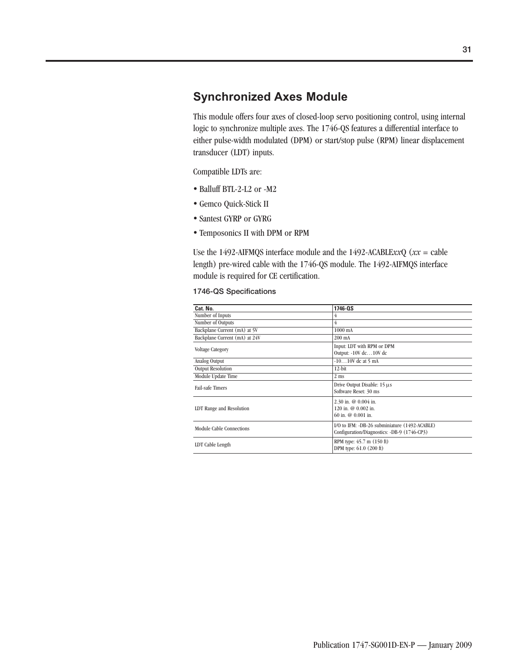### **Synchronized Axes Module**

This module offers four axes of closed-loop servo positioning control, using internal logic to synchronize multiple axes. The 1746-QS features a differential interface to either pulse-width modulated (DPM) or start/stop pulse (RPM) linear displacement transducer (LDT) inputs.

Compatible LDTs are:

- Balluff BTL-2-L2 or -M2
- · Gemco Quick-Stick II
- Santest GYRP or GYRG
- Temposonics II with DPM or RPM

Use the 1492-AIFMQS interface module and the 1492-ACABLE*xx*Q (*xx* = cable length) pre-wired cable with the 1746-QS module. The 1492-AIFMQS interface module is required for CE certification.

#### **1746-QS Specifications**

| Cat. No.                      | 1746-0S                                                                                      |
|-------------------------------|----------------------------------------------------------------------------------------------|
| Number of Inputs              | 4                                                                                            |
| Number of Outputs             | 4                                                                                            |
| Backplane Current (mA) at 5V  | 1000 mA                                                                                      |
| Backplane Current (mA) at 24V | $200 \text{ mA}$                                                                             |
| <b>Voltage Category</b>       | Input: LDT with RPM or DPM<br>Output: -10V dc10V dc                                          |
| Analog Output                 | $-1010V$ dc at 5 mA                                                                          |
| <b>Output Resolution</b>      | $12$ -bit                                                                                    |
| Module Update Time            | $2 \text{ ms}$                                                                               |
| <b>Fail-safe Timers</b>       | Drive Output Disable: 15 µs<br>Software Reset: 30 ms                                         |
| LDT Range and Resolution      | 2.30 in. $@$ 0.004 in.<br>120 in. $@$ 0.002 in.<br>$60$ in. $@0.001$ in.                     |
| Module Cable Connections      | I/O to IFM: -DB-26 subminiature (1492-ACABLE)<br>Configuration/Diagnostics: -DB-9 (1746-CP3) |
| LDT Cable Length              | RPM type: 45.7 m (150 ft)<br>DPM type: 61.0 (200 ft)                                         |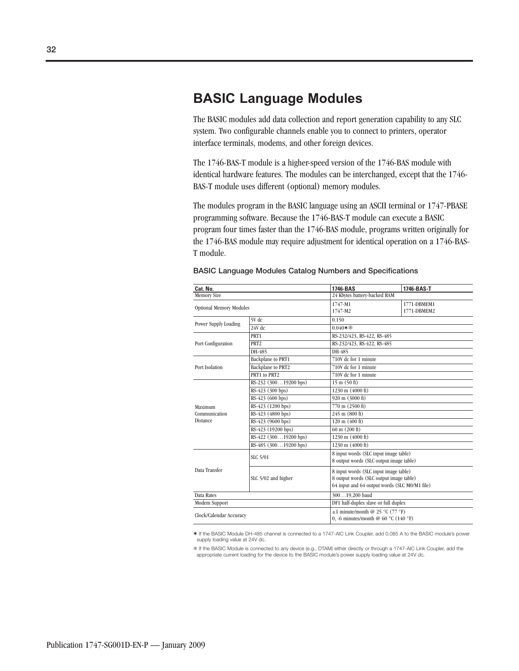### **BASIC Language Modules**

The BASIC modules add data collection and report generation capability to any SLC system. Two configurable channels enable you to connect to printers, operator interface terminals, modems, and other foreign devices.

The 1746-BAS-T module is a higher-speed version of the 1746-BAS module with identical hardware features. The modules can be interchanged, except that the 1746- BAS-T module uses different (optional) memory modules.

The modules program in the BASIC language using an ASCII terminal or 1747-PBASE programming software. Because the 1746-BAS-T module can execute a BASIC program four times faster than the 1746-BAS module, programs written originally for the 1746-BAS module may require adjustment for identical operation on a 1746-BAS-T module.

| Cat. No.                       |                                    | 1746-BAS                                                                                                                          | 1746-BAS-T                                                                   |  |  |  |  |  |  |  |  |
|--------------------------------|------------------------------------|-----------------------------------------------------------------------------------------------------------------------------------|------------------------------------------------------------------------------|--|--|--|--|--|--|--|--|
| <b>Memory Size</b>             |                                    |                                                                                                                                   | 24 Kbytes battery-backed RAM                                                 |  |  |  |  |  |  |  |  |
| <b>Optional Memory Modules</b> |                                    | 1747-M1<br>1747-M2                                                                                                                | 1771-DBMEM1<br>1771-DBMEM2                                                   |  |  |  |  |  |  |  |  |
|                                | 5V dc                              | 0.150                                                                                                                             |                                                                              |  |  |  |  |  |  |  |  |
| Power Supply Loading           | $24V$ dc                           | $0.040$ $*$ 参                                                                                                                     |                                                                              |  |  |  |  |  |  |  |  |
|                                | PRT1                               | RS-232/423, RS-422, RS-485                                                                                                        |                                                                              |  |  |  |  |  |  |  |  |
| Port Configuration             | PRT <sub>2</sub>                   | RS-232/423, RS-422, RS-485                                                                                                        |                                                                              |  |  |  |  |  |  |  |  |
|                                | DH-485                             | DH-485                                                                                                                            |                                                                              |  |  |  |  |  |  |  |  |
|                                | Backplane to PRT1                  | 710V dc for 1 minute                                                                                                              |                                                                              |  |  |  |  |  |  |  |  |
| Port Isolation                 | <b>Backplane</b> to PRT2           | 710V dc for 1 minute                                                                                                              |                                                                              |  |  |  |  |  |  |  |  |
|                                | PRT1 to PRT2                       | 710V dc for 1 minute                                                                                                              |                                                                              |  |  |  |  |  |  |  |  |
|                                | RS-232 (30019200 bps)              | $15 \text{ m} (50 \text{ ft})$                                                                                                    |                                                                              |  |  |  |  |  |  |  |  |
|                                | RS-423 (300 bps)                   | 1230 m (4000 ft)                                                                                                                  |                                                                              |  |  |  |  |  |  |  |  |
|                                | RS-423 (600 bps)                   | 920 m (3000 ft)                                                                                                                   |                                                                              |  |  |  |  |  |  |  |  |
| Maximum                        | RS-423 (1200 bps)                  | 770 m (2500 ft)                                                                                                                   |                                                                              |  |  |  |  |  |  |  |  |
| Communication                  | RS-423 (4800 bps)                  | $245 \text{ m} (800 \text{ ft})$                                                                                                  |                                                                              |  |  |  |  |  |  |  |  |
| <b>Distance</b>                | RS-423 (9600 bps)                  | $120 \text{ m} (400 \text{ ft})$                                                                                                  |                                                                              |  |  |  |  |  |  |  |  |
|                                | RS-423 (19200 bps)                 | $60 \text{ m}$ (200 ft)                                                                                                           |                                                                              |  |  |  |  |  |  |  |  |
|                                | $R\overline{S-422}$ (30019200 bps) | 1230 m (4000 ft)                                                                                                                  |                                                                              |  |  |  |  |  |  |  |  |
|                                | RS-485 (30019200 bps)              | 1230 m (4000 ft)                                                                                                                  |                                                                              |  |  |  |  |  |  |  |  |
|                                | <b>SLC 5/01</b>                    | 8 input words (SLC input image table)<br>8 output words (SLC output image table)                                                  |                                                                              |  |  |  |  |  |  |  |  |
| Data Transfer                  | SLC 5/02 and higher                | 8 input words (SLC input image table)<br>8 output words (SLC output image table)<br>64 input and 64 output words (SLC M0/M1 file) |                                                                              |  |  |  |  |  |  |  |  |
| Data Rates                     |                                    | 30019,200 baud                                                                                                                    |                                                                              |  |  |  |  |  |  |  |  |
| Modem Support                  |                                    | DF1 half-duplex slave or full duplex                                                                                              |                                                                              |  |  |  |  |  |  |  |  |
| Clock/Calendar Accuracy        |                                    |                                                                                                                                   | $\pm 1$ minute/month @ 25 °C (77 °F)<br>0, -6 minutes/month @ 60 °C (140 °F) |  |  |  |  |  |  |  |  |

#### **BASIC Language Modules Catalog Numbers and Specifications**

✶ If the BASIC Module DH-485 channel is connected to a 1747-AIC Link Coupler, add 0.085 A to the BASIC module's power supply loading value at 24V dc.

If the BASIC Module is connected to any device (e.g., DTAM) either directly or through a 1747-AIC Link Coupler, add the appropriate current loading for the device to the BASIC module's power supply loading value at 24V dc.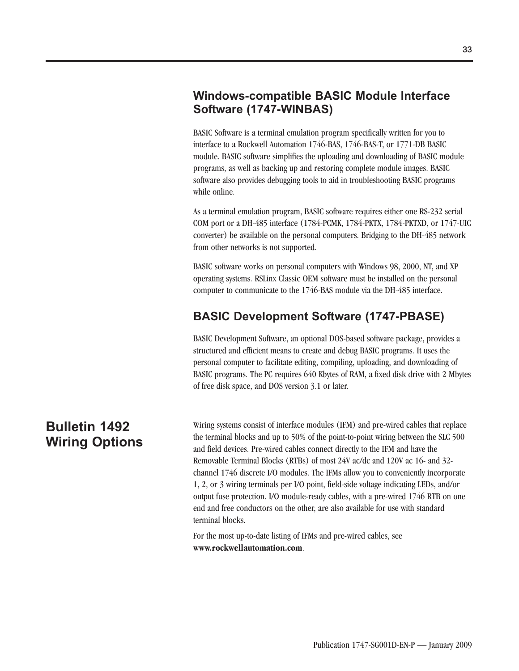### **Windows-compatible BASIC Module Interface Software (1747-WINBAS)**

BASIC Software is a terminal emulation program specifically written for you to interface to a Rockwell Automation 1746-BAS, 1746-BAS-T, or 1771-DB BASIC module. BASIC software simplifies the uploading and downloading of BASIC module programs, as well as backing up and restoring complete module images. BASIC software also provides debugging tools to aid in troubleshooting BASIC programs while online.

As a terminal emulation program, BASIC software requires either one RS-232 serial COM port or a DH-485 interface (1784-PCMK, 1784-PKTX, 1784-PKTXD, or 1747-UIC converter) be available on the personal computers. Bridging to the DH-485 network from other networks is not supported.

BASIC software works on personal computers with Windows 98, 2000, NT, and XP operating systems. RSLinx Classic OEM software must be installed on the personal computer to communicate to the 1746-BAS module via the DH-485 interface.

### **BASIC Development Software (1747-PBASE)**

BASIC Development Software, an optional DOS-based software package, provides a structured and efficient means to create and debug BASIC programs. It uses the personal computer to facilitate editing, compiling, uploading, and downloading of BASIC programs. The PC requires 640 Kbytes of RAM, a fixed disk drive with 2 Mbytes of free disk space, and DOS version 3.1 or later.

## **Bulletin 1492 Wiring Options**

Wiring systems consist of interface modules (IFM) and pre-wired cables that replace the terminal blocks and up to 50% of the point-to-point wiring between the SLC 500 and field devices. Pre-wired cables connect directly to the IFM and have the Removable Terminal Blocks (RTBs) of most 24V ac/dc and 120V ac 16- and 32 channel 1746 discrete I/O modules. The IFMs allow you to conveniently incorporate 1, 2, or 3 wiring terminals per I/O point, field-side voltage indicating LEDs, and/or output fuse protection. I/O module-ready cables, with a pre-wired 1746 RTB on one end and free conductors on the other, are also available for use with standard terminal blocks.

For the most up-to-date listing of IFMs and pre-wired cables, see **www.rockwellautomation.com**.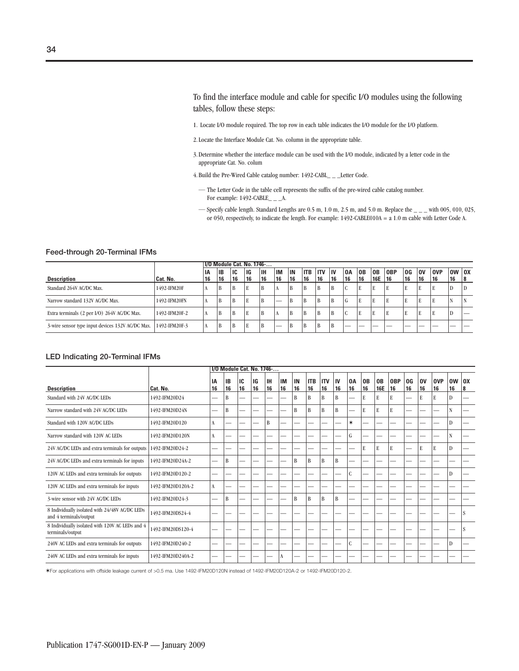To find the interface module and cable for specific I/O modules using the following tables, follow these steps:

- 1. Locate I/O module required. The top row in each table indicates the I/O module for the I/O platform.
- 2. Locate the Interface Module Cat. No. column in the appropriate table.
- 3. Determine whether the interface module can be used with the I/O module, indicated by a letter code in the appropriate Cat. No. colum
- 4. Build the Pre-Wired Cable catalog number: 1492-CABL\_ \_ \_Letter Code.
	- The Letter Code in the table cell represents the suffix of the pre-wired cable catalog number. For example:  $1492$ -CABLE\_ \_ \_A.
	- $-$  Specify cable length. Standard Lengths are 0.5 m, 1.0 m, 2.5 m, and 5.0 m. Replace the  $-$  with 005, 010, 025, or 050, respectively, to indicate the length. For example: 1492-CABLE010A = a 1.0 m cable with Letter Code A.

|                                                                |               | <b>1/0 Module Cat. No. 1746-</b> |    |    |           |           |           |                 |            |            |    |    |                |     |            |           |    |            |           |    |
|----------------------------------------------------------------|---------------|----------------------------------|----|----|-----------|-----------|-----------|-----------------|------------|------------|----|----|----------------|-----|------------|-----------|----|------------|-----------|----|
|                                                                |               | ΙA                               | IΒ | IC | <b>IG</b> | <b>IH</b> | <b>IM</b> | IN              | <b>ITB</b> | <b>ITV</b> | ١v | 0A | 0 <sub>B</sub> | 0B  | <b>OBP</b> | 0G        | 0V | <b>OVP</b> | $OW$ $OX$ |    |
| <b>Description</b>                                             | Cat. No.      | 16                               | 16 | 16 | 16        | 16        | 16        | <sup>'</sup> 16 | 16         | 16         | 16 | 16 | 16             | 16E | 16         | <b>16</b> | 16 | 16         | 16        | 18 |
| Standard 264V AC/DC Max.                                       | 1492-IFM20F   |                                  | В  | B  | E         | B         |           | B               | B          | B          | B  |    | E              | E   | E          | E         |    |            | D         |    |
| Narrow standard 132V AC/DC Max.                                | 1492-IFM20FN  |                                  |    | B  | E         | B         | _         | B               | B          | B          | B  | ŧτ | E              | E   | E          | E         |    |            |           |    |
| Extra terminals (2 per I/O) 264V AC/DC Max.                    | 1492-IFM20F-2 | л                                | Ð  | B  | E         | B         | A         | B               | B          | B          | B  |    | E              | E   | E          | E         | к. |            | D         |    |
| 3-wire sensor type input devices 132V AC/DC Max. 1492-IFM20F-3 |               | л                                | B  | B  | E         | B         | —         | B               | B          | B          | B  | __ | __             | __  | __         | __        | __ | __         | __        | __ |

#### **LED Indicating 20-Terminal IFMs**

|                                                                          |                   | 1/0 Module Cat. No. 1746- |          |          |          |                 |                 |          |                  |                  |              |          |                      |                  |                  |                          |          |                  |                 |                     |
|--------------------------------------------------------------------------|-------------------|---------------------------|----------|----------|----------|-----------------|-----------------|----------|------------------|------------------|--------------|----------|----------------------|------------------|------------------|--------------------------|----------|------------------|-----------------|---------------------|
| <b>Description</b>                                                       | Cat. No.          | IA<br>16                  | IB<br>16 | IC<br>16 | IG<br>16 | <b>IH</b><br>16 | <b>IM</b><br>16 | IN<br>16 | <b>ITB</b><br>16 | <b>ITV</b><br>16 | IV<br>16     | 0A<br>16 | 0 <sub>B</sub><br>16 | 0B<br><b>16E</b> | <b>OBP</b><br>16 | OG<br>16                 | 0V<br>16 | <b>OVP</b><br>16 | <b>OW</b><br>16 | $\overline{a}$<br>8 |
| Standard with 24V AC/DC LEDs                                             | 1492-IFM20D24     | -                         | B        | -        |          |                 |                 | B        | B                | B                | B            | -        | E                    | E                | ${\bf E}$        | $\overline{\phantom{0}}$ | E        | E                | D               |                     |
| Narrow standard with 24V AC/DC LEDs                                      | 1492-IFM20D24N    |                           | B        |          |          |                 |                 | B        | B                | B                | $\mathbf{B}$ |          | E                    | E                | E                |                          |          |                  | N               |                     |
| Standard with 120V AC/DC LEDs                                            | 1492-IFM20D120    | A                         |          | —        |          | B               |                 |          |                  |                  |              | $\ast$   |                      |                  |                  | -                        |          |                  | D               |                     |
| Narrow standard with 120V AC LEDs                                        | 1492-IFM20D120N   | A                         |          | -        |          | -               |                 |          | -                |                  | -            | G        | -                    | -                |                  | --                       |          | -                | $\mathbf N$     | -                   |
| 24V AC/DC LEDs and extra terminals for outputs                           | 1492-IFM20D24-2   |                           |          |          |          |                 |                 |          |                  |                  |              |          | E                    | E                | E                | -                        | E        | E                | D               |                     |
| 24V AC/DC LEDs and extra terminals for inputs                            | 1492-IFM20D24A-2  |                           | B        | -        |          |                 |                 | B        | B                | B                | B            |          |                      |                  |                  |                          |          |                  |                 |                     |
| 120V AC LEDs and extra terminals for outputs                             | 1492-IFM20D120-2  |                           |          |          |          |                 |                 |          |                  |                  |              | C        |                      |                  |                  | -                        |          |                  | D               |                     |
| 120V AC LEDs and extra terminals for inputs                              | 1492-IFM20D120A-2 | A                         |          |          |          |                 |                 |          |                  |                  |              |          |                      |                  |                  |                          |          |                  |                 |                     |
| 3-wire sensor with 24V AC/DC LEDs                                        | 1492-IFM20D24-3   | -                         | B        | -        |          |                 |                 | B        | B                | B                | $\mathbf{B}$ |          | -                    | -                |                  | -                        |          |                  |                 |                     |
| 8 Individually isolated with 24/48V AC/DC LEDs<br>and 4 terminals/output | 1492-IFM20DS24-4  |                           |          |          |          |                 |                 |          |                  |                  |              |          |                      |                  |                  |                          |          |                  |                 | S                   |
| 8 Individually isolated with 120V AC LEDs and 4<br>terminals/output      | 1492-IFM20DS120-4 |                           |          |          |          |                 |                 |          |                  |                  |              |          |                      |                  |                  |                          |          |                  |                 | S                   |
| 240V AC LEDs and extra terminals for outputs                             | 1492-IFM20D240-2  |                           |          | -        |          |                 |                 |          |                  |                  | ÷            | C        | -                    | -                |                  | -                        |          |                  | D               |                     |
| 240V AC LEDs and extra terminals for inputs                              | 1492-IFM20D240A-2 |                           |          |          |          |                 | A               |          |                  |                  |              |          |                      |                  |                  |                          |          |                  |                 |                     |

✶For applications with offside leakage current of >0.5 ma. Use 1492-IFM20D120N instead of 1492-IFM20D120A-2 or 1492-IFM20D120-2.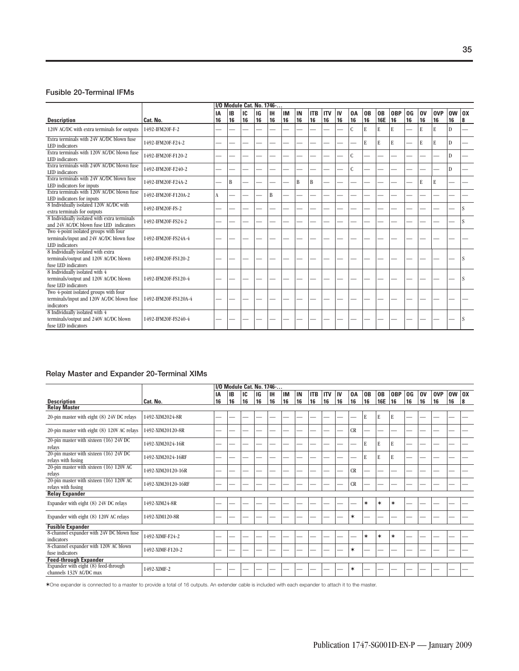#### **Fusible 20-Terminal IFMs**

|                                                                                                     | 1/0 Module Cat. No. 1746 |    |           |    |    |     |    |    |            |            |    |               |    |                |            |                |           |            |           |    |
|-----------------------------------------------------------------------------------------------------|--------------------------|----|-----------|----|----|-----|----|----|------------|------------|----|---------------|----|----------------|------------|----------------|-----------|------------|-----------|----|
|                                                                                                     |                          | IA | <b>IB</b> | IC | IG | lін | IM | IN | <b>ITB</b> | <b>ITV</b> | IV | 0A            | 0B | 0 <sub>B</sub> | <b>OBP</b> | 0 <sup>G</sup> | <b>OV</b> | <b>OVP</b> | <b>OW</b> | 0X |
| <b>Description</b>                                                                                  | Cat. No.                 | 16 | 16        | 16 | 16 | 16  | 16 | 16 | 16         | 16         | 16 | 16            | 16 | <b>16E</b>     | 16         | 16             | 16        | 16         | 16        | 8  |
| 120V AC/DC with extra terminals for outputs                                                         | 1492-IFM20F-F-2          |    |           |    |    |     |    |    |            |            |    | $\mathbf C$   | E  | E              | E          |                | E         | E          | D         |    |
| Extra terminals with 24V AC/DC blown fuse<br>LED indicators                                         | 1492-IFM20F-F24-2        | -  |           |    |    |     |    |    |            |            |    |               | E  | E              | E          |                | E         | E          | D         |    |
| Extra terminals with 120V AC/DC blown fuse<br>LED indicators                                        | 1492-IFM20F-F120-2       |    |           |    |    |     |    |    |            |            |    | C             |    |                |            |                |           |            | D         |    |
| Extra terminals with 240V AC/DC blown fuse<br>LED indicators                                        | 1492-IFM20F-F240-2       | -  |           |    |    |     |    |    |            |            |    | $\mathcal{C}$ |    |                |            |                |           |            | D         |    |
| Extra terminals with 24V AC/DC blown fuse<br>LED indicators for inputs                              | 1492-IFM20F-F24A-2       | -  | B         |    |    |     |    | B  | B          |            |    |               |    |                |            |                | E         | E          |           |    |
| Extra terminals with 120V AC/DC blown fuse<br>LED indicators for inputs                             | 1492-IFM20F-F120A-2      | A  |           |    |    | B   |    |    |            |            |    |               |    |                |            |                |           |            |           |    |
| 8 Individually isolated 120V AC/DC with<br>extra terminals for outputs                              | 1492-IFM20F-FS-2         | -  |           |    |    |     |    |    |            |            |    |               |    |                |            |                |           |            |           | S  |
| 8 Individually isolated with extra terminals<br>and 24V AC/DC blown fuse LED indicators             | 1492-IFM20F-FS24-2       | -  |           |    |    |     |    |    |            |            |    |               |    |                |            |                |           |            |           | S  |
| Two 4-point isolated groups with four<br>terminals/input and 24V AC/DC blown fuse<br>LED indicators | 1492-IFM20F-FS24A-4      |    |           |    |    |     |    |    |            |            |    |               |    |                |            |                |           |            |           |    |
| 8 Individually isolated with extra<br>terminals/output and 120V AC/DC blown<br>fuse LED indicators  | 1492-IFM20F-FS120-2      | -  |           |    |    |     |    |    |            |            |    |               |    |                |            |                |           |            |           | S  |
| 8 Individually isolated with 4<br>terminals/output and 120V AC/DC blown<br>fuse LED indicators      | 1492-IFM20F-FS120-4      |    |           |    |    |     |    |    |            |            |    |               |    |                |            |                |           |            |           | S  |
| Two 4-point isolated groups with four<br>terminals/input and 120V AC/DC blown fuse<br>indicators    | 1492-IFM20F-FS120A-4     | -  |           |    |    |     |    |    |            |            |    |               |    |                |            |                |           |            |           |    |
| 8 Individually isolated with 4<br>terminals/output and 240V AC/DC blown<br>fuse LED indicators      | 1492-IFM20F-FS240-4      |    |           |    |    |     |    |    |            |            |    |               |    |                |            |                |           |            |           |    |

### **Relay Master and Expander 20-Terminal XIMs**

|                                                                 | I/O Module Cat. No. 1746- |    |           |    |    |           |    |    |            |            |    |    |        |            |            |    |    |            |           |     |
|-----------------------------------------------------------------|---------------------------|----|-----------|----|----|-----------|----|----|------------|------------|----|----|--------|------------|------------|----|----|------------|-----------|-----|
|                                                                 |                           | IA | <b>IB</b> | IC | IG | <b>IH</b> | IM | IN | <b>ITB</b> | <b>ITV</b> | IV | 0A | 0B     | 0B         | <b>OBP</b> | 0G | 0V | <b>OVP</b> | <b>OW</b> | 10X |
| <b>Description</b>                                              | Cat. No.                  | 16 | 16        | 16 | 16 | 16        | 16 | 16 | 16         | 16         | 16 | 16 | 16     | <b>16E</b> | 16         | 16 | 16 | 16         | 16        | 8   |
| <b>Relay Master</b>                                             |                           |    |           |    |    |           |    |    |            |            |    |    |        |            |            |    |    |            |           |     |
| 20-pin master with eight (8) 24V DC relays                      | 1492-XIM2024-8R           | -  |           |    |    |           |    | -- | -          |            |    |    | E      | E          | ${\bf E}$  |    |    | -          |           |     |
| 20-pin master with eight (8) 120V AC relays                     | 1492-XIM20120-8R          | -  |           |    |    |           |    | -  |            |            |    | CR |        |            | -          |    |    |            |           |     |
| 20-pin master with sixteen (16) 24V DC<br>relays                | 1492-XIM2024-16R          |    |           |    |    |           |    |    |            |            |    |    | E      | E          | E          |    |    |            |           |     |
| 20-pin master with sixteen (16) 24V DC<br>relays with fusing    | 1492-XIM2024-16RF         | -  |           |    |    |           |    |    |            |            |    |    | E      | E          | E          |    |    |            |           |     |
| 20-pin master with sixteen (16) 120V AC<br>relays               | 1492-XIM20120-16R         | -  |           |    |    |           |    |    |            |            |    | CR |        |            |            |    |    |            |           |     |
| 20-pin master with sixteen (16) 120V AC<br>relays with fusing   | 1492-XIM20120-16RF        |    |           |    |    |           |    |    |            |            |    | CR |        |            |            |    |    |            |           |     |
| <b>Relay Expander</b>                                           |                           |    |           |    |    |           |    |    |            |            |    |    |        |            |            |    |    |            |           |     |
| Expander with eight (8) 24V DC relays                           | 1492-XIM24-8R             |    |           |    |    |           |    |    |            |            |    |    | $\ast$ | $\ast$     | $\ast$     |    |    |            |           |     |
| Expander with eight (8) 120V AC relays                          | 1492-XIM120-8R            | -  |           |    |    |           |    |    |            |            |    | ∗  |        |            |            |    |    |            |           |     |
| <b>Fusible Expander</b>                                         |                           |    |           |    |    |           |    |    |            |            |    |    |        |            |            |    |    |            |           |     |
| 8-channel expander with 24V DC blown fuse<br>indicators         | 1492-XIMF-F24-2           | -  |           |    |    |           |    |    |            |            |    |    | ∗      | $\ast$     | $\ast$     |    |    |            |           |     |
| 8-channel expander with 120V AC blown<br>fuse indicators        | 1492-XIMF-F120-2          | -- |           |    |    |           |    | -- | -          |            |    | ∗  |        |            |            |    |    | --         |           |     |
| <b>Feed-through Expander</b>                                    |                           |    |           |    |    |           |    |    |            |            |    |    |        |            |            |    |    |            |           |     |
| Expander with eight (8) feed-through<br>channels 132V AC/DC max | 1492-XIMF-2               |    |           |    |    |           |    |    |            |            |    | ∗  |        |            |            |    |    |            |           |     |

✶One expander is connected to a master to provide a total of 16 outputs. An extender cable is included with each expander to attach it to the master.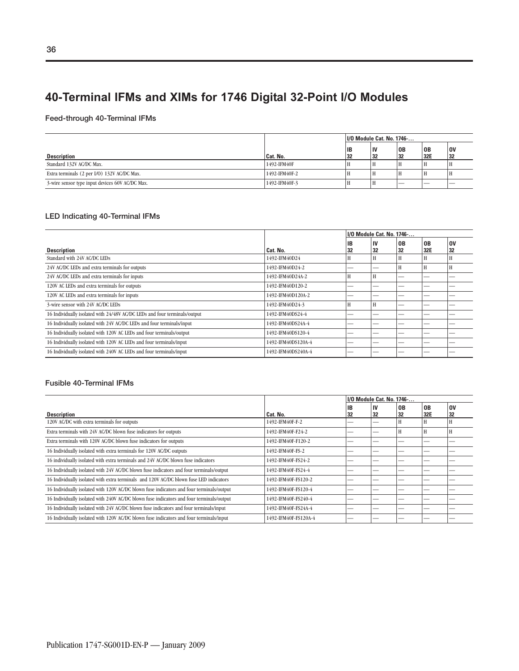### **40-Terminal IFMs and XIMs for 1746 Digital 32-Point I/O Modules**

### **Feed-through 40-Terminal IFMs**

|                                                 |               | I/O Module Cat. No. 1746- |          |          |             |          |
|-------------------------------------------------|---------------|---------------------------|----------|----------|-------------|----------|
| <b>Description</b>                              | Cat. No.      | ΙB<br>32                  | IV<br>32 | 0B<br>32 | ' OB<br>32E | 0V<br>32 |
| Standard 132V AC/DC Max.                        | 1492-IFM40F   | л                         |          | Н        | H           |          |
| Extra terminals (2 per I/O) 132V AC/DC Max.     | 1492-IFM40F-2 |                           | -        | Н        | H           |          |
| 3-wire sensor type input devices 60V AC/DC Max. | 1492-IFM40F-3 |                           |          | _        | __          | __       |

### **LED Indicating 40-Terminal IFMs**

|                                                                           |                    |          | I/O Module Cat. No. 1746- |          |                       |                 |
|---------------------------------------------------------------------------|--------------------|----------|---------------------------|----------|-----------------------|-----------------|
| <b>Description</b>                                                        | Cat. No.           | IB<br>32 | IV<br>32                  | 0B<br>32 | 0 <sub>B</sub><br>32E | <b>OV</b><br>32 |
| Standard with 24V AC/DC LEDs                                              | 1492-IFM40D24      |          | Н                         | H        | H                     |                 |
| 24V AC/DC LEDs and extra terminals for outputs                            | 1492-IFM40D24-2    | --       | _                         | Н        | H                     | Н               |
| 24V AC/DC LEDs and extra terminals for inputs                             | 1492-IFM40D24A-2   | H        | Н                         |          |                       |                 |
| 120V AC LEDs and extra terminals for outputs                              | 1492-IFM40D120-2   | _        | _                         | _        | --                    |                 |
| 120V AC LEDs and extra terminals for inputs                               | 1492-IFM40D120A-2  |          |                           |          |                       |                 |
| 3-wire sensor with 24V AC/DC LEDs                                         | 1492-IFM40D24-3    | H        | H                         | _        |                       |                 |
| 16 Individually isolated with 24/48V AC/DC LEDs and four terminals/output | 1492-IFM40DS24-4   |          |                           |          |                       |                 |
| 16 Individually isolated with 24V AC/DC LEDs and four terminals/input     | 1492-IFM40DS24A-4  |          |                           | --       |                       |                 |
| 16 Individually isolated with 120V AC LEDs and four terminals/output      | 1492-IFM40DS120-4  |          |                           |          |                       |                 |
| 16 Individually isolated with 120V AC LEDs and four terminals/input       | 1492-IFM40DS120A-4 | --       |                           | _        | --                    |                 |
| 16 Individually isolated with 240V AC LEDs and four terminals/input       | 1492-IFM40DS240A-4 |          |                           |          |                       |                 |

#### **Fusible 40-Terminal IFMs**

|                                                                                          |                      |    | I/O Module Cat. No. 1746- |    |                |    |
|------------------------------------------------------------------------------------------|----------------------|----|---------------------------|----|----------------|----|
|                                                                                          |                      | IB | IV                        | 0B | 0 <sub>B</sub> | 0V |
| <b>Description</b>                                                                       | Cat. No.             | 32 | 32                        | 32 | 32E            | 32 |
| 120V AC/DC with extra terminals for outputs                                              | 1492-IFM40F-F-2      |    |                           | Н  | H              | H  |
| Extra terminals with 24V AC/DC blown fuse indicators for outputs                         | 1492-IFM40F-F24-2    |    |                           | Н  | H              | Н  |
| Extra terminals with 120V AC/DC blown fuse indicators for outputs                        | 1492-IFM40F-F120-2   |    |                           | -- |                |    |
| 16 Individually isolated with extra terminals for 120V AC/DC outputs                     | 1492-IFM40F-FS-2     |    |                           |    |                |    |
| 16 individually isolated with extra terminals and 24V AC/DC blown fuse indicators        | 1492-IFM40F-FS24-2   |    |                           | -- |                |    |
| 16 Individually isolated with 24V AC/DC blown fuse indicators and four terminals/output  | 1492-IFM40F-FS24-4   |    |                           |    |                |    |
| 16 Individually isolated with extra terminals and 120V AC/DC blown fuse LED indicators   | 1492-IFM40F-FS120-2  |    |                           |    |                |    |
| 16 Individually isolated with 120V AC/DC blown fuse indicators and four terminals/output | 1492-IFM40F-FS120-4  |    |                           |    |                |    |
| 16 Individually isolated with 240V AC/DC blown fuse indicators and four terminals/output | 1492-IFM40F-FS240-4  |    |                           |    |                |    |
| 16 Individually isolated with 24V AC/DC blown fuse indicators and four terminals/input   | 1492-IFM40F-FS24A-4  |    |                           | -- |                |    |
| 16 Individually isolated with 120V AC/DC blown fuse indicators and four terminals/input  | 1492-IFM40F-FS120A-4 |    |                           |    |                |    |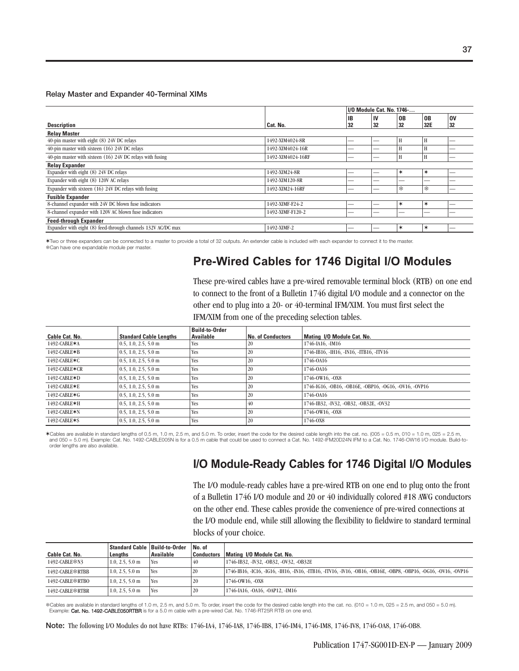### **Relay Master and Expander 40-Terminal XIMs**

|                                                              |                   |    | I/O Module Cat. No. 1746- |        |                |           |
|--------------------------------------------------------------|-------------------|----|---------------------------|--------|----------------|-----------|
|                                                              |                   | IB | IV                        | 0B     | 0 <sub>B</sub> | <b>OV</b> |
| <b>Description</b>                                           | Cat. No.          | 32 | 32                        | 32     | 32E            | 32        |
| <b>Relay Master</b>                                          |                   |    |                           |        |                |           |
| 40-pin master with eight (8) 24V DC relays                   | 1492-XIM4024-8R   |    |                           | H      | H              |           |
| 40-pin master with sixteen (16) 24V DC relays                | 1492-XIM4024-16R  |    |                           | H      | H              |           |
| 40-pin master with sixteen (16) 24V DC relays with fusing    | 1492-XIM4024-16RF |    |                           | H      | H              |           |
| <b>Relay Expander</b>                                        |                   |    |                           |        |                |           |
| Expander with eight (8) 24V DC relays                        | 1492-XIM24-8R     |    |                           | $\ast$ | $\ast$         |           |
| Expander with eight (8) 120V AC relays                       | 1492-XIM120-8R    | _  | --                        | _      | _              |           |
| Expander with sixteen (16) 24V DC relays with fusing         | 1492-XIM24-16RF   | _  | _                         | *      | 戀              |           |
| <b>Fusible Expander</b>                                      |                   |    |                           |        |                |           |
| 8-channel expander with 24V DC blown fuse indicators         | 1492-XIMF-F24-2   |    |                           | $\ast$ | ∗              |           |
| 8-channel expander with 120V AC blown fuse indicators        | 1492-XIMF-F120-2  |    |                           | -      |                |           |
| <b>Feed-through Expander</b>                                 |                   |    |                           |        |                |           |
| Expander with eight (8) feed-through channels 132V AC/DC max | 1492-XIMF-2       | _  |                           | $\ast$ | $\ast$         |           |

✶Two or three expanders can be connected to a master to provide a total of 32 outputs. An extender cable is included with each expander to connect it to the master. Can have one expandable module per master.

## **Pre-Wired Cables for 1746 Digital I/O Modules**

These pre-wired cables have a pre-wired removable terminal block (RTB) on one end to connect to the front of a Bulletin 1746 digital I/O module and a connector on the other end to plug into a 20- or 40-terminal IFM/XIM. You must first select the IFM/XIM from one of the preceding selection tables.

|                |                               | <b>Build-to-Order</b> |                   |                                                        |
|----------------|-------------------------------|-----------------------|-------------------|--------------------------------------------------------|
| Cable Cat. No. | <b>Standard Cable Lengths</b> | Available             | No. of Conductors | Mating 1/0 Module Cat. No.                             |
| 1492-CABLE*A   | $0.5, 1.0, 2.5, 5.0$ m        | Yes                   | 20                | 1746-IA16, -IM16                                       |
| 1492-CABLE*B   | $0.5, 1.0, 2.5, 5.0$ m        | <b>Yes</b>            | 20                | 1746-IB16, -IH16, -IN16, -ITB16, -ITV16                |
| 1492-CABLE*C   | $0.5, 1.0, 2.5, 5.0$ m        | <b>Yes</b>            | 20                | 1746-0A16                                              |
| 1492-CABLE*CR  | $0.5, 1.0, 2.5, 5.0$ m        | <b>Yes</b>            | 20                | 1746-0A16                                              |
| 1492-CABLE*D   | $0.5, 1.0, 2.5, 5.0$ m        | <b>Yes</b>            | 20                | 1746-0W16. - OX8                                       |
| 1492-CABLE*E   | $0.5, 1.0, 2.5, 5.0$ m        | <b>Yes</b>            | 20                | 1746-IG16, -OB16, -OB16E, -OBP16, -OG16, -OV16, -OVP16 |
| 1492-CABLE*G   | $0.5, 1.0, 2.5, 5.0$ m        | <b>Yes</b>            | 20                | 1746-0A16                                              |
| 1492-CABLE*H   | $0.5, 1.0, 2.5, 5.0$ m        | Yes                   | 40                | 1746-IB32, -IV32, -OB32, -OB32E, -OV32                 |
| 1492-CABLE*N   | $0.5, 1.0, 2.5, 5.0$ m        | Yes                   | 20                | 1746-0W16. - OX8                                       |
| 1492-CABLE*S   | $0.5, 1.0, 2.5, 5.0$ m        | Yes                   | 20                | 1746-0X8                                               |

✶Cables are available in standard lengths of 0.5 m, 1.0 m, 2.5 m, and 5.0 m. To order, insert the code for the desired cable length into the cat. no. (005 = 0.5 m, 010 = 1.0 m, 025 = 2.5 m, and 050 = 5.0 m). Example: Cat. No. 1492-CABLE005N is for a 0.5 m cable that could be used to connect a Cat. No. 1492-IFM20D24N IFM to a Cat. No. 1746-OW16 I/O module. Build-toorder lengths are also available.

### **I/O Module-Ready Cables for 1746 Digital I/O Modules**

The I/O module-ready cables have a pre-wired RTB on one end to plug onto the front of a Bulletin 1746 I/O module and 20 or 40 individually colored #18 AWG conductors on the other end. These cables provide the convenience of pre-wired connections at the I/O module end, while still allowing the flexibility to fieldwire to standard terminal blocks of your choice.

|                  | Standard Cable   Build-to-Order |            | No. of            |                                                                                                                  |
|------------------|---------------------------------|------------|-------------------|------------------------------------------------------------------------------------------------------------------|
| Cable Cat. No.   | Lenaths                         | Available  | <b>Conductors</b> | Mating 1/0 Module Cat. No.                                                                                       |
| 1492-CABLE※N3    | $1.0, 2.5, 5.0$ m               | Yes.       | 40                | 1746-IB32, -IV32, -OB32, -OV32, -OB32E                                                                           |
| 1492-CABLE ॐRTBB | $1.0, 2.5, 5.0$ m               | 'Yes       | 20                | 1746-IB16, -IC16, -IG16, -IH16, -IN16, -ITB16, -ITV16, -IV16, -OB16, -OB16E, -OBP8, -OBP16, -OG16, -OV16, -OVP16 |
| 1492-CABLE‡RTBO  | $1.0, 2.5, 5.0$ m               | <b>Yes</b> | 20                | 1746-0W16. -0X8                                                                                                  |
| 1492-CABLE‡RTBR  | $1.0, 2.5, 5.0$ m               | 'Yes       | 20                | 1746-IA16, -OA16, -OAP12, -IM16                                                                                  |

\$Cables are available in standard lengths of 1.0 m, 2.5 m, and 5.0 m. To order, insert the code for the desired cable length into the cat. no. (010 = 1.0 m, 025 = 2.5 m, and 050 = 5.0 m).<br>Example: Cat. No. 1492-CABLE050RT

**Note:** The following I/O Modules do not have RTBs: 1746-IA4, 1746-IA8, 1746-IB8, 1746-IM4, 1746-IM8, 1746-IV8, 1746-OA8, 1746-OB8.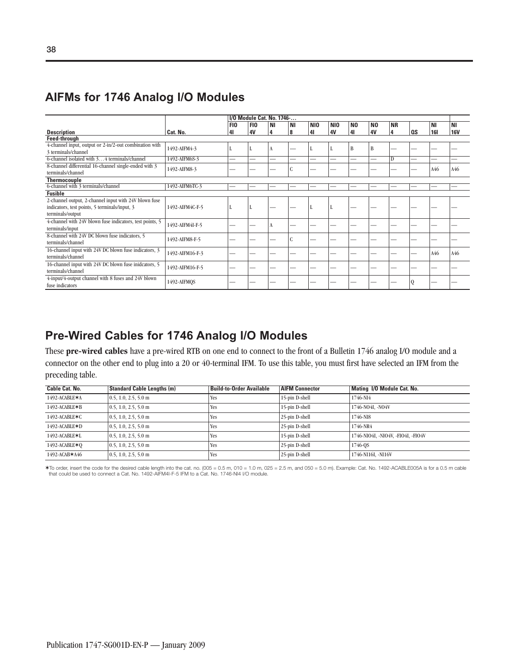## **AIFMs for 1746 Analog I/O Modules**

|                                                                                                                            |                 |                       |                       | I/O Module Cat. No. 1746- |                |                       |                              |                      |                      |                |    |                  |                         |
|----------------------------------------------------------------------------------------------------------------------------|-----------------|-----------------------|-----------------------|---------------------------|----------------|-----------------------|------------------------------|----------------------|----------------------|----------------|----|------------------|-------------------------|
| <b>Description</b>                                                                                                         | Cat. No.        | FI <sub>0</sub><br>41 | FI <sub>0</sub><br>4V | ΝI<br>4                   | <b>NI</b><br>8 | N <sub>10</sub><br>41 | N <sub>10</sub><br><b>4V</b> | N <sub>0</sub><br>41 | N <sub>0</sub><br>4V | <b>NR</b><br>4 | QS | ΝI<br><b>161</b> | <b>NI</b><br><b>16V</b> |
| <b>Feed-through</b>                                                                                                        |                 |                       |                       |                           |                |                       |                              |                      |                      |                |    |                  |                         |
| 4-channel input, output or 2-in/2-out combination with<br>3 terminals/channel                                              | 1492-AIFM4-3    | L                     |                       | A                         |                |                       |                              | B                    | B                    |                |    |                  |                         |
| 6-channel isolated with 34 terminals/channel                                                                               | 1492-AIFM6S-3   |                       | -                     | –                         |                |                       |                              | -                    | -                    | D              |    |                  |                         |
| 8-channel differential 16-channel single-ended with 3<br>terminals/channel                                                 | 1492-AIFM8-3    |                       |                       |                           |                |                       |                              | -                    |                      |                |    | A46              | A46                     |
| <b>Thermocouple</b>                                                                                                        |                 |                       |                       |                           |                |                       |                              |                      |                      |                |    |                  |                         |
| 6-channel with 3 terminals/channel                                                                                         | 1492-AIFM6TC-3  |                       |                       |                           |                |                       |                              |                      |                      |                |    |                  |                         |
| <b>Fusible</b>                                                                                                             |                 |                       |                       |                           |                |                       |                              |                      |                      |                |    |                  |                         |
| 2-channel output, 2-channel input with 24V blown fuse<br>indicators, test points, 5 terminals/input, 3<br>terminals/output | 1492-AIFM4C-F-5 | T                     |                       |                           |                | ш                     | J.                           | --                   |                      |                |    |                  |                         |
| 4-channel with 24V blown fuse indicators, test points, 5<br>terminals/input                                                | 1492-AIFM4I-F-5 |                       |                       | A                         |                |                       |                              |                      |                      |                |    |                  |                         |
| 8-channel with 24V DC blown fuse indicators, 5<br>terminals/channel                                                        | 1492-AIFM8-F-5  |                       |                       | --                        | r<br>ι.        |                       |                              | --                   | --                   |                |    |                  |                         |
| 16-channel input with 24V DC blown fuse indicators, 3<br>terminals/channel                                                 | 1492-AIFM16-F-3 |                       |                       | --                        | -              |                       |                              | --                   |                      |                |    | A46              | A46                     |
| 16-channel input with 24V DC blown fuse inideators, 5<br>terminals/channel                                                 | 1492-AIFM16-F-5 |                       |                       |                           |                |                       |                              |                      |                      |                |    |                  |                         |
| 4-input/4-output channel with 8 fuses and 24V blown<br>fuse indicators                                                     | 1492-AIFMOS     |                       |                       |                           |                |                       |                              |                      |                      |                | Q  |                  |                         |

## **Pre-Wired Cables for 1746 Analog I/O Modules**

These **pre-wired cables** have a pre-wired RTB on one end to connect to the front of a Bulletin 1746 analog I/O module and a connector on the other end to plug into a 20 or 40-terminal IFM. To use this table, you must first have selected an IFM from the preceding table.

| <b>Cable Cat. No.</b> | <b>Standard Cable Lengths (m)</b> | <b>Build-to-Order Available</b> | <b>AIFM Connector</b> | Mating I/O Module Cat. No.         |
|-----------------------|-----------------------------------|---------------------------------|-----------------------|------------------------------------|
| 1492-ACABLE*A         | $0.5, 1.0, 2.5, 5.0$ m            | <b>Yes</b>                      | 15-pin D-shell        | 1746-NI4                           |
| 1492-ACABLE*B         | $0.5, 1.0, 2.5, 5.0$ m            | <b>Yes</b>                      | 15-pin D-shell        | 1746-NO4I, -NO4V                   |
| 1492-ACABLE*C         | $0.5, 1.0, 2.5, 5.0$ m            | <b>Yes</b>                      | 25-pin D-shell        | 1746-NI8                           |
| 1492-ACABLE*D         | $0.5, 1.0, 2.5, 5.0$ m            | <b>Yes</b>                      | 25-pin D-shell        | 1746-NR4                           |
| 1492-ACABLE*L         | $0.5, 1.0, 2.5, 5.0$ m            | Yes                             | 15-pin D-shell        | 1746-NIO4I, -NIO4V, -FIO4I, -FIO4V |
| 1492-ACABLE∗O         | $0.5, 1.0, 2.5, 5.0$ m            | Yes                             | 25-pin D-shell        | 1746-OS                            |
| 1492-ACAB*A46         | $0.5, 1.0, 2.5, 5.0$ m            | Yes                             | 25-pin D-shell        | 1746-NI16I, -NI16V                 |

\*To order, insert the code for the desired cable length into the cat. no. (005 = 0.5 m, 010 = 1.0 m, 025 = 2.5 m, and 050 = 5.0 m). Example: Cat. No. 1492-ACABLE005A is for a 0.5 m cable<br>that could be used to connect a Ca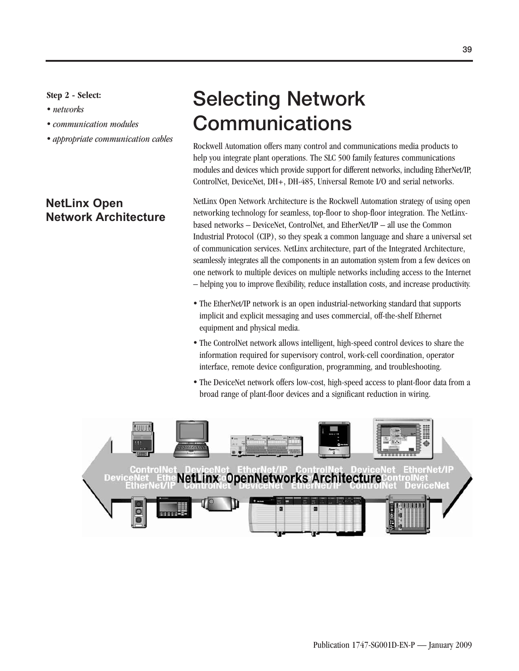### **Step 2 - Select:**

- *networks*
- *communication modules*
- appropriate communication cables

### **NetLinx Open Network Architecture**

# **Selecting Network Communications**

Rockwell Automation offers many control and communications media products to help you integrate plant operations. The SLC 500 family features communications modules and devices which provide support for different networks, including EtherNet/IP, ControlNet, DeviceNet, DH+, DH-485, Universal Remote I/O and serial networks.

NetLinx Open Network Architecture is the Rockwell Automation strategy of using open networking technology for seamless, top-floor to shop-floor integration. The NetLinxbased networks – DeviceNet, ControlNet, and EtherNet/IP – all use the Common Industrial Protocol (CIP), so they speak a common language and share a universal set of communication services. NetLinx architecture, part of the Integrated Architecture, seamlessly integrates all the components in an automation system from a few devices on one network to multiple devices on multiple networks including access to the Internet – helping you to improve flexibility, reduce installation costs, and increase productivity.

- The EtherNet/IP network is an open industrial-networking standard that supports implicit and explicit messaging and uses commercial, off-the-shelf Ethernet equipment and physical media.
- The ControlNet network allows intelligent, high-speed control devices to share the information required for supervisory control, work-cell coordination, operator interface, remote device configuration, programming, and troubleshooting.
- The DeviceNet network offers low-cost, high-speed access to plant-floor data from a broad range of plant-floor devices and a significant reduction in wiring.

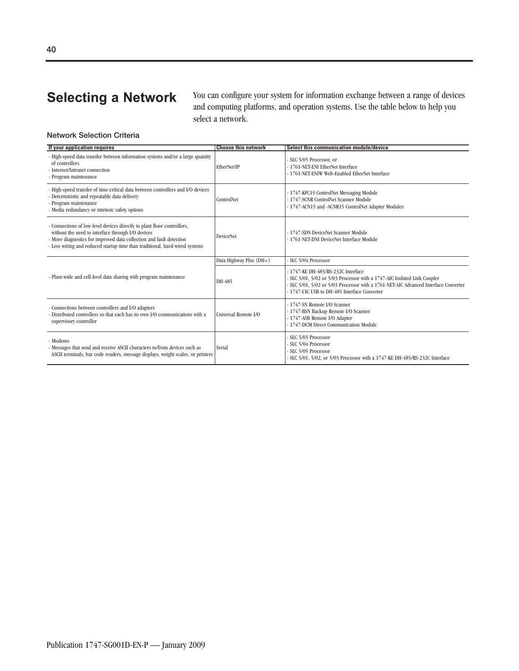**Selecting a Network** You can configure your system for information exchange between a range of devices and computing platforms, and operation systems. Use the table below to help you select a network.

### **Network Selection Criteria**

| If your application requires                                                                                                                                                                                                                                                       | <b>Choose this network</b> | Select this communication module/device                                                                                                                                                                                                               |
|------------------------------------------------------------------------------------------------------------------------------------------------------------------------------------------------------------------------------------------------------------------------------------|----------------------------|-------------------------------------------------------------------------------------------------------------------------------------------------------------------------------------------------------------------------------------------------------|
| - High-speed data transfer between information systems and/or a large quantity<br>of controllers<br>- Internet/Intranet connection<br>- Program maintenance                                                                                                                        | EtherNet/IP                | - SLC 5/05 Processor, or<br>- 1761-NET-ENI EtherNet Interface<br>- 1761-NET-ENIW Web-Enabled EtherNet Interface                                                                                                                                       |
| - High-speed transfer of time-critical data between controllers and I/O devices<br>- Deterministic and repeatable data delivery<br>- Program maintenance<br>- Media redundancy or intrinsic safety options                                                                         | ControlNet                 | - 1747-KFC15 ControlNet Messaging Module<br>- 1747-SCNR ControlNet Scanner Module<br>- 1747-ACN15 and -ACNR15 ControlNet Adapter Modules                                                                                                              |
| - Connections of low-level devices directly to plant floor controllers,<br>without the need to interface through I/O devices<br>- More diagnostics for improved data collection and fault detection<br>- Less wiring and reduced startup time than traditional, hard-wired systems | <b>DeviceNet</b>           | - 1747-SDN DeviceNet Scanner Module<br>- 1761-NET-DNI DeviceNet Interface Module                                                                                                                                                                      |
|                                                                                                                                                                                                                                                                                    | Data Highway Plus (DH+)    | - SLC 5/04 Processor                                                                                                                                                                                                                                  |
| - Plant-wide and cell-level data sharing with program maintenance                                                                                                                                                                                                                  | DH-485                     | - 1747-KE DH-485/RS-232C Interface<br>- SLC 5/01, 5/02 or 5/03 Processor with a 1747-AIC Isolated Link Coupler<br>- SLC 5/01, 5/02 or 5/03 Processor with a 1761-NET-AIC Advanced Interface Converter<br>- 1747-UIC USB to DH-485 Interface Converter |
| - Connections between controllers and I/O adapters<br>- Distributed controllers so that each has its own I/O communications with a<br>supervisory controller                                                                                                                       | Universal Remote I/O       | - 1747-SN Remote I/O Scanner<br>- 1747-BSN Backup Remote I/O Scanner<br>- 1747-ASB Remote I/O Adapter<br>- 1747-DCM Direct Communication Module                                                                                                       |
| - Modems<br>- Messages that send and receive ASCII characters to/from devices such as<br>ASCII terminals, bar code readers, message displays, weight scales, or printers                                                                                                           | Serial                     | - SLC 5/03 Processor<br>- SLC 5/04 Processor<br>- SLC 5/05 Processor<br>- SLC 5/01, 5/02, or 5/03 Processor with a 1747-KE DH-485/RS-232C Interface                                                                                                   |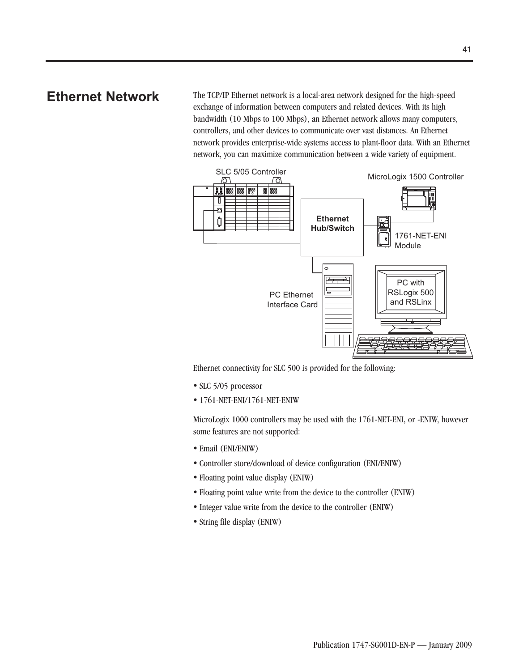**Ethernet Network** The TCP/IP Ethernet network is a local-area network designed for the high-speed exchange of information between computers and related devices. With its high bandwidth (10 Mbps to 100 Mbps), an Ethernet network allows many computers, controllers, and other devices to communicate over vast distances. An Ethernet network provides enterprise-wide systems access to plant-floor data. With an Ethernet network, you can maximize communication between a wide variety of equipment.



Ethernet connectivity for SLC 500 is provided for the following:

- SLC 5/05 processor
- 1761-NET-ENI/1761-NET-ENIW

MicroLogix 1000 controllers may be used with the 1761-NET-ENI, or -ENIW, however some features are not supported:

- Email (ENI/ENIW)
- Controller store/download of device configuration (ENI/ENIW)
- Floating point value display (ENIW)
- Floating point value write from the device to the controller (ENIW)
- Integer value write from the device to the controller (ENIW)
- String file display (ENIW)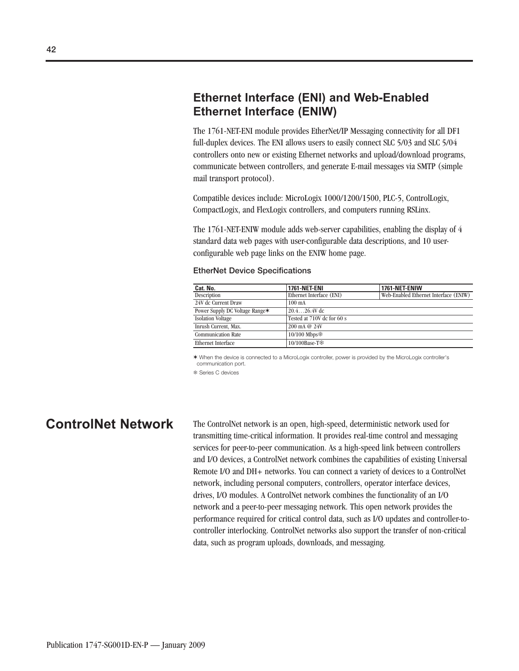## **Ethernet Interface (ENI) and Web-Enabled Ethernet Interface (ENIW)**

The 1761-NET-ENI module provides EtherNet/IP Messaging connectivity for all DF1 full-duplex devices. The ENI allows users to easily connect SLC 5/03 and SLC 5/04 controllers onto new or existing Ethernet networks and upload/download programs, communicate between controllers, and generate E-mail messages via SMTP (simple mail transport protocol).

Compatible devices include: MicroLogix 1000/1200/1500, PLC-5, ControlLogix, CompactLogix, and FlexLogix controllers, and computers running RSLinx.

The 1761-NET-ENIW module adds web-server capabilities, enabling the display of 4 standard data web pages with user-configurable data descriptions, and 10 userconfigurable web page links on the ENIW home page.

### 100 mA 20.4…26.4V dc Tested at 710V dc for 60 s 200 mA @ 24V 10/100 Mbps **Cat. No.** 1761-NET-ENI 1761-NET-ENI 1761-NET-ENIW Description Ethernet Interface (ENI) Web-Enabled Ethernet Web-Enabled Ethernet Interface (ENIW) 24V dc Current Draw Power Supply DC Voltage Range✶ Isolation Voltage Inrush Current, Max. Communication Rate

10/100Base-T<sup>\*</sup>

### **EtherNet Device Specifications**

✶ When the device is connected to a MicroLogix controller, power is provided by the MicroLogix controller's communication port.

Series C devices

Ethernet Interface

**ControlNet Network** The ControlNet network is an open, high-speed, deterministic network used for transmitting time-critical information. It provides real-time control and messaging services for peer-to-peer communication. As a high-speed link between controllers and I/O devices, a ControlNet network combines the capabilities of existing Universal Remote I/O and DH+ networks. You can connect a variety of devices to a ControlNet network, including personal computers, controllers, operator interface devices, drives, I/O modules. A ControlNet network combines the functionality of an I/O network and a peer-to-peer messaging network. This open network provides the performance required for critical control data, such as I/O updates and controller-tocontroller interlocking. ControlNet networks also support the transfer of non-critical data, such as program uploads, downloads, and messaging.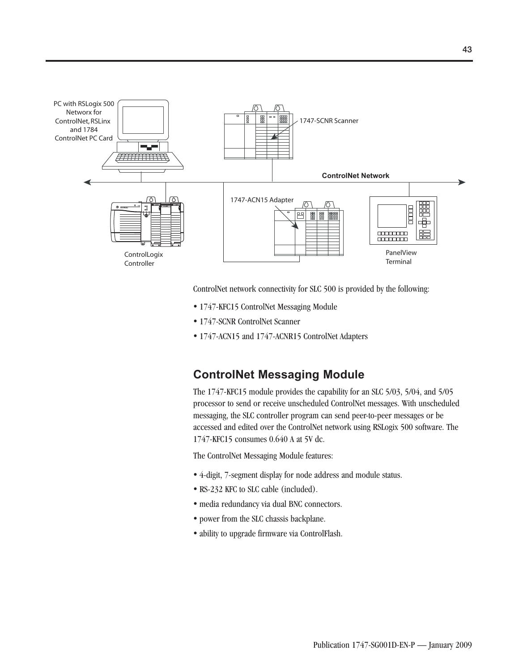

ControlNet network connectivity for SLC 500 is provided by the following:

- 1747-KFC15 ControlNet Messaging Module
- 1747-SCNR ControlNet Scanner
- 1747-ACN15 and 1747-ACNR15 ControlNet Adapters

### **ControlNet Messaging Module**

The 1747-KFC15 module provides the capability for an SLC 5/03, 5/04, and 5/05 processor to send or receive unscheduled ControlNet messages. With unscheduled messaging, the SLC controller program can send peer-to-peer messages or be accessed and edited over the ControlNet network using RSLogix 500 software. The 1747-KFC15 consumes 0.640 A at 5V dc.

The ControlNet Messaging Module features:

- 4-digit, 7-segment display for node address and module status.
- RS-232 KFC to SLC cable (included).
- media redundancy via dual BNC connectors.
- power from the SLC chassis backplane.
- ability to upgrade firmware via ControlFlash.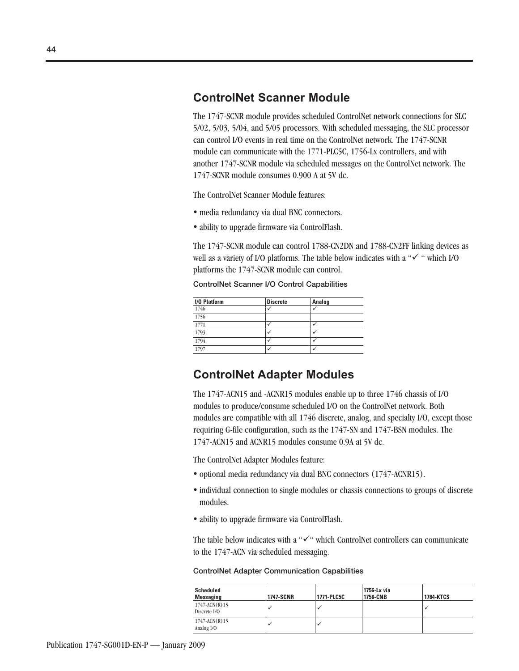### **ControlNet Scanner Module**

The 1747-SCNR module provides scheduled ControlNet network connections for SLC 5/02, 5/03, 5/04, and 5/05 processors. With scheduled messaging, the SLC processor can control I/O events in real time on the ControlNet network. The 1747-SCNR module can communicate with the 1771-PLC5C, 1756-Lx controllers, and with another 1747-SCNR module via scheduled messages on the ControlNet network. The 1747-SCNR module consumes 0.900 A at 5V dc.

The ControlNet Scanner Module features:

- media redundancy via dual BNC connectors.
- ability to upgrade firmware via ControlFlash.

The 1747-SCNR module can control 1788-CN2DN and 1788-CN2FF linking devices as well as a variety of I/O platforms. The table below indicates with a " $\checkmark$ " which I/O platforms the 1747-SCNR module can control.

**ControlNet Scanner I/O Control Capabilities**

| I/O Platform | <b>Discrete</b> | <b>Analog</b> |  |
|--------------|-----------------|---------------|--|
| 1746         |                 |               |  |
| 1756         |                 |               |  |
| 1771         |                 |               |  |
| 1793         |                 |               |  |
| 1794         |                 |               |  |
| 1797         |                 |               |  |

### **ControlNet Adapter Modules**

The 1747-ACN15 and -ACNR15 modules enable up to three 1746 chassis of I/O modules to produce/consume scheduled I/O on the ControlNet network. Both modules are compatible with all 1746 discrete, analog, and specialty I/O, except those requiring G-file configuration, such as the 1747-SN and 1747-BSN modules. The 1747-ACN15 and ACNR15 modules consume 0.9A at 5V dc.

The ControlNet Adapter Modules feature:

- optional media redundancy via dual BNC connectors (1747-ACNR15).
- individual connection to single modules or chassis connections to groups of discrete modules.
- ability to upgrade firmware via ControlFlash.

The table below indicates with a " $\checkmark$ " which ControlNet controllers can communicate to the 1747-ACN via scheduled messaging.

| <b>ControlNet Adapter Communication Capabilities</b> |  |  |
|------------------------------------------------------|--|--|
|------------------------------------------------------|--|--|

| <b>Scheduled</b><br><b>Messaging</b> | <b>1747-SCNR</b> | 1771-PLC5C | 1756-Lx via<br>1756-CNB | <b>1784-KTCS</b> |
|--------------------------------------|------------------|------------|-------------------------|------------------|
| $1747 - ACN(R)15$<br>Discrete I/O    |                  |            |                         |                  |
| $1747 - ACN(R)$ 15<br>Analog I/O     |                  |            |                         |                  |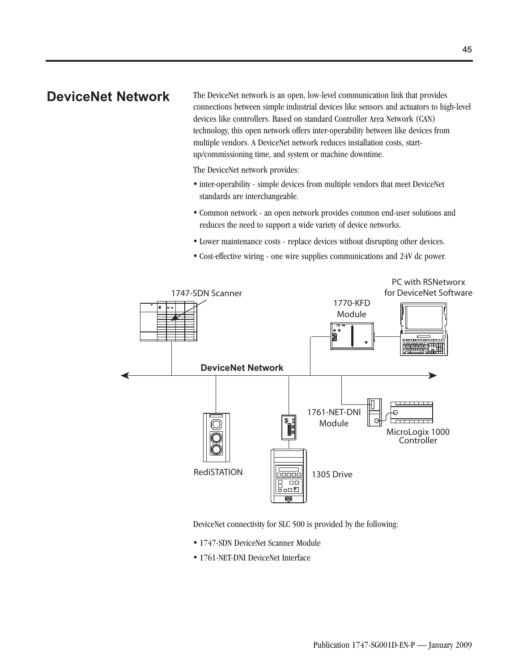**DeviceNet Network** The DeviceNet network is an open, low-level communication link that provides connections between simple industrial devices like sensors and actuators to high-level devices like controllers. Based on standard Controller Area Network (CAN) technology, this open network offers inter-operability between like devices from multiple vendors. A DeviceNet network reduces installation costs, startup/commissioning time, and system or machine downtime.

The DeviceNet network provides:

- inter-operability simple devices from multiple vendors that meet DeviceNet standards are interchangeable.
- Common network an open network provides common end-user solutions and reduces the need to support a wide variety of device networks.
- Lower maintenance costs replace devices without disrupting other devices.
- Cost-effective wiring one wire supplies communications and 24V dc power.



DeviceNet connectivity for SLC 500 is provided by the following:

- 1747-SDN DeviceNet Scanner Module
- 1761-NET-DNI DeviceNet Interface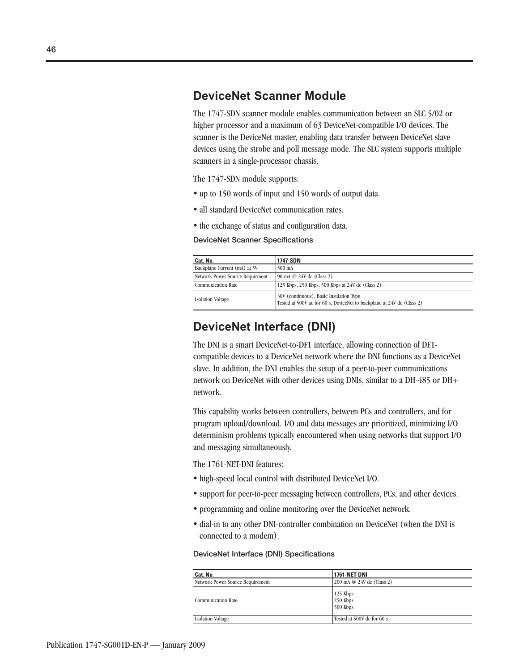### **DeviceNet Scanner Module**

The 1747-SDN scanner module enables communication between an SLC 5/02 or higher processor and a maximum of 63 DeviceNet-compatible I/O devices. The scanner is the DeviceNet master, enabling data transfer between DeviceNet slave devices using the strobe and poll message mode. The SLC system supports multiple scanners in a single-processor chassis.

The 1747-SDN module supports:

- up to 150 words of input and 150 words of output data.
- all standard DeviceNet communication rates.
- the exchange of status and configuration data.

### **DeviceNet Scanner Specifications**

| Cat. No.                        | 1747-SDN                                                                                                          |
|---------------------------------|-------------------------------------------------------------------------------------------------------------------|
| Backplane Current (mA) at 5V    | 500 mA                                                                                                            |
| Network Power Source Requirment | 90 mA @ 24V dc (Class 2)                                                                                          |
| <b>Communication Rate</b>       | 125 Kbps, 250 Kbps, 500 Kbps at 24V dc (Class 2)                                                                  |
| <b>Isolation Voltage</b>        | 30V (continuous), Basic Insulation Type<br>Tested at 500V ac for 60 s, DeviceNet to backplane at 24V dc (Class 2) |

### **DeviceNet Interface (DNI)**

The DNI is a smart DeviceNet-to-DF1 interface, allowing connection of DF1 compatible devices to a DeviceNet network where the DNI functions as a DeviceNet slave. In addition, the DNI enables the setup of a peer-to-peer communications network on DeviceNet with other devices using DNIs, similar to a DH-485 or DH+ network.

This capability works between controllers, between PCs and controllers, and for program upload/download. I/O and data messages are prioritized, minimizing I/O determinism problems typically encountered when using networks that support I/O and messaging simultaneously.

The 1761-NET-DNI features:

- high-speed local control with distributed DeviceNet I/O.
- support for peer-to-peer messaging between controllers, PCs, and other devices.
- programming and online monitoring over the DeviceNet network.
- dial-in to any other DNI-controller combination on DeviceNet (when the DNI is connected to a modem).

### **DeviceNet Interface (DNI) Specifications**

| Cat. No.                         | <b>1761-NET-DNI</b>              |
|----------------------------------|----------------------------------|
| Network Power Source Requirement | 200 mA @ 24V dc (Class 2)        |
| <b>Communication Rate</b>        | 125 Kbps<br>250 Kbps<br>500 Kbps |
| <b>Isolation Voltage</b>         | Tested at 500V dc for 60 s       |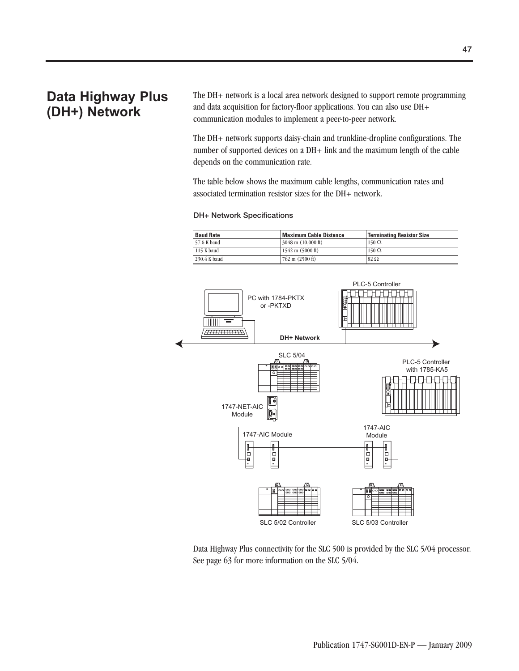## **Data Highway Plus (DH+) Network**

The DH+ network is a local area network designed to support remote programming and data acquisition for factory-floor applications. You can also use DH+ communication modules to implement a peer-to-peer network.

The DH+ network supports daisy-chain and trunkline-dropline configurations. The number of supported devices on a DH+ link and the maximum length of the cable depends on the communication rate.

The table below shows the maximum cable lengths, communication rates and associated termination resistor sizes for the DH+ network.

### **DH+ Network Specifications**

| <b>Baud Rate</b> | <b>Maximum Cable Distance</b>              | <b>Terminating Resistor Size</b> |
|------------------|--------------------------------------------|----------------------------------|
| 57.6 K baud      | $\frac{3048 \text{ m}}{10,000 \text{ ft}}$ | $150 \Omega$                     |
| 115 K baud       | $1542 \text{ m} (5000 \text{ ft})$         | $150 \Omega$                     |
| 230.4 K baud     | $762 \text{ m}$ (2500 ft)                  | $82 \Omega$                      |



Data Highway Plus connectivity for the SLC 500 is provided by the SLC 5/04 processor. See page 63 for more information on the SLC 5/04.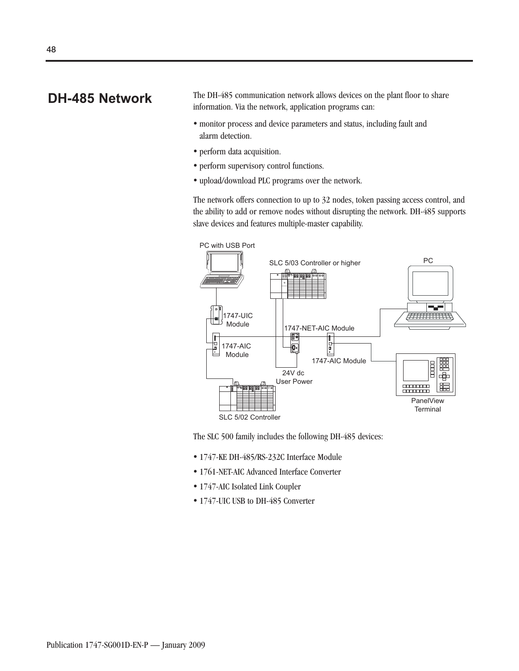**DH-485 Network** The DH-485 communication network allows devices on the plant floor to share information. Via the network, application programs can:

- monitor process and device parameters and status, including fault and alarm detection.
- perform data acquisition.
- perform supervisory control functions.
- upload/download PLC programs over the network.

The network offers connection to up to 32 nodes, token passing access control, and the ability to add or remove nodes without disrupting the network. DH-485 supports slave devices and features multiple-master capability.



The SLC 500 family includes the following DH-485 devices:

- 1747-KE DH-485/RS-232C Interface Module
- 1761-NET-AIC Advanced Interface Converter
- 1747-AIC Isolated Link Coupler
- 1747-UIC USB to DH-485 Converter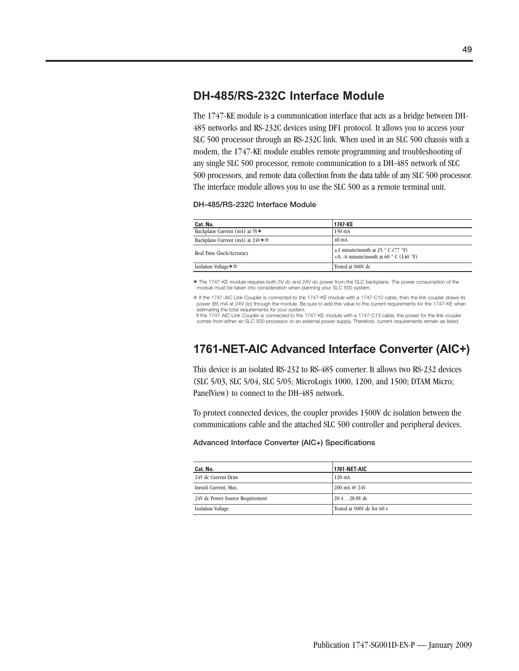## **DH-485/RS-232C Interface Module**

The 1747-KE module is a communication interface that acts as a bridge between DH-485 networks and RS-232C devices using DF1 protocol. It allows you to access your SLC 500 processor through an RS-232C link. When used in an SLC 500 chassis with a modem, the 1747-KE module enables remote programming and troubleshooting of any single SLC 500 processor, remote communication to a DH-485 network of SLC 500 processors, and remote data collection from the data table of any SLC 500 processor. The interface module allows you to use the SLC 500 as a remote terminal unit.

### **DH-485/RS-232C Interface Module**

| Cat. No.                                   | 1747-KE                                                                                             |
|--------------------------------------------|-----------------------------------------------------------------------------------------------------|
| Backplane Current (mA) at 5V*              | 150 mA                                                                                              |
| Backplane Current (mA) at 24V <sup>*</sup> | $40 \text{ mA}$                                                                                     |
| Real Time Clock/Accuracy                   | $\pm 1$ minute/month at 25 ° C (77 °F)<br>+0. -6 minute/month at 60 $^{\circ}$ C (140 $^{\circ}$ F) |
| Isolation Voltage **                       | Tested at 500V dc                                                                                   |

✶ The 1747-KE module requires both 5V dc and 24V dc power from the SLC backplane. The power consumption of the module must be taken into consideration when planning your SLC 500 system.

 If the 1747-AIC Link Coupler is connected to the 1747-KE module with a 1747-C10 cable, then the link coupler draws its power (85 mA at 24V dc) through the module. Be sure to add this value to the current requirements for the 1747-KE when estimating the total requirements for your system.

If the 1747-AIC Link Coupler is connected to the 1747-KE module with a 1747-C13 cable, the power for the link coupler comes from either an SLC 500 processor or an external power supply. Therefore, current requirements remain as listed.

## **1761-NET-AIC Advanced Interface Converter (AIC+)**

This device is an isolated RS-232 to RS-485 converter. It allows two RS-232 devices (SLC 5/03, SLC 5/04, SLC 5/05; MicroLogix 1000, 1200, and 1500; DTAM Micro; PanelView) to connect to the DH-485 network.

To protect connected devices, the coupler provides 1500V dc isolation between the communications cable and the attached SLC 500 controller and peripheral devices.

### **Advanced Interface Converter (AIC+) Specifications**

| Cat. No.                        | <b>1761-NET AIC</b>        |
|---------------------------------|----------------------------|
| 24V dc Current Draw             | $120 \text{ mA}$           |
| Inrush Current, Max.            | $200 \text{ mA}$ @ $24V$   |
| 24V dc Power Source Requirement | $20.428.8V$ dc             |
| <b>Isolation Voltage</b>        | Tested at 500V dc for 60 s |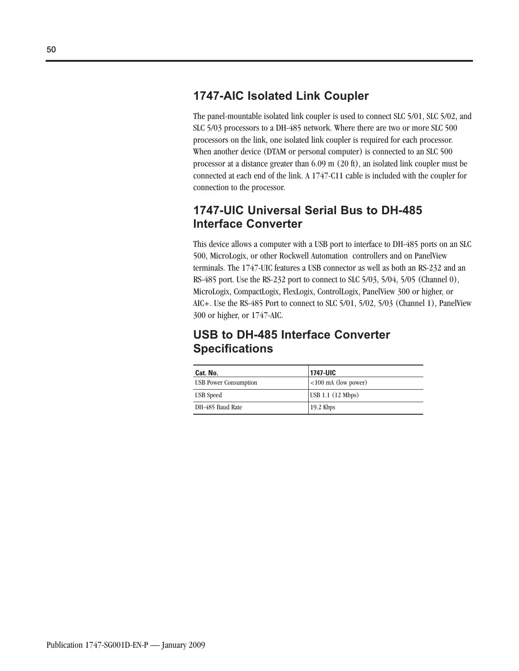## **1747-AIC Isolated Link Coupler**

The panel-mountable isolated link coupler is used to connect SLC 5/01, SLC 5/02, and SLC 5/03 processors to a DH-485 network. Where there are two or more SLC 500 processors on the link, one isolated link coupler is required for each processor. When another device (DTAM or personal computer) is connected to an SLC 500 processor at a distance greater than 6.09 m (20 ft), an isolated link coupler must be connected at each end of the link. A 1747-C11 cable is included with the coupler for connection to the processor.

## **1747-UIC Universal Serial Bus to DH-485 Interface Converter**

This device allows a computer with a USB port to interface to DH-485 ports on an SLC 500, MicroLogix, or other Rockwell Automation controllers and on PanelView terminals. The 1747-UIC features a USB connector as well as both an RS-232 and an RS-485 port. Use the RS-232 port to connect to SLC 5/03, 5/04, 5/05 (Channel 0), MicroLogix, CompactLogix, FlexLogix, ControlLogix, PanelView 300 or higher, or AIC+. Use the RS-485 Port to connect to SLC 5/01, 5/02, 5/03 (Channel 1), PanelView 300 or higher, or 1747-AIC.

## **USB to DH-485 Interface Converter Specifications**

| Cat. No.                     | 1747-UIC              |
|------------------------------|-----------------------|
| <b>USB Power Consumption</b> | $<100$ mA (low power) |
| USB Speed                    | USB 1.1 (12 Mbps)     |
| DH-485 Baud Rate             | $19.2$ Kbps           |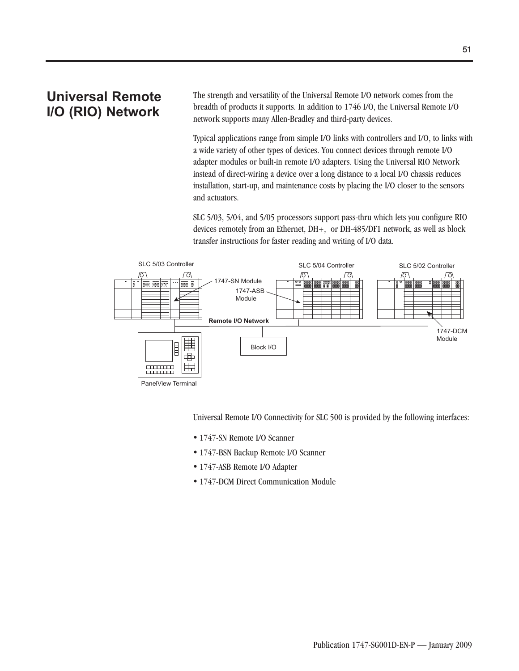## **Universal Remote I/O (RIO) Network**

The strength and versatility of the Universal Remote I/O network comes from the breadth of products it supports. In addition to 1746 I/O, the Universal Remote I/O network supports many Allen-Bradley and third-party devices.

Typical applications range from simple I/O links with controllers and I/O, to links with a wide variety of other types of devices. You connect devices through remote I/O adapter modules or built-in remote I/O adapters. Using the Universal RIO Network instead of direct-wiring a device over a long distance to a local I/O chassis reduces installation, start-up, and maintenance costs by placing the I/O closer to the sensors and actuators.

SLC 5/03, 5/04, and 5/05 processors support pass-thru which lets you configure RIO devices remotely from an Ethernet, DH+, or DH-485/DF1 network, as well as block transfer instructions for faster reading and writing of I/O data.



Universal Remote I/O Connectivity for SLC 500 is provided by the following interfaces:

- 1747-SN Remote I/O Scanner
- 1747-BSN Backup Remote I/O Scanner
- 1747-ASB Remote I/O Adapter
- 1747-DCM Direct Communication Module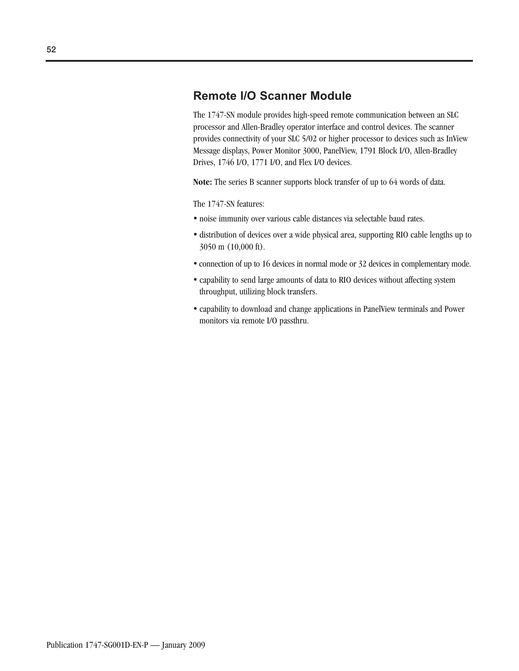### **Remote I/O Scanner Module**

The 1747-SN module provides high-speed remote communication between an SLC processor and Allen-Bradley operator interface and control devices. The scanner provides connectivity of your SLC 5/02 or higher processor to devices such as InView Message displays, Power Monitor 3000, PanelView, 1791 Block I/O, Allen-Bradley Drives, 1746 I/O, 1771 I/O, and Flex I/O devices.

**Note:** The series B scanner supports block transfer of up to 64 words of data.

The 1747-SN features:

- noise immunity over various cable distances via selectable baud rates.
- distribution of devices over a wide physical area, supporting RIO cable lengths up to 3050 m (10,000 ft).
- connection of up to 16 devices in normal mode or 32 devices in complementary mode.
- capability to send large amounts of data to RIO devices without affecting system throughput, utilizing block transfers.
- capability to download and change applications in PanelView terminals and Power monitors via remote I/O passthru.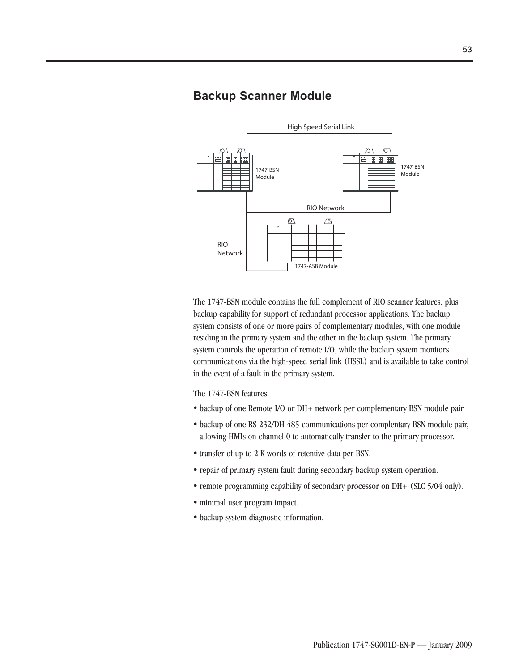### **Backup Scanner Module**



The 1747-BSN module contains the full complement of RIO scanner features, plus backup capability for support of redundant processor applications. The backup system consists of one or more pairs of complementary modules, with one module residing in the primary system and the other in the backup system. The primary system controls the operation of remote I/O, while the backup system monitors communications via the high-speed serial link (HSSL) and is available to take control in the event of a fault in the primary system.

The 1747-BSN features:

- backup of one Remote I/O or DH+ network per complementary BSN module pair.
- backup of one RS-232/DH-485 communications per complentary BSN module pair, allowing HMIs on channel 0 to automatically transfer to the primary processor.
- transfer of up to 2 K words of retentive data per BSN.
- repair of primary system fault during secondary backup system operation.
- remote programming capability of secondary processor on DH+ (SLC 5/04 only).
- minimal user program impact.
- backup system diagnostic information.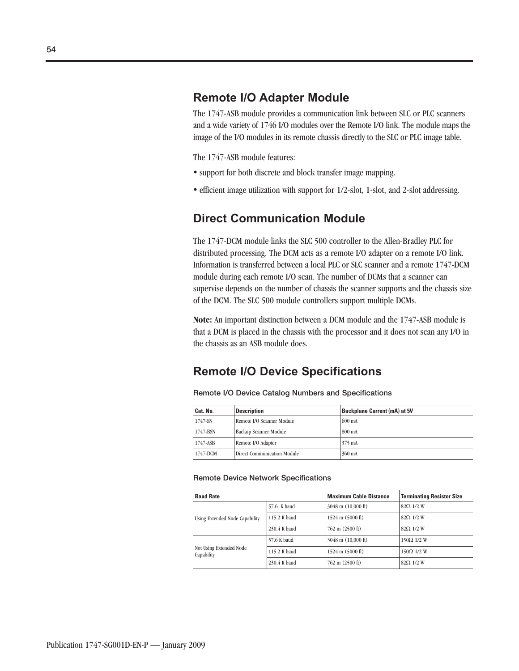## **Remote I/O Adapter Module**

The 1747-ASB module provides a communication link between SLC or PLC scanners and a wide variety of 1746 I/O modules over the Remote I/O link. The module maps the image of the I/O modules in its remote chassis directly to the SLC or PLC image table.

The 1747-ASB module features:

- support for both discrete and block transfer image mapping.
- efficient image utilization with support for 1/2-slot, 1-slot, and 2-slot addressing.

### **Direct Communication Module**

The 1747-DCM module links the SLC 500 controller to the Allen-Bradley PLC for distributed processing. The DCM acts as a remote I/O adapter on a remote I/O link. Information is transferred between a local PLC or SLC scanner and a remote 1747-DCM module during each remote I/O scan. The number of DCMs that a scanner can supervise depends on the number of chassis the scanner supports and the chassis size of the DCM. The SLC 500 module controllers support multiple DCMs.

**Note:** An important distinction between a DCM module and the 1747-ASB module is that a DCM is placed in the chassis with the processor and it does not scan any I/O in the chassis as an ASB module does.

### **Remote I/O Device Specifications**

| Cat. No. | <b>Description</b>                 | <b>Backplane Current (mA) at 5V</b> |
|----------|------------------------------------|-------------------------------------|
| 1747-SN  | Remote I/O Scanner Module          | $600 \text{ mA}$                    |
| 1747-BSN | Backup Scanner Module              | 800 mA                              |
| 1747-ASB | Remote I/O Adapter                 | 375 mA                              |
| 1747-DCM | <b>Direct Communication Module</b> | 360 mA                              |

**Remote I/O Device Catalog Numbers and Specifications**

### **Remote Device Network Specifications**

| <b>Baud Rate</b>                      |              | <b>Maximum Cable Distance</b>      | <b>Terminating Resistor Size</b> |  |  |
|---------------------------------------|--------------|------------------------------------|----------------------------------|--|--|
|                                       | 57.6 K baud  | $3048$ m $(10,000$ ft)             | $82\Omega$ 1/2 W                 |  |  |
| Using Extended Node Capability        | 115.2 K baud | $1524 \text{ m} (5000 \text{ ft})$ | $82\Omega$ 1/2 W                 |  |  |
|                                       | 230.4 K baud | $762 \text{ m}$ (2500 ft)          | $82\Omega$ 1/2 W                 |  |  |
|                                       | 57.6 K baud  | $3048$ m $(10,000$ ft)             | $150\Omega$ 1/2 W                |  |  |
| Not Using Extended Node<br>Capability | 115.2 K baud | $1524 \text{ m} (5000 \text{ ft})$ | $150\Omega$ 1/2 W                |  |  |
|                                       | 230.4 K baud | $762 \text{ m}$ (2500 ft)          | $82Q$ 1/2 W                      |  |  |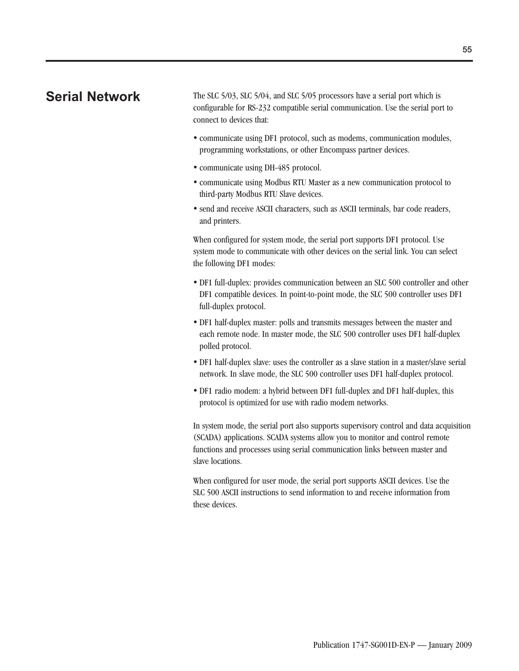**Serial Network** The SLC 5/03, SLC 5/04, and SLC 5/05 processors have a serial port which is configurable for RS-232 compatible serial communication. Use the serial port to connect to devices that:

- communicate using DF1 protocol, such as modems, communication modules, programming workstations, or other Encompass partner devices.
- communicate using DH-485 protocol.
- communicate using Modbus RTU Master as a new communication protocol to third-party Modbus RTU Slave devices.
- send and receive ASCII characters, such as ASCII terminals, bar code readers, and printers.

When configured for system mode, the serial port supports DF1 protocol. Use system mode to communicate with other devices on the serial link. You can select the following DF1 modes:

- DF1 full-duplex: provides communication between an SLC 500 controller and other DF1 compatible devices. In point-to-point mode, the SLC 500 controller uses DF1 full-duplex protocol.
- DF1 half-duplex master: polls and transmits messages between the master and each remote node. In master mode, the SLC 500 controller uses DF1 half-duplex polled protocol.
- DF1 half-duplex slave: uses the controller as a slave station in a master/slave serial network. In slave mode, the SLC 500 controller uses DF1 half-duplex protocol.
- DF1 radio modem: a hybrid between DF1 full-duplex and DF1 half-duplex, this protocol is optimized for use with radio modem networks.

In system mode, the serial port also supports supervisory control and data acquisition (SCADA) applications. SCADA systems allow you to monitor and control remote functions and processes using serial communication links between master and slave locations.

When configured for user mode, the serial port supports ASCII devices. Use the SLC 500 ASCII instructions to send information to and receive information from these devices.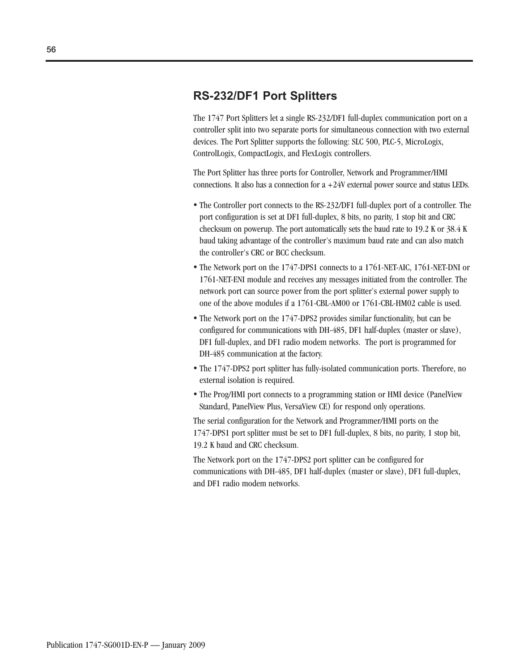### **RS-232/DF1 Port Splitters**

The 1747 Port Splitters let a single RS-232/DF1 full-duplex communication port on a controller split into two separate ports for simultaneous connection with two external devices. The Port Splitter supports the following: SLC 500, PLC-5, MicroLogix, ControlLogix, CompactLogix, and FlexLogix controllers.

The Port Splitter has three ports for Controller, Network and Programmer/HMI connections. It also has a connection for  $a +24V$  external power source and status LEDs.

- The Controller port connects to the RS-232/DF1 full-duplex port of a controller. The port configuration is set at DF1 full-duplex, 8 bits, no parity, 1 stop bit and CRC checksum on powerup. The port automatically sets the baud rate to 19.2 K or 38.4 K baud taking advantage of the controller's maximum baud rate and can also match the controller's CRC or BCC checksum.
- The Network port on the 1747-DPS1 connects to a 1761-NET-AIC, 1761-NET-DNI or 1761-NET-ENI module and receives any messages initiated from the controller. The network port can source power from the port splitter's external power supply to one of the above modules if a 1761-CBL-AM00 or 1761-CBL-HM02 cable is used.
- The Network port on the 1747-DPS2 provides similar functionality, but can be configured for communications with DH-485, DF1 half-duplex (master or slave), DF1 full-duplex, and DF1 radio modem networks. The port is programmed for DH-485 communication at the factory.
- The 1747-DPS2 port splitter has fully-isolated communication ports. Therefore, no external isolation is required.
- The Prog/HMI port connects to a programming station or HMI device (PanelView Standard, PanelView Plus, VersaView CE) for respond only operations.

The serial configuration for the Network and Programmer/HMI ports on the 1747-DPS1 port splitter must be set to DF1 full-duplex, 8 bits, no parity, 1 stop bit, 19.2 K baud and CRC checksum.

The Network port on the 1747-DPS2 port splitter can be configured for communications with DH-485, DF1 half-duplex (master or slave), DF1 full-duplex, and DF1 radio modem networks.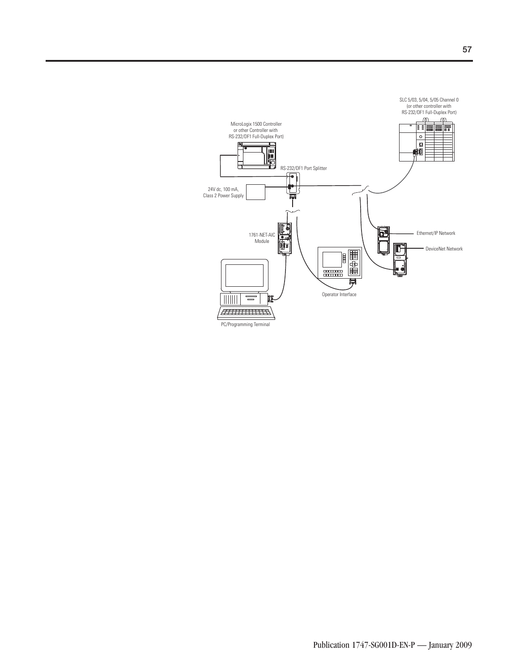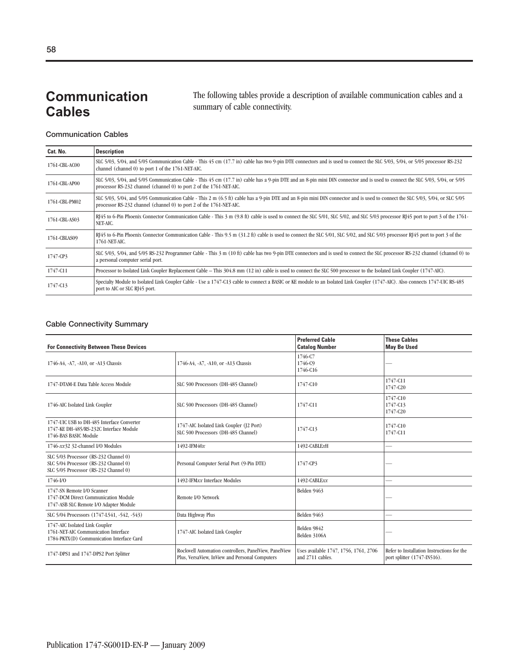## **Communication Cables**

The following tables provide a description of available communication cables and a summary of cable connectivity.

### **Communication Cables**

| Cat. No.      | <b>Description</b>                                                                                                                                                                                                                                   |
|---------------|------------------------------------------------------------------------------------------------------------------------------------------------------------------------------------------------------------------------------------------------------|
| 1761-CBL-AC00 | SLC 5/03, 5/04, and 5/05 Communication Cable - This 45 cm (17.7 in) cable has two 9-pin DTE connectors and is used to connect the SLC 5/03, 5/04, or 5/05 processor RS-232<br>channel (channel 0) to port 1 of the 1761-NET-AIC.                     |
| 1761-CBL-AP00 | SLC 5/03, 5/04, and 5/05 Communication Cable - This 45 cm (17.7 in) cable has a 9-pin DTE and an 8-pin mini DIN connector and is used to connect the SLC 5/03, 5/04, or 5/05<br>processor RS-232 channel (channel 0) to port 2 of the 1761-NET-AIC.  |
| 1761-CBL-PM02 | SLC 5/03, 5/04, and 5/05 Communication Cable - This 2 m (6.5 ft) cable has a 9-pin DTE and an 8-pin mini DIN connector and is used to connect the SLC 5/03, 5/04, or SLC 5/05<br>processor RS-232 channel (channel 0) to port 2 of the 1761-NET-AIC. |
| 1761-CBL-AS03 | RJ45 to 6-Pin Phoenix Connector Communication Cable - This 3 m (9.8 ft) cable is used to connect the SLC 5/01, SLC 5/02, and SLC 5/03 processor RJ45 port to port 3 of the 1761-<br>NET-AIC.                                                         |
| 1761-CBLAS09  | $R145$ to 6-Pin Phoenix Connector Communication Cable - This 9.5 m (31.2 ft) cable is used to connect the SLC 5/01, SLC 5/02, and SLC 5/03 processor R $145$ port to port 3 of the<br>1761-NET-AIC.                                                  |
| 1747-CP3      | SLC 5/03, 5/04, and 5/05 RS-232 Programmer Cable - This 3 m (10 ft) cable has two 9-pin DTE connectors and is used to connect the SLC processor RS-232 channel (channel 0) to<br>a personal computer serial port.                                    |
| 1747-C11      | Processor to Isolated Link Coupler Replacement Cable - This 304.8 mm (12 in) cable is used to connect the SLC 500 processor to the Isolated Link Coupler (1747-AIC).                                                                                 |
| 1747-C13      | Specialty Module to Isolated Link Coupler Cable - Use a 1747-C13 cable to connect a BASIC or KE module to an Isolated Link Coupler (1747-AIC). Also connects 1747-UIC RS-485<br>port to AIC or SLC RJ45 port.                                        |

### **Cable Connectivity Summary**

| <b>For Connectivity Between These Devices</b>                                                                           |                                                                                                         | <b>Preferred Cable</b><br><b>Catalog Number</b>           | <b>These Cables</b><br><b>May Be Used</b>                                 |  |
|-------------------------------------------------------------------------------------------------------------------------|---------------------------------------------------------------------------------------------------------|-----------------------------------------------------------|---------------------------------------------------------------------------|--|
| 1746-A4, -A7, -A10, or -A13 Chassis                                                                                     | 1746-A4, -A7, -A10, or -A13 Chassis                                                                     | 1746-C7<br>1746-C <sub>9</sub><br>1746-C16                |                                                                           |  |
| 1747-DTAM-E Data Table Access Module                                                                                    | SLC 500 Processors (DH-485 Channel)                                                                     | 1747-C10                                                  | 1747-C11<br>1747-C20                                                      |  |
| 1746-AIC Isolated Link Coupler                                                                                          | SLC 500 Processors (DH-485 Channel)                                                                     | 1747-C11                                                  | 1747-C10<br>1747-C13<br>1747-C20                                          |  |
| 1747-UIC USB to DH-485 Interface Converter<br>1747-KE DH-485/RS-232C Interface Module<br>1746-BAS BASIC Module          | 1747-AIC Isolated Link Coupler (J2 Port)<br>SLC 500 Processors (DH-485 Channel)                         | 1747-C13                                                  | 1747-C10<br>1747-C11                                                      |  |
| 1746-xx32 32-channel I/O Modules                                                                                        | 1492-IFM40x                                                                                             | 1492-CABLExH                                              |                                                                           |  |
| SLC 5/03 Processor (RS-232 Channel 0)<br>SLC 5/04 Processor (RS-232 Channel 0)<br>SLC 5/05 Processor (RS-232 Channel 0) | Personal Computer Serial Port (9-Pin DTE)                                                               | 1747-CP3                                                  |                                                                           |  |
| $1746 - V0$                                                                                                             | 1492-IFMxx Interface Modules                                                                            | 1492-CABLExx                                              |                                                                           |  |
| 1747-SN Remote I/O Scanner<br>1747-DCM Direct Communication Module<br>1747-ASB SLC Remote I/O Adapter Module            | Remote I/O Network                                                                                      | Belden 9463                                               |                                                                           |  |
| SLC 5/04 Processors (1747-L541, -542, -543)                                                                             | Data Highway Plus                                                                                       | Belden 9463                                               |                                                                           |  |
| 1747-AIC Isolated Link Coupler<br>1761-NET-AIC Communication Interface<br>1784-PKTX(D) Communication Interface Card     | 1747-AIC Isolated Link Coupler                                                                          | Belden 9842<br>Belden 3106A                               |                                                                           |  |
| 1747-DPS1 and 1747-DPS2 Port Splitter                                                                                   | Rockwell Automation controllers, PanelView, PanelView<br>Plus, VersaView, InView and Personal Computers | Uses available 1747, 1756, 1761, 2706<br>and 2711 cables. | Refer to Installation Instructions for the<br>port splitter (1747-IN516). |  |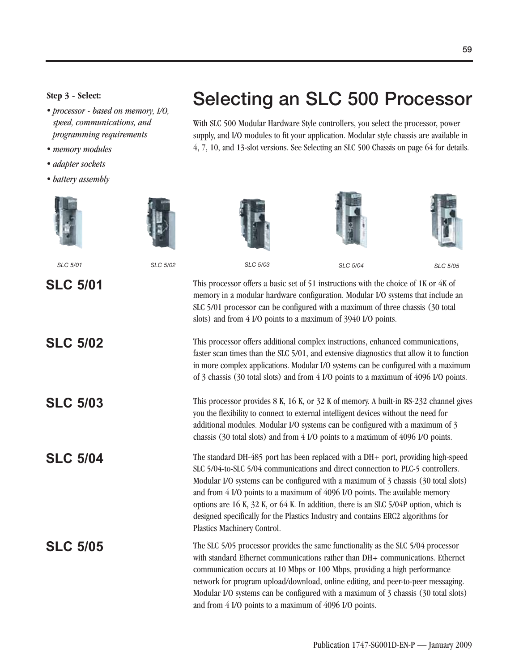## **Selecting an SLC 500 Processor Step 3 - Select:**

- *processor based on memory, I/O, speed, communications, and programming requirements*
- *memory modules*
- *adapter sockets*
- *battery assembly*





*SLC 5/01 SLC 5/02 SLC 5/03 SLC 5/04 SLC 5/05*





With SLC 500 Modular Hardware Style controllers, you select the processor, power supply, and I/O modules to fit your application. Modular style chassis are available in 4, 7, 10, and 13-slot versions. See Selecting an SLC 500 Chassis on page 64 for details.



**SLC 5/01** This processor offers a basic set of 51 instructions with the choice of 1K or 4K of memory in a modular hardware configuration. Modular I/O systems that include an SLC 5/01 processor can be configured with a maximum of three chassis (30 total slots) and from 4 I/O points to a maximum of 3940 I/O points.

SLC 5/02 This processor offers additional complex instructions, enhanced communications, faster scan times than the SLC 5/01, and extensive diagnostics that allow it to function in more complex applications. Modular I/O systems can be configured with a maximum of 3 chassis (30 total slots) and from 4 I/O points to a maximum of 4096 I/O points.

SLC 5/03 This processor provides 8 K, 16 K, or 32 K of memory. A built-in RS-232 channel gives you the flexibility to connect to external intelligent devices without the need for additional modules. Modular I/O systems can be configured with a maximum of 3 chassis (30 total slots) and from 4 I/O points to a maximum of 4096 I/O points.

**SLC 5/04** The standard DH-485 port has been replaced with a DH+ port, providing high-speed SLC 5/04-to-SLC 5/04 communications and direct connection to PLC-5 controllers. Modular I/O systems can be configured with a maximum of 3 chassis (30 total slots) and from 4 I/O points to a maximum of 4096 I/O points. The available memory options are 16 K, 32 K, or 64 K. In addition, there is an SLC 5/04P option, which is designed specifically for the Plastics Industry and contains ERC2 algorithms for Plastics Machinery Control.

**SLC 5/05** The SLC 5/05 processor provides the same functionality as the SLC 5/04 processor with standard Ethernet communications rather than DH+ communications. Ethernet communication occurs at 10 Mbps or 100 Mbps, providing a high performance network for program upload/download, online editing, and peer-to-peer messaging. Modular I/O systems can be configured with a maximum of 3 chassis (30 total slots) and from 4 I/O points to a maximum of 4096 I/O points.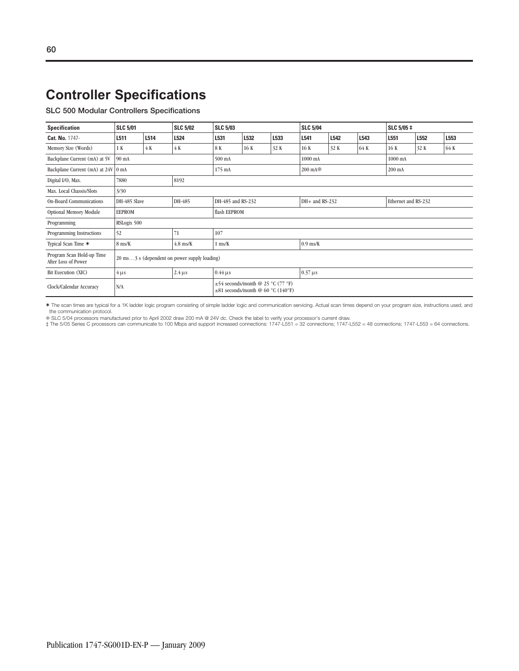**SLC 500 Modular Controllers Specifications**

| <b>Specification</b>                             | <b>SLC 5/01</b> |      | <b>SLC 5/02</b>  | <b>SLC 5/03</b>                                                                  |      |      |         | <b>SLC 5/04</b>     |      |         | SLC 5/05 ‡       |      |  |
|--------------------------------------------------|-----------------|------|------------------|----------------------------------------------------------------------------------|------|------|---------|---------------------|------|---------|------------------|------|--|
| Cat. No. 1747-                                   | L511            | L514 | L524             | L531                                                                             | L532 | L533 | L541    | L542                | L543 | L551    | L552             | L553 |  |
| Memory Size (Words)                              | 1 K             | 4 K  | 4 K              | 8K                                                                               | 16 K | 32 K | 16 K    | 32 K                | 64 K | 16 K    | 32 K             | 64 K |  |
| Backplane Current (mA) at 5V                     | 90 mA           |      | $500 \text{ mA}$ |                                                                                  |      |      | 1000 mA |                     |      | 1000 mA |                  |      |  |
| Backplane Current (mA) at 24V 0 mA               |                 |      |                  | $175 \text{ mA}$                                                                 |      |      |         | $200 \text{ mA}$    |      |         | $200 \text{ mA}$ |      |  |
| Digital I/O, Max.                                | 7880            |      | 8192             |                                                                                  |      |      |         |                     |      |         |                  |      |  |
| Max. Local Chassis/Slots                         | 3/30            |      |                  |                                                                                  |      |      |         |                     |      |         |                  |      |  |
| <b>On-Board Communications</b>                   | DH-485 Slave    |      | DH-485           | DH-485 and RS-232<br>$DH+$ and RS-232                                            |      |      |         | Ethernet and RS-232 |      |         |                  |      |  |
| Optional Memory Module                           | <b>EEPROM</b>   |      |                  | flash EEPROM                                                                     |      |      |         |                     |      |         |                  |      |  |
| Programming                                      | RSLogix 500     |      |                  |                                                                                  |      |      |         |                     |      |         |                  |      |  |
| Programming Instructions                         | 52              |      | 71               | 107                                                                              |      |      |         |                     |      |         |                  |      |  |
| Typical Scan Time *                              | 8 ms/K          |      | $4.8$ ms/K       | $1$ ms/ $K$<br>$0.9$ ms/K                                                        |      |      |         |                     |      |         |                  |      |  |
| Program Scan Hold-up Time<br>After Loss of Power |                 |      |                  | 20 ms3 s (dependent on power supply loading)                                     |      |      |         |                     |      |         |                  |      |  |
| Bit Execution (XIC)                              | $4 \mu s$       |      | $2.4 \,\mu s$    | $0.37 \,\mu s$<br>$0.44 \,\mu s$                                                 |      |      |         |                     |      |         |                  |      |  |
| Clock/Calendar Accuracy                          | N/A             |      |                  | $\pm$ 54 seconds/month @ 25 °C (77 °F)<br>$\pm 81$ seconds/month @ 60 °C (140°F) |      |      |         |                     |      |         |                  |      |  |

✶ The scan times are typical for a 1K ladder logic program consisting of simple ladder logic and communication servicing. Actual scan times depend on your program size, instructions used, and the communication protocol.

% SLC 5/04 processors manufactured prior to April 2002 draw 200 mA @ 24V dc. Check the label to verify your processor's current draw.<br>‡The 5/05 Series C processors can communicate to 100 Mbps and support increased connecti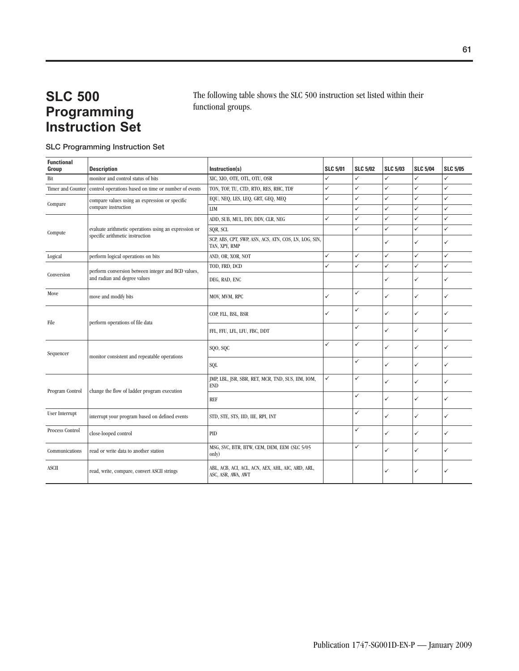## **SLC 500 Programming Instruction Set**

The following table shows the SLC 500 instruction set listed within their functional groups.

### **SLC Programming Instruction Set**

| <b>Functional</b><br>Group                     | <b>Description</b>                                    | Instruction(s)                                                          | <b>SLC 5/01</b> | <b>SLC 5/02</b> | <b>SLC 5/03</b> | <b>SLC 5/04</b> | <b>SLC 5/05</b> |
|------------------------------------------------|-------------------------------------------------------|-------------------------------------------------------------------------|-----------------|-----------------|-----------------|-----------------|-----------------|
| Bit                                            | monitor and control status of bits                    | XIC, XIO, OTE, OTL, OTU, OSR                                            | ✓               | ✓               | ✓               | $\checkmark$    | $\checkmark$    |
| Timer and Counter                              | control operations based on time or number of events  | TON, TOF, TU, CTD, RTO, RES, RHC, TDF                                   | ✓               | ✓               | ✓               | $\checkmark$    | $\checkmark$    |
|                                                | compare values using an expression or specific        | EQU, NEQ, LES, LEQ, GRT, GEQ, MEQ                                       | $\checkmark$    | ✓               | $\checkmark$    | ✓               | $\checkmark$    |
| Compare                                        | compare instruction                                   | <b>LIM</b>                                                              |                 | ✓               | ✓               | $\checkmark$    | $\checkmark$    |
|                                                |                                                       | ADD, SUB, MUL, DIV, DDV, CLR, NEG                                       | $\checkmark$    | $\checkmark$    | ✓               | $\checkmark$    | ✓               |
| Compute                                        | evaluate arithmetic operations using an expression or | SQR, SCL                                                                |                 | $\checkmark$    | $\checkmark$    | ✓               | $\checkmark$    |
|                                                | specific arithmetic instruction                       | SCP, ABS, CPT, SWP, ASN, ACS, ATN, COS, LN, LOG, SIN,<br>TAN, XPY, RMP  |                 |                 | $\checkmark$    | $\checkmark$    | ✓               |
| Logical                                        | perform logical operations on bits                    | AND, OR, XOR, NOT                                                       | $\checkmark$    | $\checkmark$    | $\checkmark$    | $\checkmark$    | $\checkmark$    |
|                                                | perform conversion between integer and BCD values,    | TOD, FRD, DCD                                                           | ✓               | $\checkmark$    | $\checkmark$    | $\checkmark$    | $\checkmark$    |
| Conversion                                     | and radian and degree values                          | DEG, RAD, ENC                                                           |                 |                 | ✓               | ✓               | ✓               |
| Move                                           | move and modify bits                                  | MOV, MVM, RPC                                                           | ✓               | ✓               | ✓               | $\checkmark$    | ✓               |
| perform operations of file data<br><b>File</b> |                                                       | COP, FLL, BSL, BSR                                                      | ✓               | ✓               | ✓               | ✓               | ✓               |
|                                                | FFL, FFU, LFL, LFU, FBC, DDT                          |                                                                         | ✓               | ✓               | $\checkmark$    | ✓               |                 |
| Sequencer                                      |                                                       | SQO, SQC                                                                | ✓               | ✓               | $\checkmark$    | ✓               | ✓               |
|                                                | monitor consistent and repeatable operations          | SQL                                                                     |                 | ✓               | ✓               | ✓               | ✓               |
| Program Control                                | change the flow of ladder program execution           | JMP, LBL, JSR, SBR, RET, MCR, TND, SUS, IIM, IOM,<br><b>END</b>         | $\checkmark$    | ✓               | $\checkmark$    | $\checkmark$    | ✓               |
|                                                |                                                       | <b>REF</b>                                                              |                 | ✓               | ✓               | ✓               | ✓               |
| User Interrupt                                 | interrupt your program based on defined events        | STD, STE, STS, IID, IIE, RPI, INT                                       |                 | ✓               | ✓               | $\checkmark$    | ✓               |
| Process Control                                | close-looped control                                  | <b>PID</b>                                                              |                 | ✓               | ✓               | $\checkmark$    | ✓               |
| Communications                                 | read or write data to another station                 | MSG, SVC, BTR, BTW, CEM, DEM, EEM (SLC 5/05<br>only)                    |                 | ✓               | ✓               | $\checkmark$    | ✓               |
| <b>ASCII</b>                                   | read, write, compare, convert ASCII strings           | ABL, ACB, ACI, ACL, ACN, AEX, AHL, AIC, ARD, ARL,<br>ASC, ASR, AWA, AWT |                 |                 | ✓               | ✓               | ✓               |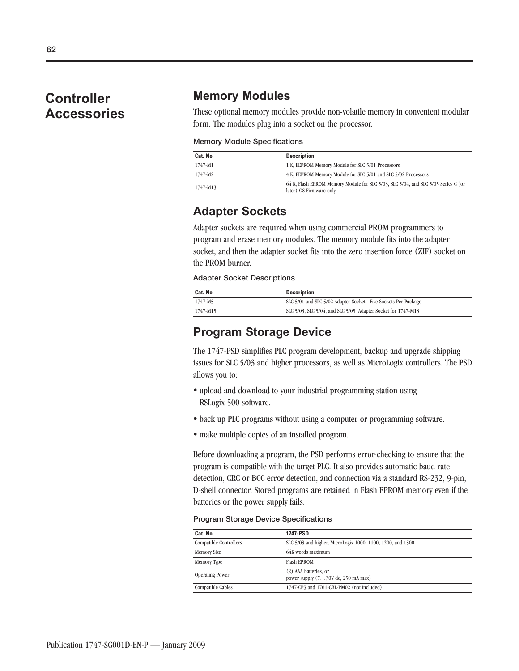## **Controller Accessories**

### **Memory Modules**

These optional memory modules provide non-volatile memory in convenient modular form. The modules plug into a socket on the processor.

### **Memory Module Specifications**

| Cat. No. | <b>Description</b>                                                                                           |
|----------|--------------------------------------------------------------------------------------------------------------|
| 1747-M1  | 1 K, EEPROM Memory Module for SLC 5/01 Processors                                                            |
| 1747-M2  | 4 K, EEPROM Memory Module for SLC 5/01 and SLC 5/02 Processors                                               |
| 1747-M13 | 64 K, Flash EPROM Memory Module for SLC 5/03, SLC 5/04, and SLC 5/05 Series C (or<br>later) OS Firmware only |

### **Adapter Sockets**

Adapter sockets are required when using commercial PROM programmers to program and erase memory modules. The memory module fits into the adapter socket, and then the adapter socket fits into the zero insertion force (ZIF) socket on the PROM burner.

### **Adapter Socket Descriptions**

| Cat. No. | <b>Description</b>                                              |
|----------|-----------------------------------------------------------------|
| 1747-M5  | SLC 5/01 and SLC 5/02 Adapter Socket - Five Sockets Per Package |
| 1747-M15 | SLC 5/03, SLC 5/04, and SLC 5/05 Adapter Socket for 1747-M13    |

### **Program Storage Device**

The 1747-PSD simplifies PLC program development, backup and upgrade shipping issues for SLC 5/03 and higher processors, as well as MicroLogix controllers. The PSD allows you to:

- upload and download to your industrial programming station using RSLogix 500 software.
- back up PLC programs without using a computer or programming software.
- make multiple copies of an installed program.

Before downloading a program, the PSD performs error-checking to ensure that the program is compatible with the target PLC. It also provides automatic baud rate detection, CRC or BCC error detection, and connection via a standard RS-232, 9-pin, D-shell connector. Stored programs are retained in Flash EPROM memory even if the batteries or the power supply fails.

### **Program Storage Device Specifications**

| Cat. No.               | 1747-PSD                                                      |
|------------------------|---------------------------------------------------------------|
| Compatible Controllers | SLC 5/03 and higher, MicroLogix 1000, 1100, 1200, and 1500    |
| <b>Memory Size</b>     | 64K words maximum                                             |
| Memory Type            | <b>Flash EPROM</b>                                            |
| <b>Operating Power</b> | (2) AAA batteries, or<br>power supply $(730V$ dc, 250 mA max) |
| Compatible Cables      | 1747-CP3 and 1761-CBL-PM02 (not included)                     |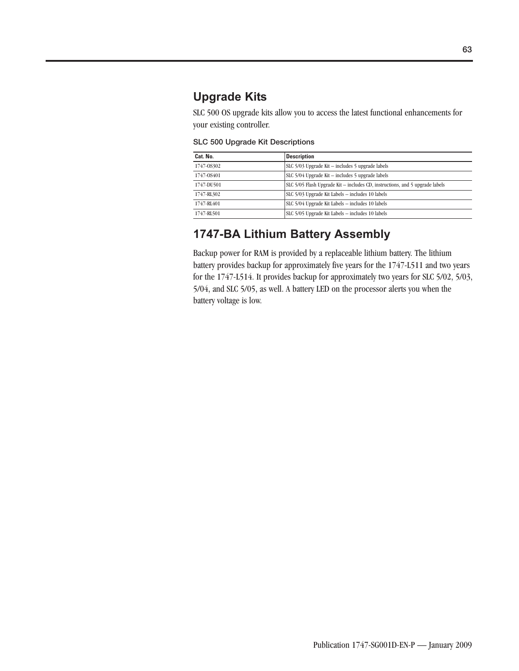## **Upgrade Kits**

SLC 500 OS upgrade kits allow you to access the latest functional enhancements for your existing controller.

**SLC 500 Upgrade Kit Descriptions**

| Cat. No.   | <b>Description</b>                                                           |
|------------|------------------------------------------------------------------------------|
| 1747-08302 | SLC 5/03 Upgrade Kit - includes 5 upgrade labels                             |
| 1747-08401 | SLC $5/04$ Upgrade Kit $-$ includes 5 upgrade labels                         |
| 1747-DU501 | SLC 5/05 Flash Upgrade Kit - includes CD, instructions, and 5 upgrade labels |
| 1747-RL302 | SLC 5/03 Upgrade Kit Labels - includes 10 labels                             |
| 1747-RL401 | SLC 5/04 Upgrade Kit Labels - includes 10 labels                             |
| 1747-RL501 | SLC 5/05 Upgrade Kit Labels - includes 10 labels                             |

## **1747-BA Lithium Battery Assembly**

Backup power for RAM is provided by a replaceable lithium battery. The lithium battery provides backup for approximately five years for the 1747-L511 and two years for the 1747-L514. It provides backup for approximately two years for SLC 5/02, 5/03, 5/04, and SLC 5/05, as well. A battery LED on the processor alerts you when the battery voltage is low.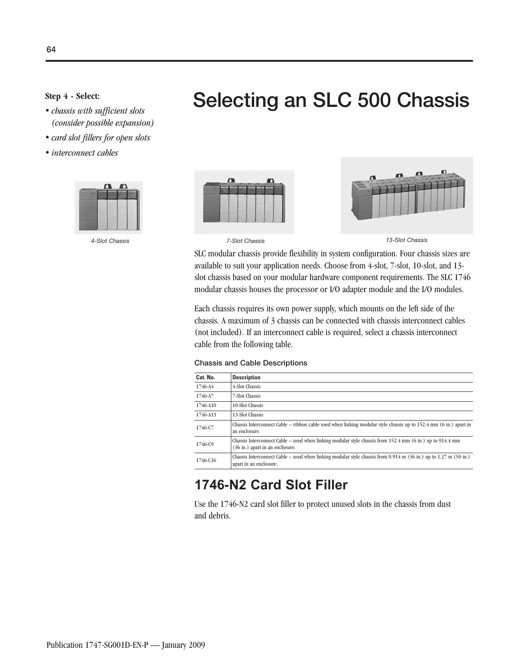- Selecting an SLC 500 Chassis - *chassis with sufficient slots (consider possible expansion)*
- *card slot fillers for open slots*
- *interconnect cables*





*4-Slot Chassis 7-Slot Chassis 13-Slot Chassis*

SLC modular chassis provide flexibility in system configuration. Four chassis sizes are available to suit your application needs. Choose from 4-slot, 7-slot, 10-slot, and 13 slot chassis based on your modular hardware component requirements. The SLC 1746 modular chassis houses the processor or I/O adapter module and the I/O modules.

Each chassis requires its own power supply, which mounts on the left side of the chassis. A maximum of 3 chassis can be connected with chassis interconnect cables (not included). If an interconnect cable is required, select a chassis interconnect cable from the following table.

| <b>Chassis and Cable Descriptions</b> |  |  |  |  |
|---------------------------------------|--|--|--|--|
|---------------------------------------|--|--|--|--|

| Cat. No. | <b>Description</b>                                                                                                                                                 |
|----------|--------------------------------------------------------------------------------------------------------------------------------------------------------------------|
| 1746-A4  | 4-Slot Chassis                                                                                                                                                     |
| 1746-A7  | 7-Slot Chassis                                                                                                                                                     |
| 1746-A10 | 10-Slot Chassis                                                                                                                                                    |
| 1746-A13 | 13-Slot Chassis                                                                                                                                                    |
| 1746-C7  | Chassis Interconnect Cable – ribbon cable used when linking modular style chassis up to $152.4$ mm (6 in.) apart in<br>an enclosure.                               |
| 1746-C9  | Chassis Interconnect Cable – used when linking modular style chassis from 152.4 mm (6 in.) up to $914.4$ mm<br>(36 in.) apart in an enclosure.                     |
| 1746-C16 | Chassis Interconnect Cable – used when linking modular style chassis from $0.914$ m $(36 \text{ in.})$ up to $1.27$ m $(50 \text{ in.})$<br>apart in an enclosure. |

## **1746-N2 Card Slot Filler**

Use the 1746-N2 card slot filler to protect unused slots in the chassis from dust and debris.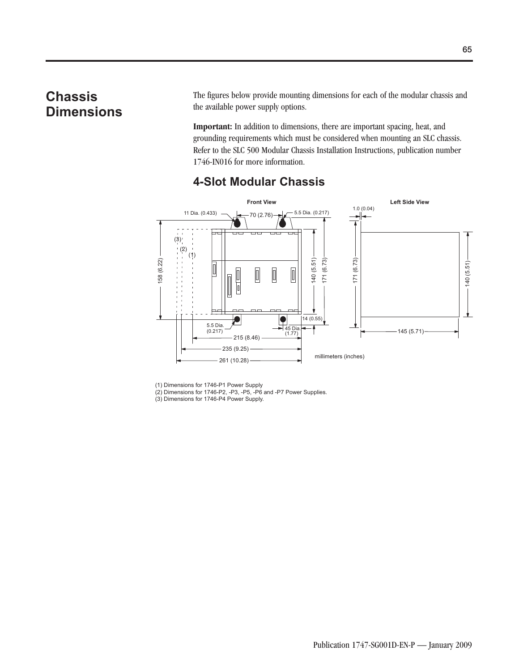## **Chassis Dimensions**

The figures below provide mounting dimensions for each of the modular chassis and the available power supply options.

**Important:** In addition to dimensions, there are important spacing, heat, and grounding requirements which must be considered when mounting an SLC chassis. Refer to the SLC 500 Modular Chassis Installation Instructions, publication number 1746-IN016 for more information.



### **4-Slot Modular Chassis**

(1) Dimensions for 1746-P1 Power Supply

(2) Dimensions for 1746-P2, -P3, -P5, -P6 and -P7 Power Supplies.

(3) Dimensions for 1746-P4 Power Supply.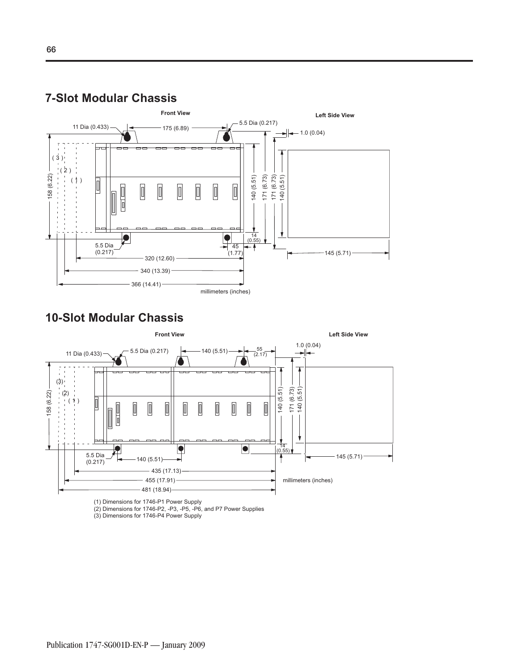

# **10-Slot Modular Chassis**

**7-Slot Modular Chassis**



(1) Dimensions for 1746-P1 Power Supply

(2) Dimensions for 1746-P2, -P3, -P5, -P6, and P7 Power Supplies

(3) Dimensions for 1746-P4 Power Supply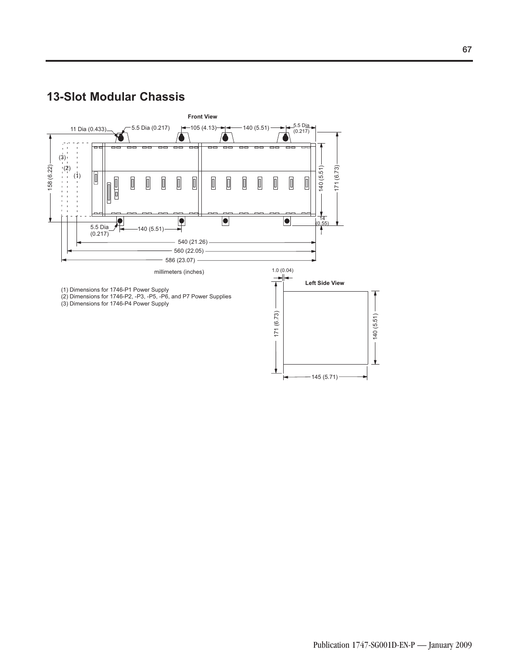## **13-Slot Modular Chassis**



 $\blacktriangleright$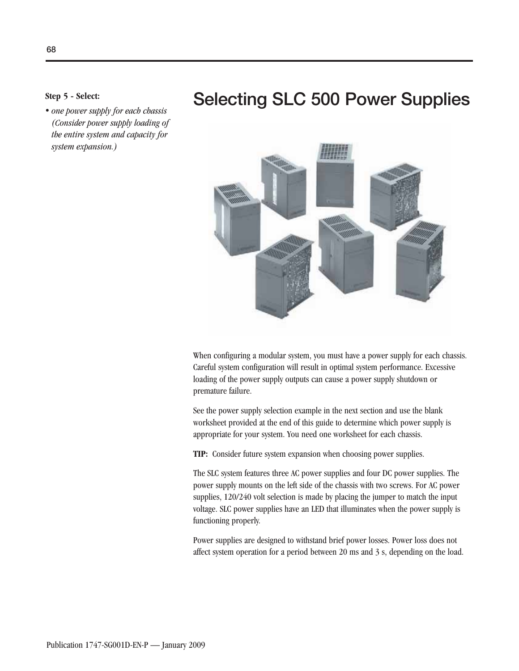- *one power supply for each chassis (Consider power supply loading of the entire system and capacity for system expansion.)*

# **Selecting SLC 500 Power Supplies Step 5 - Select:**



When configuring a modular system, you must have a power supply for each chassis. Careful system configuration will result in optimal system performance. Excessive loading of the power supply outputs can cause a power supply shutdown or premature failure.

See the power supply selection example in the next section and use the blank worksheet provided at the end of this guide to determine which power supply is appropriate for your system. You need one worksheet for each chassis.

**TIP:** Consider future system expansion when choosing power supplies.

The SLC system features three AC power supplies and four DC power supplies. The power supply mounts on the left side of the chassis with two screws. For AC power supplies, 120/240 volt selection is made by placing the jumper to match the input voltage. SLC power supplies have an LED that illuminates when the power supply is functioning properly.

Power supplies are designed to withstand brief power losses. Power loss does not affect system operation for a period between 20 ms and 3 s, depending on the load.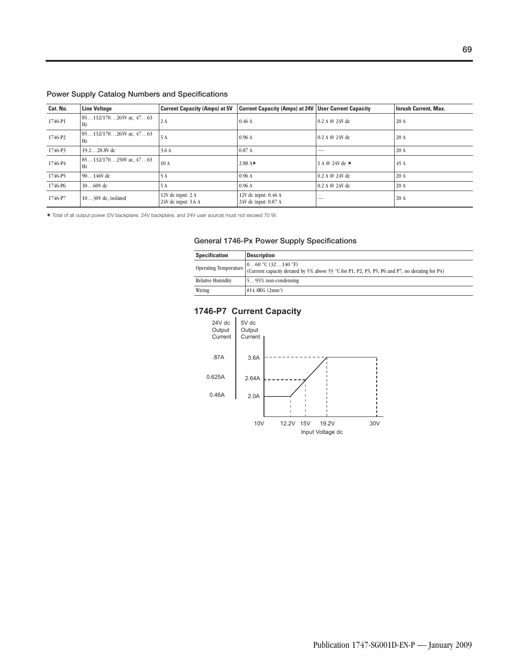|  |  |  |  | Power Supply Catalog Numbers and Specifications |  |
|--|--|--|--|-------------------------------------------------|--|
|--|--|--|--|-------------------------------------------------|--|

| Cat. No. | <b>Line Voltage</b>              | <b>Current Capacity (Amps) at 5V</b>     | <b>Current Capacity (Amps) at 24V User Current Capacity</b> |                   | <b>Inrush Current, Max.</b> |
|----------|----------------------------------|------------------------------------------|-------------------------------------------------------------|-------------------|-----------------------------|
| 1746-P1  | $85132/170265V$ ac, $4763$<br>Hz | 2A                                       | 0.46A                                                       | $0.2 A @ 24V$ dc  | 20 A                        |
| 1746-P2  | $85132/170265V$ ac, 4763<br>Hz   | 5A                                       | 0.96A                                                       | $0.2 A @ 24V$ dc  | 20A                         |
| 1746-P3  | $19.228.8V$ dc                   | 3.6A                                     | 0.87A                                                       | <b>STATISTICS</b> | 20 A                        |
| 1746-P4  | $85132/170250V$ ac, $4763$<br>Hz | 10A                                      | $2.88$ A*                                                   | 1 A @ 24V dc *    | 45 A                        |
| 1746-P5  | $90146V$ dc                      | 5A                                       | 0.96A                                                       | $0.2 A @ 24V$ dc  | 20 A                        |
| 1746-P6  | $3060V$ dc                       | 5 A                                      | 0.96A                                                       | $0.2 A @ 24V$ dc  | 20 A                        |
| 1746-P7  | $1030V$ dc, isolated             | 12V dc input: 2 A<br>24V dc input: 3.6 A | 12V dc input: $0.46$ A<br>24V dc input: 0.87 A              |                   | 20 A                        |

✶ Total of all output power (5V backplane, 24V backplane, and 24V user source) must not exceed 70 W.

### **General 1746-Px Power Supply Specifications**

| <b>Specification</b>     | <b>Description</b>                                                                                                                                                             |
|--------------------------|--------------------------------------------------------------------------------------------------------------------------------------------------------------------------------|
|                          | (060 °C (32140 °F))<br>Operating Temperature $\bigcup_{C \text{current capacity} } t_1, t_2, \ldots, t_N$ by 5% above 55 °C for P1, P2, P3, P5, P6 and P7, no derating for P4) |
| <b>Relative Humidity</b> | 1595% non-condensing                                                                                                                                                           |
| Wiring                   | $\#14$ AWG $(2mm^2)$                                                                                                                                                           |

### **1746-P7 Current Capacity**

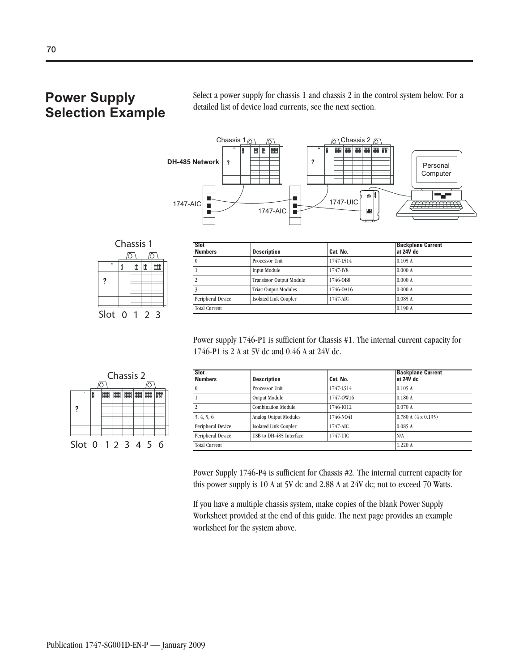## **Power Supply Selection Example**

Select a power supply for chassis 1 and chassis 2 in the control system below. For a detailed list of device load currents, see the next section.



| Chassis 1      |   |   |   |   |  |  |
|----------------|---|---|---|---|--|--|
|                |   |   |   |   |  |  |
| $\blacksquare$ | Ê | 閈 | 串 |   |  |  |
| ?              |   |   |   |   |  |  |
|                |   |   |   |   |  |  |
|                |   |   |   |   |  |  |
| Slot           | O |   |   | ર |  |  |

| <b>Slot</b><br><b>Numbers</b> | <b>Description</b>              | Cat. No.  | <b>Backplane Current</b><br>at 24V dc |
|-------------------------------|---------------------------------|-----------|---------------------------------------|
|                               | Processor Unit                  | 1747-L514 | 0.105A                                |
|                               | <b>Input Module</b>             | 1747-IV8  | 0.000A                                |
|                               | <b>Transistor Output Module</b> | 1746-0B8  | 0.000A                                |
|                               | <b>Triac Output Modules</b>     | 1746-0A16 | 0.000A                                |
| Peripheral Device             | <b>Isolated Link Coupler</b>    | 1747-AIC  | 0.085A                                |
| <b>Total Current</b>          |                                 |           | 0.190A                                |

Power supply 1746-P1 is sufficient for Chassis #1. The internal current capacity for 1746-P1 is 2 A at 5V dc and 0.46 A at 24V dc.



| <b>Slot</b><br><b>Numbers</b> | <b>Description</b>           | Cat. No.  | <b>Backplane Current</b><br>at 24V dc |
|-------------------------------|------------------------------|-----------|---------------------------------------|
| $\theta$                      | Processor Unit               | 1747-L514 | 0.105A                                |
|                               | <b>Output Module</b>         | 1747-0W16 | 0.180A                                |
| 2                             | <b>Combination Module</b>    | 1746-1012 | 0.070A                                |
| 3, 4, 5, 6                    | Analog Output Modules        | 1746-NO4I | 0.780 A (4 x 0.195)                   |
| Peripheral Device             | <b>Isolated Link Coupler</b> | 1747-AIC  | 0.085A                                |
| Peripheral Device             | USB to DH-485 Interface      | 1747-UIC  | N/A                                   |
| <b>Total Current</b>          |                              |           | 1.220 A                               |

Power Supply 1746-P4 is sufficient for Chassis #2. The internal current capacity for this power supply is 10 A at 5V dc and 2.88 A at 24V dc; not to exceed 70 Watts.

If you have a multiple chassis system, make copies of the blank Power Supply Worksheet provided at the end of this guide. The next page provides an example worksheet for the system above.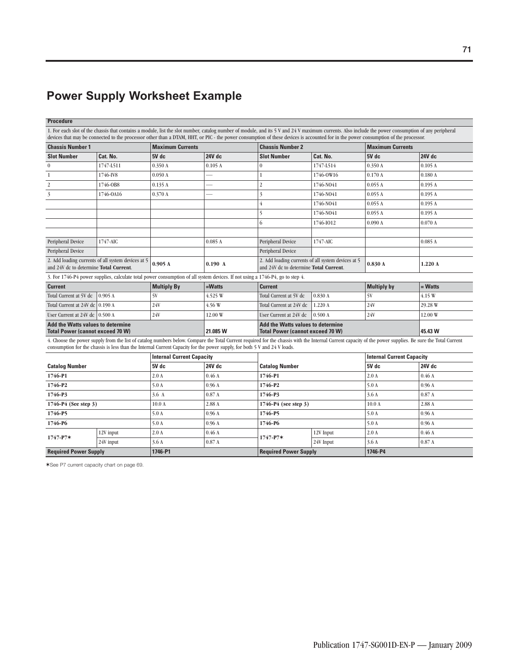### **Power Supply Worksheet Example**

### **Procedure**

1. For each slot of the chassis that contains a module, list the slot number, catalog number of module, and its 5 V and 24 V maximum currents. Also include the power consumption of any peripheral devices that may be connected to the processor other than a DTAM, HHT, or PIC - the power consumption of these devices is accounted for in the power consumption of the processor. **Chassis Number 1** Maximum Currents **Chassis Number 2** Maximum Currents **Chassis Number 2** Maximum Currents **Slot Number Cat. No. 5V dc 24V dc Slot Number Cat. No. 5V dc 24V dc** 0  $\vert 1747 \cdot 1511 \vert 0.350 \, \mathrm{A} \vert 0.105 \, \mathrm{A} \vert 0$   $\vert 1747 \cdot 1514 \vert 0.350 \, \mathrm{A} \vert 0.105 \, \mathrm{A} \vert 0.010 \, \mathrm{A} \vert 0.001 \, \mathrm{A} \vert 0.010 \, \mathrm{A} \vert 0.010 \, \mathrm{A} \vert 0.010 \, \mathrm{A} \vert 0.010 \, \mathrm{A} \vert 0.010 \, \mathrm{A} \vert 0.010 \, \mathrm{A} \vert$  $1746-1$  1746-0 V8 0.050 A  $-$  1 1746-0 W16 0.170 A 0.180 A 2  $1746-0.08$   $0.135 \text{ A}$   $2$   $1746-0.035 \text{ A}$   $0.055 \text{ A}$   $0.195 \text{ A}$  $3 \qquad 1746-0.0416 \qquad 0.370 \text{ A} \qquad - \qquad 3 \qquad 1746-0.041 \qquad 0.055 \text{ A} \qquad 0.195 \text{ A}$ 4  $1746-N041$  0.055 A 0.195 A 5 1746-NO41 0.055 A 0.195 A 6  $1746-I012$   $0.090 \text{ A}$   $0.070 \text{ A}$ Peripheral Device 1747-AIC (0.085 A Peripheral Device 1747-AIC (0.085 A 0.085 A Peripheral Device Peripheral Device 2. Add loading currents of all system devices at 5 **0.905 A** 2. Add loading currents of all system devices at 5 **0.190 A** 24V dc to determine **Total Current**. 2. Add loading currents of all system devices at 5 **0.830 A** and 24V dc to determine **Total Current**. 3. For 1746-P4 power supplies, calculate total power consumption of all system devices. If not using a 1746-P4, go to step 4. **Current Multiply By =Watts Current Multiply by = Watts** Total Current at 5V dc 0.905 A 5V 4.15 W 4.525 W Total Current at 5V dc 0.830 A 5V 4.15 W Total Current at 24V dc 0.190 A 24V 29.28 W 4.56 W Total Current at 24V dc 1.220 A 24V 29.28 W User Current at 24V dc 0.500 A 24V 22.00 W User Current at 24V dc 0.500 A 24V **Add the Watts values to determine Total Power (cannot exceed 70 W) 21.085 W Add the Watts values to determine Total Power (cannot exceed 70 W) 45.43 W** 4. Choose the power supply from the list of catalog numbers below. Compare the Total Current required for the chassis with the Internal Current capacity of the power supplies. Be sure the Total Current consumption for the chassis is less than the Internal Current Capacity for the power supply, for both 5 V and 24 V loads. **Catalog Number Internal Current Capacity Catalog Number 5V dc 24V dc 5V dc 24V dc Internal Current Capacity 1746-P1** 2.0 A **1746-P1** 2.0 A **1746-P1** 2.0 A **1 1746-P2** 5.0 A **1746-P2** 5.0 A **1746-P2** 5.0 A **1** 

| <b>Required Power Supply</b> |                                             | 1746-P1 |         |                     | <b>Required Power Supply</b>                |       | 1746-P4                     |  |       |
|------------------------------|---------------------------------------------|---------|---------|---------------------|---------------------------------------------|-------|-----------------------------|--|-------|
|                              | 24V input                                   | 3.6 A   | 0.87A   |                     | 24V Input                                   |       | 0.87A                       |  |       |
| $1747 - P7*$                 | 12V input                                   | 2.0A    | 0.46A   | $1747 - P7*$        | 12V Input                                   | 2.0A  | 0.46A                       |  |       |
| 1746-P6                      |                                             | 5.0A    | 0.96A   | 1746-P6             |                                             |       | 0.96A                       |  |       |
| 1746-P5                      |                                             | 5.0A    | 0.96A   | 1746-P5             |                                             |       |                             |  | 0.96A |
|                              | $1746-P4$ (See step 3)<br>10.0 <sub>A</sub> |         | 2.88 A  |                     | $1746-P4$ (see step 3)<br>10.0 <sub>A</sub> |       | 2.88 A                      |  |       |
| 1746-P3                      | 0.87A<br>3.6A                               |         | 1746-P3 |                     | 3.6A                                        |       |                             |  | 0.87A |
| 1746-P <sub>2</sub>          |                                             | 5.0 A   | 0.96A   | 1746-P <sub>2</sub> |                                             | 5.0 A | $\frac{10.96 \text{ A}}{2}$ |  |       |

✶See P7 current capacity chart on page 69.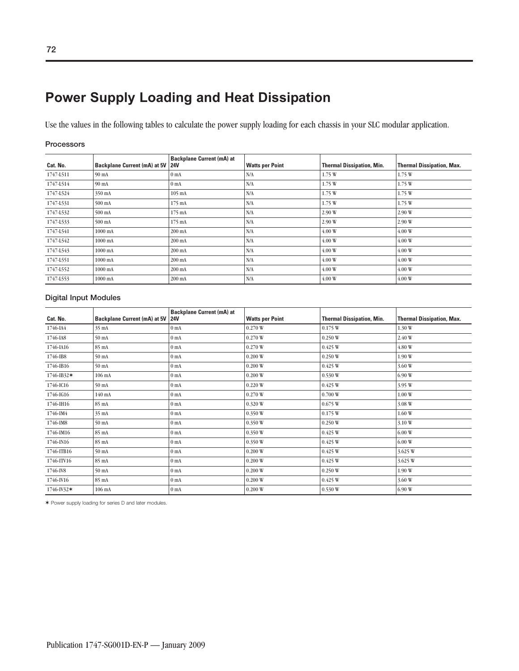## **Power Supply Loading and Heat Dissipation**

Use the values in the following tables to calculate the power supply loading for each chassis in your SLC modular application.

### **Processors**

| Cat. No.  | Backplane Current (mA) at 5V 24V | <b>Backplane Current (mA) at</b> | <b>Watts per Point</b> | <b>Thermal Dissipation, Min.</b> | <b>Thermal Dissipation, Max.</b> |
|-----------|----------------------------------|----------------------------------|------------------------|----------------------------------|----------------------------------|
| 1747-L511 | 90 mA                            | 0 <sub>mA</sub>                  | N/A                    | 1.75 W                           | 1.75 W                           |
| 1747-L514 | 90 mA                            | 0 <sub>mA</sub>                  | N/A                    | 1.75 W                           | 1.75 W                           |
| 1747-L524 | 350 mA                           | $105 \text{ mA}$                 | N/A                    | 1.75 W                           | 1.75 W                           |
| 1747-L531 | $500 \text{ mA}$                 | 175 mA                           | N/A                    | 1.75 W                           | 1.75 W                           |
| 1747-L532 | 500 mA                           | 175 mA                           | N/A                    | 2.90 W                           | 2.90 W                           |
| 1747-L533 | $500 \text{ mA}$                 | 175 mA                           | N/A                    | 2.90 W                           | 2.90 W                           |
| 1747-L541 | 1000 mA                          | 200 mA                           | N/A                    | 4.00W                            | 4.00W                            |
| 1747-L542 | 1000 mA                          | $200 \text{ mA}$                 | N/A                    | 4.00W                            | 4.00W                            |
| 1747-L543 | 1000 mA                          | 200 mA                           | N/A                    | 4.00 W                           | 4.00 W                           |
| 1747-L551 | 1000 mA                          | $200 \text{ mA}$                 | N/A                    | 4.00W                            | 4.00W                            |
| 1747-L552 | 1000 mA                          | 200 mA                           | N/A                    | 4.00 W                           | 4.00 W                           |
| 1747-L553 | 1000 mA                          | 200 mA                           | N/A                    | 4.00W                            | 4.00W                            |

### **Digital Input Modules**

| Cat. No.       | Backplane Current (mA) at 5V   24V | <b>Backplane Current (mA) at</b> | <b>Watts per Point</b> | <b>Thermal Dissipation, Min.</b> | <b>Thermal Dissipation, Max.</b> |
|----------------|------------------------------------|----------------------------------|------------------------|----------------------------------|----------------------------------|
| 1746-IA4       | $35 \text{ mA}$                    | 0 <sub>mA</sub>                  | 0.270 W                | 0.175 W                          | 1.30 W                           |
| 1746-IA8       | $50 \text{ mA}$                    | 0 <sub>mA</sub>                  | 0.270 W                | 0.250W                           | 2.40 W                           |
| 1746-IA16      | 85 mA                              | 0 <sub>mA</sub>                  | 0.270 W                | 0.425 W                          | 4.80 W                           |
| 1746-IB8       | 50 mA                              | 0 <sub>mA</sub>                  | 0.200W                 | 0.250W                           | 1.90 W                           |
| 1746-IB16      | 50 mA                              | 0 <sub>mA</sub>                  | 0.200W                 | 0.425 W                          | 3.60 W                           |
| $1746 - IB32*$ | 106 mA                             | 0 <sub>mA</sub>                  | 0.200W                 | 0.530 W                          | 6.90W                            |
| 1746-IC16      | 50 mA                              | 0 <sub>mA</sub>                  | 0.220W                 | 0.425 W                          | 3.95 W                           |
| 1746-IG16      | 140 mA                             | $0$ mA                           | 0.270 W                | 0.700W                           | 1.00W                            |
| 1746-IH16      | 85 mA                              | $0$ mA                           | 0.320 W                | 0.675 W                          | 3.08 W                           |
| 1746-IM4       | 35 mA                              | 0 <sub>mA</sub>                  | 0.350 W                | 0.175 W                          | 1.60 W                           |
| 1746-IM8       | $50 \text{ mA}$                    | 0 <sub>mA</sub>                  | 0.350 W                | 0.250W                           | 3.10 W                           |
| 1746-IM16      | 85 mA                              | $0$ mA                           | 0.350 W                | 0.425 W                          | 6.00W                            |
| 1746-IN16      | 85 mA                              | $0$ mA                           | 0.350 W                | 0.425 W                          | 6.00W                            |
| 1746-ITB16     | 50 mA                              | $0$ mA                           | 0.200W                 | 0.425 W                          | 3.625 W                          |
| 1746-ITV16     | 85 mA                              | 0 <sub>mA</sub>                  | 0.200W                 | 0.425 W                          | 3.625 W                          |
| 1746-IV8       | $50 \text{ mA}$                    | 0 <sub>mA</sub>                  | 0.200W                 | 0.250W                           | 1.90 W                           |
| 1746-IV16      | 85 mA                              | 0 <sub>mA</sub>                  | 0.200W                 | 0.425 W                          | 3.60 W                           |
| $1746 - N32*$  | 106 mA                             | $0$ mA                           | 0.200W                 | 0.530 W                          | 6.90W                            |

✶ Power supply loading for series D and later modules.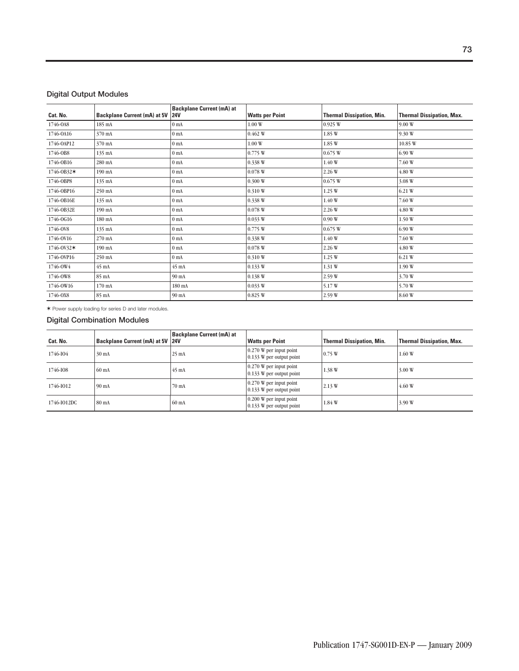#### **Digital Output Modules**

| Cat. No.   | <b>Backplane Current (mA) at 5V</b> | <b>Backplane Current (mA) at</b><br><b>24V</b> | <b>Watts per Point</b> | <b>Thermal Dissipation, Min.</b> | <b>Thermal Dissipation, Max.</b> |
|------------|-------------------------------------|------------------------------------------------|------------------------|----------------------------------|----------------------------------|
| 1746-0A8   |                                     |                                                | 1.00W                  |                                  |                                  |
|            | 185 mA                              | 0 <sub>mA</sub>                                |                        | 0.925 W                          | 9.00 W                           |
| 1746-0A16  | 370 mA                              | 0 <sub>mA</sub>                                | 0.462 W                | 1.85 W                           | 9.30 W                           |
| 1746-OAP12 | 370 mA                              | 0 <sub>mA</sub>                                | 1.00W                  | 1.85 W                           | 10.85 W                          |
| 1746-0B8   | 135 mA                              | 0 <sub>mA</sub>                                | 0.775 W                | 0.675 W                          | 6.90W                            |
| 1746-0B16  | 280 mA                              | 0 <sub>mA</sub>                                | 0.338W                 | 1.40 W                           | 7.60 W                           |
| 1746-0B32* | 190 mA                              | 0 <sub>mA</sub>                                | 0.078 W                | 2.26 W                           | 4.80 W                           |
| 1746-OBP8  | 135 mA                              | 0 <sub>mA</sub>                                | 0.300W                 | 0.675 W                          | 3.08 W                           |
| 1746-OBP16 | 250 mA                              | 0 <sub>mA</sub>                                | 0.310W                 | 1.25 W                           | 6.21 W                           |
| 1746-0B16E | 135 mA                              | 0 <sub>mA</sub>                                | 0.338W                 | 1.40 W                           | 7.60 W                           |
| 1746-0B32E | 190 mA                              | $0$ mA                                         | 0.078 W                | 2.26 W                           | 4.80 W                           |
| 1746-0G16  | 180 mA                              | $0 \text{ mA}$                                 | 0.033 W                | 0.90W                            | 1.50 W                           |
| 1746-0V8   | 135 mA                              | 0 <sub>mA</sub>                                | 0.775 W                | 0.675 W                          | 6.90W                            |
| 1746-0V16  | 270 mA                              | 0 <sub>mA</sub>                                | 0.338 W                | 1.40 W                           | 7.60 W                           |
| 1746-0V32* | 190 mA                              | 0 <sub>mA</sub>                                | 0.078 W                | 2.26 W                           | 4.80 W                           |
| 1746-OVP16 | 250 mA                              | 0 <sub>mA</sub>                                | 0.310 W                | 1.25 W                           | 6.21 W                           |
| 1746-OW4   | 45 mA                               | $45 \text{ mA}$                                | 0.133 W                | 1.31 W                           | 1.90 W                           |
| 1746-OW8   | 85 mA                               | 90 mA                                          | 0.138 W                | 2.59 W                           | 3.70 W                           |
| 1746-0W16  | 170 mA                              | 180 mA                                         | 0.033 W                | 5.17W                            | 5.70 W                           |
| 1746-0X8   | 85 mA                               | 90 mA                                          | 0.825 W                | 2.59 W                           | 8.60 W                           |

✶ Power supply loading for series D and later modules.

#### **Digital Combination Modules**

| Cat. No.    | Backplane Current (mA) at 5V 24V | <b>Backplane Current (mA) at</b> | <b>Watts per Point</b>                                         | <b>Thermal Dissipation, Min.</b> | <b>Thermal Dissipation, Max.</b> |
|-------------|----------------------------------|----------------------------------|----------------------------------------------------------------|----------------------------------|----------------------------------|
| 1746-IO4    | 30 mA                            | $25 \text{ mA}$                  | $0.270$ W per input point<br>$0.133$ W per output point        | 0.75 W                           | 1.60W                            |
| 1746-IO8    | $60 \text{ mA}$                  | $45 \text{ mA}$                  | $\sqrt{0.270}$ W per input point<br>$0.133$ W per output point | 1.38 W                           | 3.00 W                           |
| 1746-1012   | $90 \text{ mA}$                  | 70 mA                            | $\vert$ 0.270 W per input point<br>$0.133$ W per output point  | 2.13 W                           | 4.60W                            |
| 1746-IO12DC | 80 mA                            | 60 mA                            | $0.200$ W per input point<br>$0.133$ W per output point        | 1.84 W                           | 3.90W                            |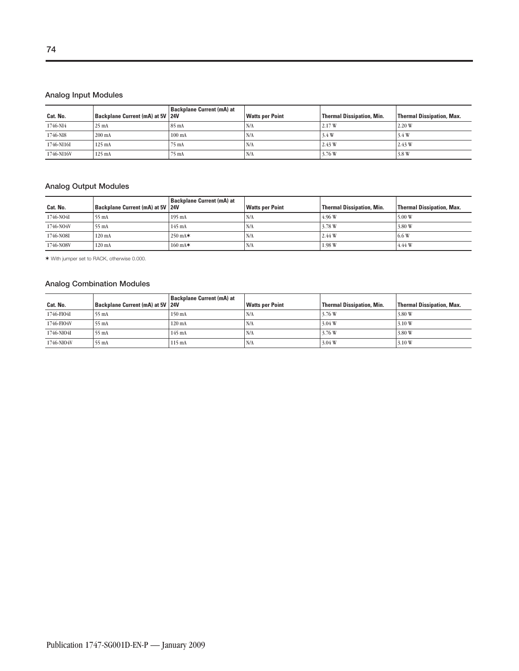| Cat. No.   | Backplane Current (mA) at 5V 24V | <b>Backplane Current (mA) at</b> | <b>Watts per Point</b> | <b>Thermal Dissipation, Min.</b> | <b>Thermal Dissipation, Max.</b> |
|------------|----------------------------------|----------------------------------|------------------------|----------------------------------|----------------------------------|
| 1746-NI4   | $25 \text{ mA}$                  | $85 \text{ mA}$                  | N/A                    | 2.17W                            | 2.20W                            |
| 1746-NI8   | $200 \text{ mA}$                 | $100 \text{ mA}$                 | N/A                    | 3.4 W                            | 3.4 W                            |
| 1746-NI16I | $125 \text{ mA}$                 | $75 \text{ mA}$                  | N/A                    | 2.43 W                           | 2.43 W                           |
| 1746-N116V | $125 \text{ mA}$                 | $75 \text{ mA}$                  | N/A                    | 3.76 W                           | 3.8 W                            |

#### **Analog Output Modules**

| Cat. No.  | Backplane Current (mA) at 5V 24V | <b>Backplane Current (mA) at</b> | <b>Watts per Point</b> | <b>Thermal Dissipation, Min.</b> | Thermal Dissipation, Max. |
|-----------|----------------------------------|----------------------------------|------------------------|----------------------------------|---------------------------|
| 1746-NO4I | 55 mA                            | $195 \text{ mA}$                 | N/A                    | 4.96 W                           | 5.00W                     |
| 1746-NO4V | 55 mA                            | $145 \text{ mA}$                 | N/A                    | 3.78 W                           | 3.80 W                    |
| 1746-NO8I | $120 \text{ mA}$                 | $250 \text{ mA}$                 | N/A                    | 2.44 W                           | 6.6 W                     |
| 1746-NO8V | $120 \text{ mA}$                 | $160 \text{ mA}$                 | `N/A                   | 1.98W                            | 4.44 W                    |

✶ With jumper set to RACK, otherwise 0.000.

#### **Analog Combination Modules**

| Cat. No.   | <b>Backplane Current (mA) at 5V 24V</b> | Backplane Current (mA) at | <b>Watts per Point</b> | Thermal Dissipation, Min. | Thermal Dissipation, Max. |
|------------|-----------------------------------------|---------------------------|------------------------|---------------------------|---------------------------|
| 1746-FIO4I | 55 mA                                   | 150 mA                    | N/A                    | 3.76 W                    | 3.80 W                    |
| 1746-FIO4V | $55 \text{ mA}$                         | $120 \text{ mA}$          | N/A                    | 3.04 W                    | 3.10 W                    |
| 1746-NIO4I | 55 mA                                   | $145 \text{ mA}$          | N/A                    | 3.76W                     | 3.80 W                    |
| 1746-NIO4V | $55 \text{ mA}$                         | $115 \text{ mA}$          | `N/A                   | 3.04 W                    | 3.10 W                    |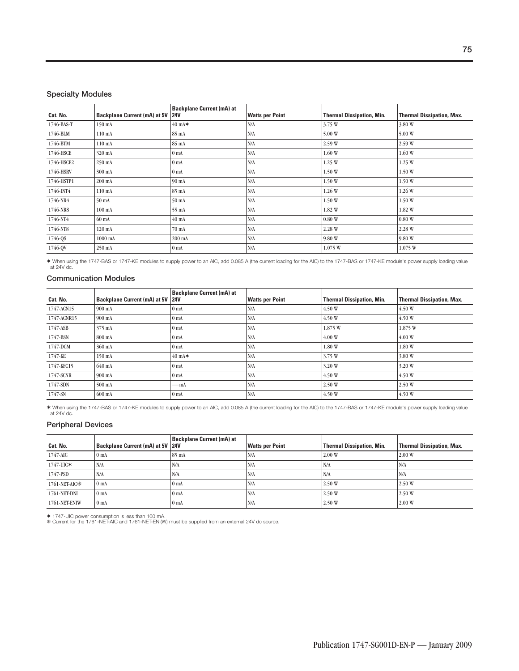#### **Specialty Modules**

| Cat. No.   | Backplane Current (mA) at 5V 24V | <b>Backplane Current (mA) at</b> | <b>Watts per Point</b> | <b>Thermal Dissipation, Min.</b> | <b>Thermal Dissipation, Max.</b> |
|------------|----------------------------------|----------------------------------|------------------------|----------------------------------|----------------------------------|
| 1746-BAS-T | 150 mA                           | $40 \text{ mA}$                  | N/A                    | 3.75 W                           | 3.80 W                           |
| 1746-BLM   | 110 mA                           | 85 mA                            | N/A                    | 5.00 W                           | 5.00 W                           |
| 1746-BTM   | $110 \text{ mA}$                 | 85 mA                            | N/A                    | 2.59W                            | 2.59 W                           |
| 1746-HSCE  | 320 mA                           | 0 <sub>mA</sub>                  | N/A                    | 1.60W                            | 1.60 W                           |
| 1746-HSCE2 | 250 mA                           | 0 <sub>mA</sub>                  | N/A                    | 1.25 W                           | 1.25 W                           |
| 1746-HSRV  | 300 mA                           | 0 <sub>mA</sub>                  | N/A                    | 1.50W                            | 1.50 W                           |
| 1746-HSTP1 | 200 mA                           | 90 mA                            | N/A                    | 1.50W                            | 1.50 W                           |
| 1746-INT4  | $110 \text{ mA}$                 | 85 mA                            | N/A                    | 1.26W                            | 1.26 W                           |
| 1746-NR4   | 50 mA                            | 50 mA                            | N/A                    | 1.50W                            | 1.50 W                           |
| 1746-NR8   | $100 \text{ mA}$                 | 55 mA                            | N/A                    | 1.82 W                           | 1.82 W                           |
| 1746-NT4   | 60 mA                            | $40 \text{ mA}$                  | N/A                    | 0.80W                            | 0.80W                            |
| 1746-NT8   | 120 mA                           | 70 mA                            | N/A                    | 2.28 W                           | 2.28 W                           |
| 1746-QS    | $1000$ mA                        | 200 mA                           | N/A                    | 9.80 W                           | 9.80 W                           |
| 1746-QV    | 250 mA                           | 0 <sub>mA</sub>                  | N/A                    | 1.075 W                          | 1.075 W                          |

✶ When using the 1747-BAS or 1747-KE modules to supply power to an AIC, add 0.085 A (the current loading for the AIC) to the 1747-BAS or 1747-KE module's power supply loading value at 24V dc.

#### **Communication Modules**

| Cat. No.    | Backplane Current (mA) at 5V 24V | <b>Backplane Current (mA) at</b> | <b>Watts per Point</b> | <b>Thermal Dissipation, Min.</b> | <b>Thermal Dissipation, Max.</b> |
|-------------|----------------------------------|----------------------------------|------------------------|----------------------------------|----------------------------------|
| 1747-ACN15  | $900 \text{ mA}$                 | 0 <sub>mA</sub>                  | N/A                    | 4.50 W                           | 4.50W                            |
| 1747-ACNR15 | $900 \text{ mA}$                 | 0 <sub>mA</sub>                  | N/A                    | 4.50 W                           | 4.50W                            |
| 1747-ASB    | 375 mA                           | 0 <sub>mA</sub>                  | N/A                    | 1.875 W                          | 1.875 W                          |
| 1747-BSN    | 800 mA                           | 0 <sub>mA</sub>                  | N/A                    | 4.00W                            | 4.00W                            |
| 1747-DCM    | 360 mA                           | 0 <sub>mA</sub>                  | N/A                    | 1.80 W                           | 1.80 W                           |
| 1747-KE     | 150 mA                           | $40 \text{ mA}$                  | N/A                    | 3.75 W                           | 3.80 W                           |
| 1747-KFC15  | 640 mA                           | 0 <sub>mA</sub>                  | N/A                    | 3.20 W                           | 3.20 W                           |
| 1747-SCNR   | $900 \text{ mA}$                 | 0 <sub>mA</sub>                  | N/A                    | 4.50 W                           | 4.50W                            |
| 1747-SDN    | 500 mA                           | — mA                             | N/A                    | 2.50W                            | 2.50 W                           |
| 1747-SN     | $600 \text{ mA}$                 | 0 <sub>mA</sub>                  | N/A                    | 4.50 W                           | 4.50 W                           |

✶ When using the 1747-BAS or 1747-KE modules to supply power to an AIC, add 0.085 A (the current loading for the AIC) to the 1747-BAS or 1747-KE module's power supply loading value at 24V dc.

#### **Peripheral Devices**

| Cat. No.      | Backplane Current (mA) at 5V 24V | <b>Backplane Current (mA) at</b> | <b>Watts per Point</b> | <b>Thermal Dissipation, Min.</b> | <b>Thermal Dissipation, Max.</b> |
|---------------|----------------------------------|----------------------------------|------------------------|----------------------------------|----------------------------------|
| 1747-AIC      | 0 <sub>mA</sub>                  | $85 \text{ mA}$                  | N/A                    | 2.00W                            | 2.00W                            |
| 1747-UIC*     | N/A                              | N/A                              | N/A                    | N/A                              | N/A                              |
| 1747-PSD      | N/A                              | N/A                              | N/A                    | N/A                              | N/A                              |
| 1761-NET-AIC参 | 0 <sub>mA</sub>                  | 0 <sub>mA</sub>                  | N/A                    | 2.50W                            | 2.50 W                           |
| 1761-NET-DNI  | 0 <sub>mA</sub>                  | 0 <sub>mA</sub>                  | N/A                    | 2.50 W                           | 2.50 W                           |
| 1761-NET-ENIW | 0 <sub>mA</sub>                  | 0 <sub>mA</sub>                  | N/A                    | 2.50W                            | 2.00 W                           |

✶ 1747-UIC power consumption is less than 100 mA. Current for the 1761-NET-AIC and 1761-NET-ENI(W) must be supplied from an external 24V dc source.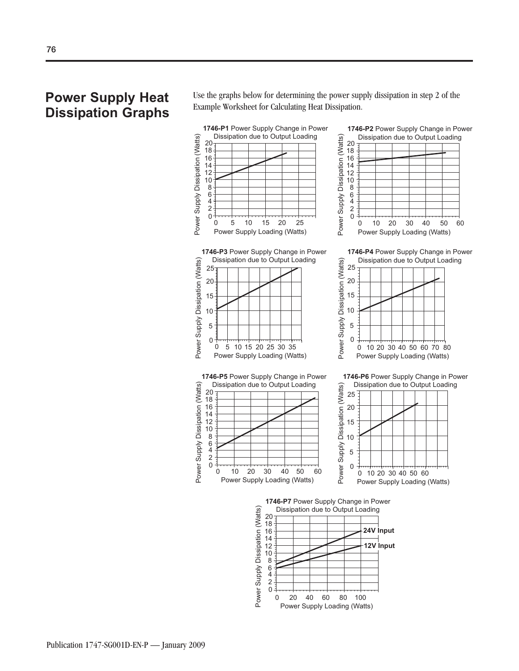### **Power Supply Heat Dissipation Graphs**

Use the graphs below for determining the power supply dissipation in step 2 of the Example Worksheet for Calculating Heat Dissipation.

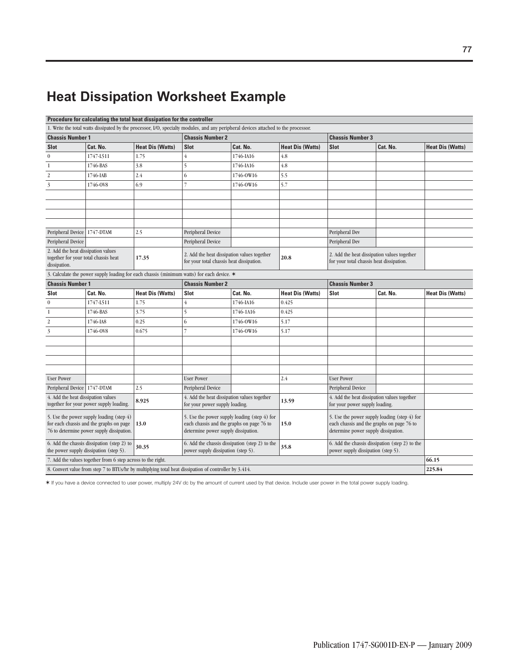## **Heat Dissipation Worksheet Example**

|                                                                                            | Procedure for calculating the total heat dissipation for the controller                                                          |                         |                                                                                                       |                                                                                                                                     |                         |                                          |                                                                                           |                         |
|--------------------------------------------------------------------------------------------|----------------------------------------------------------------------------------------------------------------------------------|-------------------------|-------------------------------------------------------------------------------------------------------|-------------------------------------------------------------------------------------------------------------------------------------|-------------------------|------------------------------------------|-------------------------------------------------------------------------------------------|-------------------------|
|                                                                                            |                                                                                                                                  |                         |                                                                                                       | 1. Write the total watts dissipated by the processor, I/O, specialty modules, and any peripheral devices attached to the processor. |                         |                                          |                                                                                           |                         |
| <b>Chassis Number 1</b>                                                                    |                                                                                                                                  |                         | <b>Chassis Number 2</b>                                                                               |                                                                                                                                     |                         | <b>Chassis Number 3</b>                  |                                                                                           |                         |
| <b>Slot</b>                                                                                | Cat. No.                                                                                                                         | <b>Heat Dis (Watts)</b> | <b>Slot</b>                                                                                           | Cat. No.                                                                                                                            | <b>Heat Dis (Watts)</b> | <b>Slot</b>                              | Cat. No.                                                                                  | <b>Heat Dis (Watts)</b> |
| $\boldsymbol{0}$                                                                           | 1747-L511                                                                                                                        | 1.75                    | $\overline{4}$                                                                                        | 1746-IA16                                                                                                                           | 4.8                     |                                          |                                                                                           |                         |
| $\mathbf{1}$                                                                               | 1746-BAS                                                                                                                         | 3.8                     | 5                                                                                                     | 1746-IA16                                                                                                                           | 4.8                     |                                          |                                                                                           |                         |
| $\overline{2}$                                                                             | 1746-IAB                                                                                                                         | 2.4                     | 6                                                                                                     | 1746-0W16                                                                                                                           | 5.5                     |                                          |                                                                                           |                         |
| 3                                                                                          | 1746-0V8                                                                                                                         | 6.9                     | $\overline{7}$                                                                                        | 1746-0W16                                                                                                                           | 5.7                     |                                          |                                                                                           |                         |
|                                                                                            |                                                                                                                                  |                         |                                                                                                       |                                                                                                                                     |                         |                                          |                                                                                           |                         |
|                                                                                            |                                                                                                                                  |                         |                                                                                                       |                                                                                                                                     |                         |                                          |                                                                                           |                         |
|                                                                                            |                                                                                                                                  |                         |                                                                                                       |                                                                                                                                     |                         |                                          |                                                                                           |                         |
|                                                                                            |                                                                                                                                  |                         |                                                                                                       |                                                                                                                                     |                         |                                          |                                                                                           |                         |
| Peripheral Device   1747-DTAM                                                              |                                                                                                                                  | 2.5                     | Peripheral Device                                                                                     |                                                                                                                                     |                         | Peripheral Dev                           |                                                                                           |                         |
| Peripheral Device                                                                          |                                                                                                                                  |                         | Peripheral Device                                                                                     |                                                                                                                                     |                         | Peripheral Dev                           |                                                                                           |                         |
| 2. Add the heat dissipation values<br>together for your total chassis heat<br>dissipation. |                                                                                                                                  | 17.35                   | 2. Add the heat dissipation values together<br>for your total chassis heat dissipation.               |                                                                                                                                     | 20.8                    | for your total chassis heat dissipation. | 2. Add the heat dissipation values together                                               |                         |
|                                                                                            |                                                                                                                                  |                         | 3. Calculate the power supply loading for each chassis (minimum watts) for each device. *             |                                                                                                                                     |                         |                                          |                                                                                           |                         |
| <b>Chassis Number 1</b>                                                                    |                                                                                                                                  |                         | <b>Chassis Number 2</b>                                                                               |                                                                                                                                     |                         | <b>Chassis Number 3</b>                  |                                                                                           |                         |
| Slot                                                                                       | Cat. No.                                                                                                                         | <b>Heat Dis (Watts)</b> | <b>Slot</b>                                                                                           | Cat. No.                                                                                                                            | <b>Heat Dis (Watts)</b> | Slot                                     | Cat. No.                                                                                  | <b>Heat Dis (Watts)</b> |
| $\boldsymbol{0}$                                                                           | 1747-L511                                                                                                                        | 1.75                    | $\overline{4}$                                                                                        | 1746-IA16                                                                                                                           | 0.425                   |                                          |                                                                                           |                         |
| $\mathbf{1}$                                                                               | 1746-BAS                                                                                                                         | 3.75                    | 5                                                                                                     | 1746-1A16                                                                                                                           | 0.425                   |                                          |                                                                                           |                         |
| $\boldsymbol{2}$                                                                           | 1746-IA8                                                                                                                         | 0.25                    | 6                                                                                                     | 1746-0W16                                                                                                                           | 5.17                    |                                          |                                                                                           |                         |
| 3                                                                                          | 1746-0V8                                                                                                                         | 0.675                   | $\overline{7}$                                                                                        | 1746-0W16                                                                                                                           | 5.17                    |                                          |                                                                                           |                         |
|                                                                                            |                                                                                                                                  |                         |                                                                                                       |                                                                                                                                     |                         |                                          |                                                                                           |                         |
|                                                                                            |                                                                                                                                  |                         |                                                                                                       |                                                                                                                                     |                         |                                          |                                                                                           |                         |
|                                                                                            |                                                                                                                                  |                         |                                                                                                       |                                                                                                                                     |                         |                                          |                                                                                           |                         |
|                                                                                            |                                                                                                                                  |                         |                                                                                                       |                                                                                                                                     |                         |                                          |                                                                                           |                         |
| <b>User Power</b>                                                                          |                                                                                                                                  |                         | <b>User Power</b>                                                                                     |                                                                                                                                     | 2.4                     | <b>User Power</b>                        |                                                                                           |                         |
| Peripheral Device 1747-DTAM                                                                |                                                                                                                                  | 2.5                     | Peripheral Device                                                                                     |                                                                                                                                     |                         | Peripheral Device                        |                                                                                           |                         |
| 4. Add the heat dissipation values                                                         | together for your power supply loading.                                                                                          | 8.925                   | 4. Add the heat dissipation values together<br>for your power supply loading.                         |                                                                                                                                     | 13.59                   | for your power supply loading.           | 4. Add the heat dissipation values together                                               |                         |
|                                                                                            | 5. Use the power supply loading (step 4)<br>for each chassis and the graphs on page<br>76 to determine power supply dissipation. | 13.0                    | each chassis and the graphs on page 76 to<br>determine power supply dissipation.                      | 5. Use the power supply loading (step 4) for                                                                                        | 15.0                    | determine power supply dissipation.      | 5. Use the power supply loading (step 4) for<br>each chassis and the graphs on page 76 to |                         |
|                                                                                            | 6. Add the chassis dissipation (step 2) to<br>the power supply dissipation (step 5).                                             | 30.35                   | power supply dissipation (step 5).                                                                    | 6. Add the chassis dissipation (step 2) to the                                                                                      | 35.8                    | power supply dissipation (step 5).       | 6. Add the chassis dissipation (step 2) to the                                            |                         |
|                                                                                            | 7. Add the values together from 6 step across to the right.                                                                      |                         |                                                                                                       |                                                                                                                                     |                         |                                          |                                                                                           | 66.15                   |
|                                                                                            |                                                                                                                                  |                         | 8. Convert value from step 7 to BTUs/hr by multiplying total heat dissipation of controller by 3.414. |                                                                                                                                     |                         |                                          |                                                                                           | 225.84                  |

✶ If you have a device connected to user power, multiply 24V dc by the amount of current used by that device. Include user power in the total power supply loading.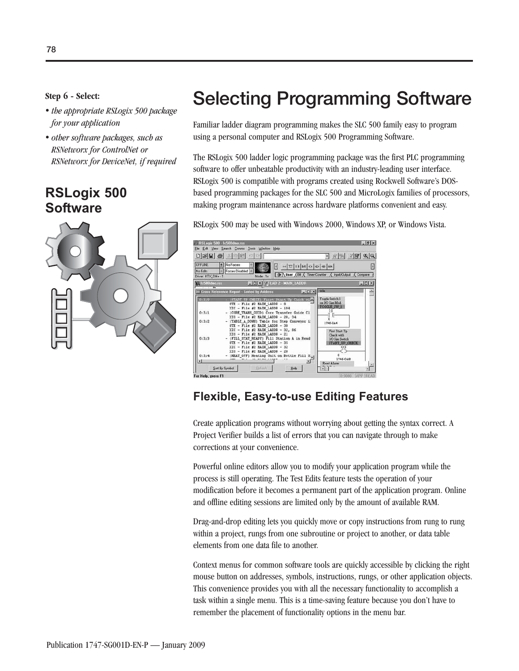- *the appropriate RSLogix 500 package for your application*
- *other software packages, such as RSNetworx for ControlNet or RSNetworx for DeviceNet, if required*

### **RSLogix 500 Software**



# **Step 6 - Select:** Selecting Programming Software

Familiar ladder diagram programming makes the SLC 500 family easy to program using a personal computer and RSLogix 500 Programming Software.

The RSLogix 500 ladder logic programming package was the first PLC programming software to offer unbeatable productivity with an industry-leading user interface. RSLogix 500 is compatible with programs created using Rockwell Software's DOSbased programming packages for the SLC 500 and MicroLogix families of processors, making program maintenance across hardware platforms convenient and easy.

RSLogix 500 may be used with Windows 2000, Windows XP, or Windows Vista.



#### **Flexible, Easy-to-use Editing Features**

Create application programs without worrying about getting the syntax correct. A Project Verifier builds a list of errors that you can navigate through to make corrections at your convenience.

Powerful online editors allow you to modify your application program while the process is still operating. The Test Edits feature tests the operation of your modification before it becomes a permanent part of the application program. Online and offline editing sessions are limited only by the amount of available RAM.

Drag-and-drop editing lets you quickly move or copy instructions from rung to rung within a project, rungs from one subroutine or project to another, or data table elements from one data file to another.

Context menus for common software tools are quickly accessible by clicking the right mouse button on addresses, symbols, instructions, rungs, or other application objects. This convenience provides you with all the necessary functionality to accomplish a task within a single menu. This is a time-saving feature because you don't have to remember the placement of functionality options in the menu bar.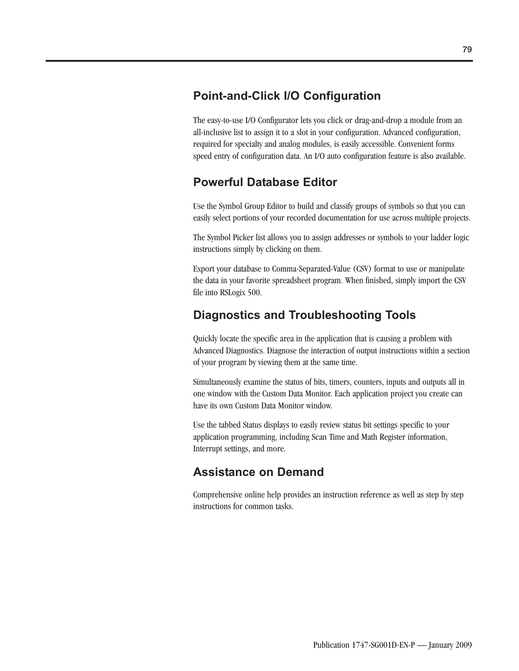### **Point-and-Click I/O Configuration**

The easy-to-use I/O Configurator lets you click or drag-and-drop a module from an all-inclusive list to assign it to a slot in your configuration. Advanced configuration, required for specialty and analog modules, is easily accessible. Convenient forms speed entry of configuration data. An I/O auto configuration feature is also available.

#### **Powerful Database Editor**

Use the Symbol Group Editor to build and classify groups of symbols so that you can easily select portions of your recorded documentation for use across multiple projects.

The Symbol Picker list allows you to assign addresses or symbols to your ladder logic instructions simply by clicking on them.

Export your database to Comma-Separated-Value (CSV) format to use or manipulate the data in your favorite spreadsheet program. When finished, simply import the CSV file into RSLogix 500.

### **Diagnostics and Troubleshooting Tools**

Quickly locate the specific area in the application that is causing a problem with Advanced Diagnostics. Diagnose the interaction of output instructions within a section of your program by viewing them at the same time.

Simultaneously examine the status of bits, timers, counters, inputs and outputs all in one window with the Custom Data Monitor. Each application project you create can have its own Custom Data Monitor window.

Use the tabbed Status displays to easily review status bit settings specific to your application programming, including Scan Time and Math Register information, Interrupt settings, and more.

### **Assistance on Demand**

Comprehensive online help provides an instruction reference as well as step by step instructions for common tasks.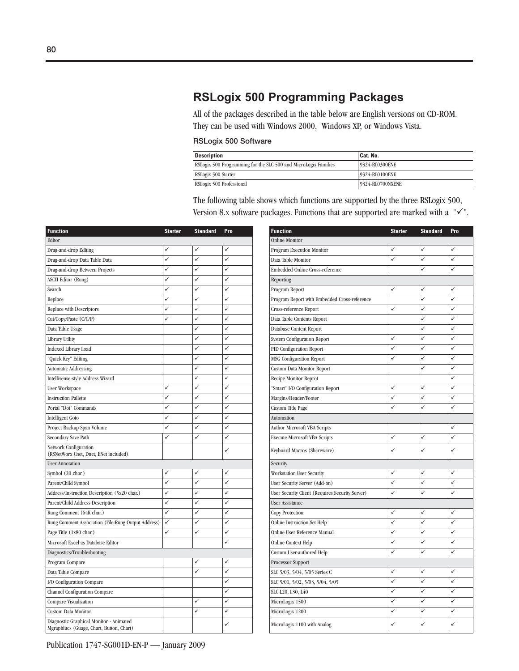### **RSLogix 500 Programming Packages**

All of the packages described in the table below are English versions on CD-ROM. They can be used with Windows 2000, Windows XP, or Windows Vista.

#### **RSLogix 500 Software**

| <b>Description</b>                                              | Cat. No.         |
|-----------------------------------------------------------------|------------------|
| RSLogix 500 Programming for the SLC 500 and MicroLogix Families | 9324-RL0300ENE   |
| RSLogix 500 Starter                                             | 9324-RL0100ENE   |
| RSLogix 500 Professional                                        | 9324-RL0700NXENE |

The following table shows which functions are supported by the three RSLogix 500, Version 8.x software packages. Functions that are supported are marked with a  $"\'{\checkmark}$ .

| <b>Function</b>                                                                     | <b>Starter</b> | <b>Standard</b> | Pro | <b>Function</b>                                 | <b>Starter</b> | <b>Standard</b> | Pro |
|-------------------------------------------------------------------------------------|----------------|-----------------|-----|-------------------------------------------------|----------------|-----------------|-----|
| Editor                                                                              |                |                 |     | <b>Online Monitor</b>                           |                |                 |     |
| Drag-and-drop Editing                                                               | ✓              | ✓               | ✓   | Program Execution Monitor                       | ✓              | ✓               | ✓   |
| Drag-and-drop Data Table Data                                                       | ✓              | ✓               | ✓   | Data Table Monitor                              | $\checkmark$   | $\checkmark$    | ✓   |
| Drag-and-drop Between Projects                                                      | ✓              | ✓               | ✓   | Embedded Online Cross-reference                 |                | ✓               | ✓   |
| <b>ASCII Editor (Rung)</b>                                                          | ✓              | $\checkmark$    | ✓   | Reporting                                       |                |                 |     |
| Search                                                                              | ✓              | ✓               | ✓   | Program Report                                  | ✓              | ✓               | ✓   |
| Replace                                                                             | ✓              | ✓               | ✓   | Program Report with Embedded Cross-reference    |                | ✓               | ✓   |
| Replace with Descriptors                                                            | $\checkmark$   | ✓               | ✓   | Cross-reference Report                          | $\checkmark$   | ✓               | ✓   |
| Cut/Copy/Paste (C/C/P)                                                              | ✓              | ✓               | ✓   | Data Table Contents Report                      |                | ✓               | ✓   |
| Data Table Usage                                                                    |                | ✓               | ✓   | Database Content Report                         |                | ✓               | ✓   |
| Library Utility                                                                     |                | $\checkmark$    | ✓   | System Configuration Report                     | $\checkmark$   | ✓               | ✓   |
| <b>Indexed Library Load</b>                                                         |                | ✓               | ✓   | PID Configuration Report                        | ✓              | ✓               | ✓   |
| "Quick Key" Editing                                                                 |                | $\checkmark$    | ✓   | <b>MSG Configuration Report</b>                 | $\checkmark$   | ✓               | ✓   |
| <b>Automatic Addressing</b>                                                         |                | ✓               | ✓   | Custom Data Monitor Report                      |                | ✓               | ✓   |
| Intellisense-style Address Wizard                                                   |                | ✓               | ✓   | Recipe Monitor Reprot                           |                |                 | ✓   |
| <b>User Workspace</b>                                                               | ✓              | ✓               | ✓   | "Smart" I/O Configuration Report                | ✓              | ✓               | ✓   |
| <b>Instruction Pallette</b>                                                         | ✓              | $\checkmark$    | ✓   | Margins/Header/Footer                           | ✓              | ✓               | ✓   |
| Portal "Dot" Commands                                                               | ✓              | ✓               | ✓   | Custom Title Page                               | $\checkmark$   | ✓               | ✓   |
| <b>Intelligent Goto</b>                                                             | ✓              | ✓               | ✓   | Automation                                      |                |                 |     |
| Project Backup Span Volume                                                          | ✓              | $\checkmark$    | ✓   | Author Microsoft VBA Scripts                    |                |                 | ✓   |
| Secondary Save Path                                                                 | ✓              | ✓               | ✓   | <b>Execute Microsoft VBA Scripts</b>            | ✓              | ✓               | ✓   |
| Network Configuration<br>(RSNetWorx Cnet, Dnet, ENet included)                      |                |                 | ✓   | Keyboard Macros (Shareware)                     | $\checkmark$   | ✓               | ✓   |
| <b>User Annotation</b>                                                              |                |                 |     | Security                                        |                |                 |     |
| Symbol (20 char.)                                                                   | ✓              | ✓               | ✓   | Workstation User Security                       | ✓              | ✓               | ✓   |
| Parent/Child Symbol                                                                 | ✓              | ✓               | ✓   | User Security Server (Add-on)                   | ✓              | ✓               | ✓   |
| Address/Instruction Description (5x20 char.)                                        | ✓              | ✓               | ✓   | User Security Client (Requires Security Server) | $\checkmark$   | ✓               | ✓   |
| Parent/Child Address Description                                                    | ✓              | ✓               | ✓   | User Assistance                                 |                |                 |     |
| Rung Comment (64K char.)                                                            | $\checkmark$   | ✓               | ✓   | <b>Copy Protection</b>                          | ✓              | ✓               | ✓   |
| Rung Comment Association (File:Rung Output Address)                                 | ✓              | ✓               | ✓   | <b>Online Instruction Set Help</b>              | ✓              | ✓               | ✓   |
| Page Title (1x80 char.)                                                             | ✓              | ✓               | ✓   | Online User Reference Manual                    | ✓              | ✓               | ✓   |
| Microsoft Excel as Database Editor                                                  |                |                 | ✓   | Online Context Help                             | ✓              | ✓               | ✓   |
| Diagnostics/Troubleshooting                                                         |                |                 |     | Custom User-authored Help                       | ✓              | ✓               | ✓   |
| Program Compare                                                                     |                | ✓               | ✓   | Processor Support                               |                |                 |     |
| Data Table Compare                                                                  |                | $\checkmark$    | ✓   | SLC 5/03, 5/04, 5/05 Series C                   | ✓              | ✓               | ✓   |
| I/O Configuration Compare                                                           |                |                 | ✓   | SLC 5/01, 5/02, 5/03, 5/04, 5/05                | $\checkmark$   | ✓               | ✓   |
| Channel Configuration Compare                                                       |                |                 | ✓   | SLC L20, L30, L40                               | $\checkmark$   | $\checkmark$    | ✓   |
| Compare Visualization                                                               |                | ✓               | ✓   | MicroLogix 1500                                 | ✓              | ✓               | ✓   |
| Custom Data Monitor                                                                 |                | $\checkmark$    | ✓   | MicroLogix 1200                                 | $\checkmark$   | ✓               | ✓   |
| Diagnostic Graphical Monitor - Animated<br>Mgraphiucs (Guage, Chart, Button, Chart) |                |                 | ✓   | MicroLogix 1100 with Analog                     | ✓              | ✓               | ✓   |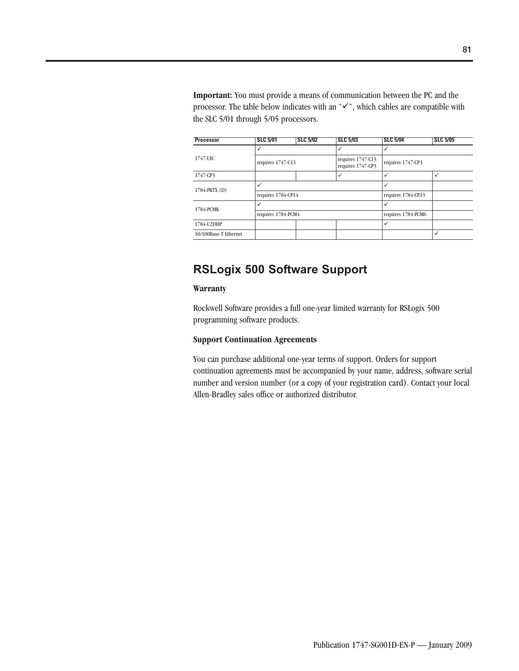**Important:** You must provide a means of communication between the PC and the processor. The table below indicates with an  $"\checkmark$ ", which cables are compatible with the SLC 5/01 through 5/05 processors.

| <b>Processor</b>      | <b>SLC 5/01</b>    | <b>SLC 5/02</b> | <b>SLC 5/03</b>                        | <b>SLC 5/04</b>    | <b>SLC 5/05</b> |
|-----------------------|--------------------|-----------------|----------------------------------------|--------------------|-----------------|
|                       | ✓                  |                 | ✓                                      | $\checkmark$       |                 |
| 1747-UIC              | requires 1747-C13  |                 | requires 1747-C13<br>requires 1747-CP3 | requires 1747-CP3  |                 |
| 1747-CP3              |                    |                 | ✓                                      | $\checkmark$       | ✓               |
|                       | ✓                  |                 |                                        | ✓                  |                 |
| 1784-PKTX (D)         | requires 1784-CP14 |                 | requires 1784-CP13                     |                    |                 |
| 1784-PCMK             | $\checkmark$       |                 |                                        | ✓                  |                 |
|                       | requires 1784-PCM4 |                 |                                        | requires 1784-PCM6 |                 |
| 1784-U2DHP            |                    |                 |                                        | $\checkmark$       |                 |
| 10/100Base-T Ethernet |                    |                 |                                        |                    | ✓               |

### **RSLogix 500 Software Support**

#### **Warranty**

Rockwell Software provides a full one-year limited warranty for RSLogix 500 programming software products.

#### **Support Continuation Agreements**

You can purchase additional one-year terms of support. Orders for support continuation agreements must be accompanied by your name, address, software serial number and version number (or a copy of your registration card). Contact your local Allen-Bradley sales office or authorized distributor.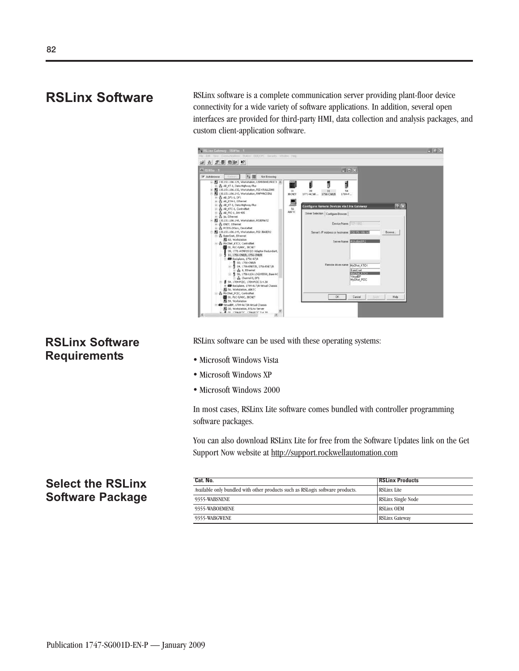**RSLinx Software** RSLinx software is a complete communication server providing plant-floor device connectivity for a wide variety of software applications. In addition, several open interfaces are provided for third-party HMI, data collection and analysis packages, and custom client-application software.



#### **RSLinx Software Requirements**

RSLinx software can be used with these operating systems:

- · Microsoft Windows Vista
- · Microsoft Windows XP
- · Microsoft Windows 2000

In most cases, RSLinx Lite software comes bundled with controller programming software packages.

You can also download RSLinx Lite for free from the Software Updates link on the Get Support Now website at http://support.rockwellautomation.com

### **Select the RSLinx Software Package**

| Cat. No.                                                                      | <b>RSLinx Products</b> |
|-------------------------------------------------------------------------------|------------------------|
| Available only bundled with other products such as RSLogix software products. | <b>RSLinx Lite</b>     |
| 9355-WABSNENE                                                                 | RSLinx Single Node     |
| 9355-WABOEMENE                                                                | <b>RSLinx OEM</b>      |
| 9355-WABGWENE                                                                 | <b>RSLinx Gateway</b>  |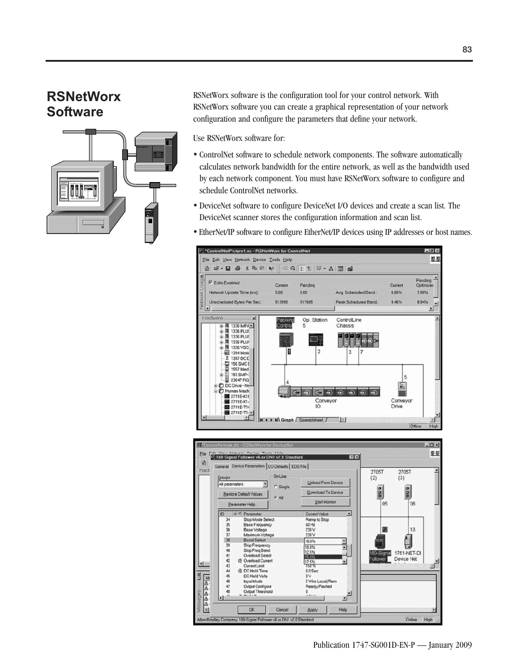### **RSNetWorx Software**



RSNetWorx software is the configuration tool for your control network. With RSNetWorx software you can create a graphical representation of your network configuration and configure the parameters that define your network.

Use RSNetWorx software for:

- ControlNet software to schedule network components. The software automatically calculates network bandwidth for the entire network, as well as the bandwidth used by each network component. You must have RSNetWorx software to configure and schedule ControlNet networks.
- DeviceNet software to configure DeviceNet I/O devices and create a scan list. The DeviceNet scanner stores the configuration information and scan list.
- EtherNet/IP software to configure EtherNet/IP devices using IP addresses or host names.



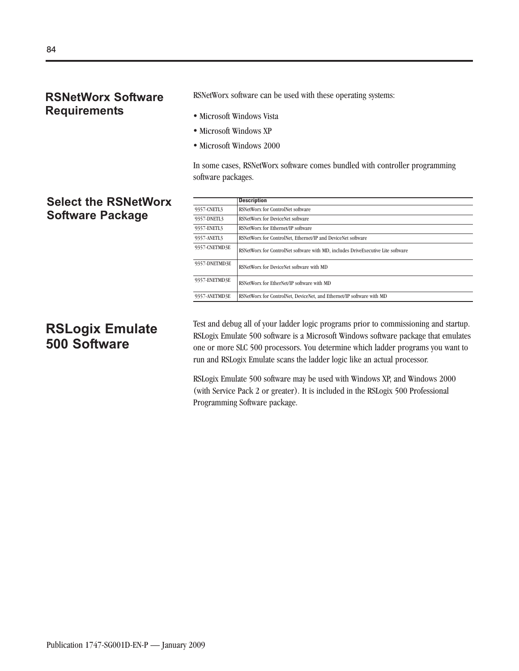#### **RSNetWorx Software Requirements**

RSNetWorx software can be used with these operating systems:

- · Microsoft Windows Vista
- · Microsoft Windows XP
- · Microsoft Windows 2000

In some cases, RSNetWorx software comes bundled with controller programming software packages.

### **Select the RSNetWorx Software Package**

|               | <b>Description</b>                                                               |
|---------------|----------------------------------------------------------------------------------|
| 9357-CNETL3   | RSNetWorx for ControlNet software                                                |
| 9357-DNETL3   | RSNetWorx for DeviceNet software                                                 |
| 9357-ENETL3   | RSNetWorx for Ethernet/IP software                                               |
| 9357-ANETL3   | RSNetWorx for ControlNet, Ethernet/IP and DeviceNet software                     |
| 9357-CNETMD3E | RSNetWorx for ControlNet software with MD, includes DriveExecutive Lite software |
| 9357-DNETMD3E | RSNetWorx for DeviceNet software with MD                                         |
| 9357-ENETMD3E | RSNetWorx for EtherNet/IP software with MD                                       |
| 9357-ANETMD3E | RSNetWorx for ControlNet, DeviceNet, and Ethernet/IP software with MD            |

## **RSLogix Emulate 500 Software**

Test and debug all of your ladder logic programs prior to commissioning and startup. RSLogix Emulate 500 software is a Microsoft Windows software package that emulates one or more SLC 500 processors. You determine which ladder programs you want to run and RSLogix Emulate scans the ladder logic like an actual processor.

RSLogix Emulate 500 software may be used with Windows XP, and Windows 2000 (with Service Pack 2 or greater). It is included in the RSLogix 500 Professional Programming Software package.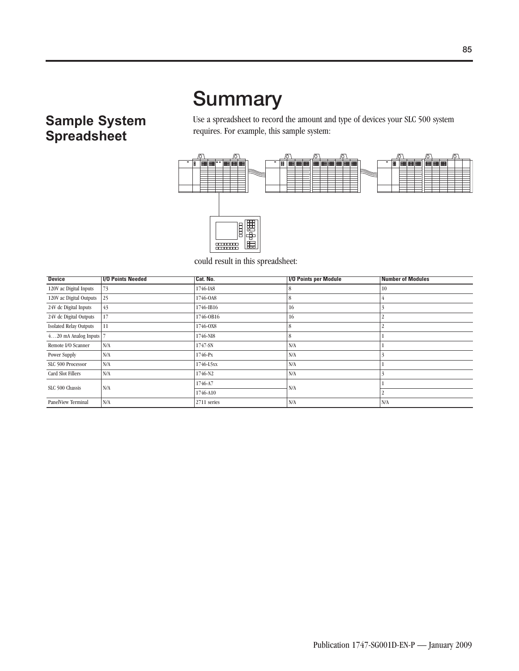# **Summary**

## **Sample System Spreadsheet**

Use a spreadsheet to record the amount and type of devices your SLC 500 system requires. For example, this sample system:



could result in this spreadsheet:

| <b>Device</b>                 | <b>1/0 Points Needed</b> | Cat. No.    | <b>I/O Points per Module</b> | <b>Number of Modules</b> |
|-------------------------------|--------------------------|-------------|------------------------------|--------------------------|
| 120V ac Digital Inputs        | 73                       | 1746-IA8    | 8                            | 10                       |
| 120V ac Digital Outputs       | 25                       | 1746-0A8    | 8                            |                          |
| 24V dc Digital Inputs         | 43                       | 1746-IB16   | 16                           |                          |
| 24V dc Digital Outputs        | 17                       | 1746-0B16   | 16                           |                          |
| <b>Isolated Relay Outputs</b> | 11                       | 1746-0X8    | 8                            |                          |
| $420$ mA Analog Inputs $ 7$   |                          | 1746-NI8    | 8                            |                          |
| Remote I/O Scanner            | N/A                      | 1747-SN     | N/A                          |                          |
| Power Supply                  | N/A                      | 1746-Px     | N/A                          |                          |
| SLC 500 Processor             | N/A                      | 1746-L5xx   | N/A                          |                          |
| <b>Card Slot Fillers</b>      | N/A                      | 1746-N2     | N/A                          |                          |
| SLC 500 Chassis               | N/A                      | 1746-A7     | N/A                          |                          |
|                               |                          | 1746-A10    |                              |                          |
| <b>PanelView Terminal</b>     | N/A                      | 2711 series | N/A                          | N/A                      |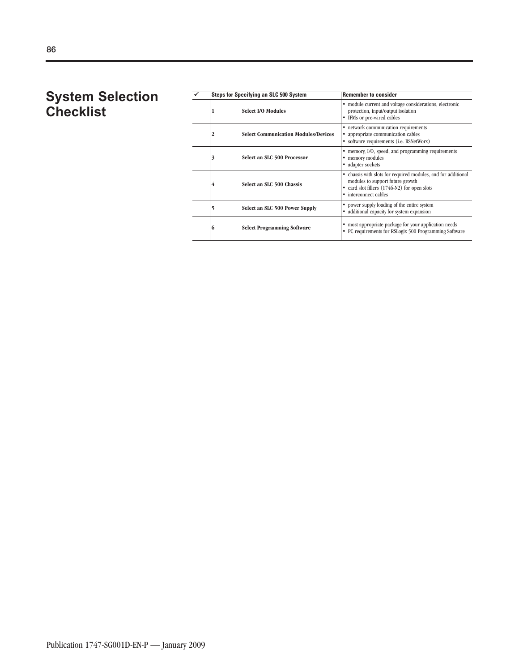### **System Selection Checklist**

|   | <b>Steps for Specifying an SLC 500 System</b> | <b>Remember to consider</b>                                                                                                                                            |  |  |
|---|-----------------------------------------------|------------------------------------------------------------------------------------------------------------------------------------------------------------------------|--|--|
| 1 | Select I/O Modules                            | • module current and voltage considerations, electronic<br>protection, input/output isolation<br>IFMs or pre-wired cables                                              |  |  |
| 2 | <b>Select Communication Modules/Devices</b>   | • network communication requirements<br>appropriate communication cables<br>• software requirements (i.e. RSNetWorx)                                                   |  |  |
| 3 | Select an SLC 500 Processor                   | memory, I/O, speed, and programming requirements<br>memory modules<br>• adapter sockets                                                                                |  |  |
| 4 | Select an SLC 500 Chassis                     | chassis with slots for required modules, and for additional<br>modules to support future growth<br>card slot fillers (1746-N2) for open slots<br>• interconnect cables |  |  |
| 5 | Select an SLC 500 Power Supply                | power supply loading of the entire system<br>additional capacity for system expansion<br>٠                                                                             |  |  |
| 6 | <b>Select Programming Software</b>            | most appropriate package for your application needs<br>PC requirements for RSLogix 500 Programming Software<br>٠                                                       |  |  |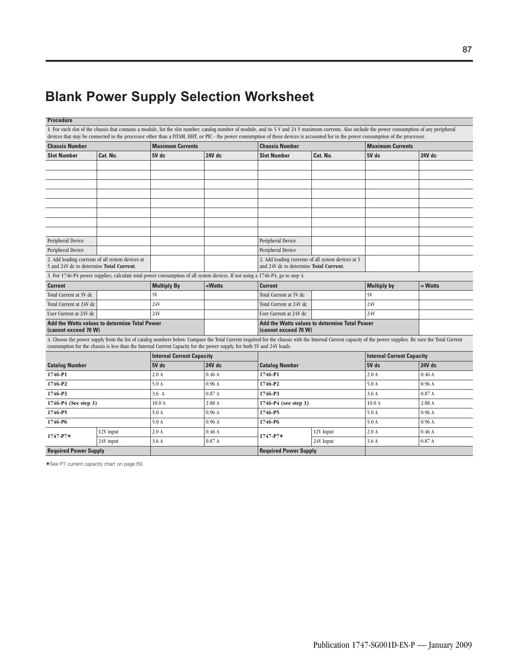# **Blank Power Supply Selection Worksheet**

| <b>Procedure</b>                                                      |                                                                                                                         |                                  |                  |                                                                                                                                                                                                                                                                                                                                                                                           |                                                    |                                  |                         |  |
|-----------------------------------------------------------------------|-------------------------------------------------------------------------------------------------------------------------|----------------------------------|------------------|-------------------------------------------------------------------------------------------------------------------------------------------------------------------------------------------------------------------------------------------------------------------------------------------------------------------------------------------------------------------------------------------|----------------------------------------------------|----------------------------------|-------------------------|--|
|                                                                       |                                                                                                                         |                                  |                  | 1. For each slot of the chassis that contains a module, list the slot number, catalog number of module, and its 5 V and 24 V maximum currents. Also include the power consumption of any peripheral<br>devices that may be connected to the processor other than a DTAM, HHT, or PIC - the power consumption of these devices is accounted for in the power consumption of the processor. |                                                    |                                  |                         |  |
| <b>Chassis Number</b>                                                 |                                                                                                                         | <b>Maximum Currents</b>          |                  | <b>Chassis Number</b>                                                                                                                                                                                                                                                                                                                                                                     |                                                    |                                  | <b>Maximum Currents</b> |  |
| Cat. No.<br><b>Slot Number</b>                                        |                                                                                                                         | 5V dc                            | 24V dc           | <b>Slot Number</b>                                                                                                                                                                                                                                                                                                                                                                        | Cat. No.                                           | 5V dc                            | 24V dc                  |  |
|                                                                       |                                                                                                                         |                                  |                  |                                                                                                                                                                                                                                                                                                                                                                                           |                                                    |                                  |                         |  |
|                                                                       |                                                                                                                         |                                  |                  |                                                                                                                                                                                                                                                                                                                                                                                           |                                                    |                                  |                         |  |
|                                                                       |                                                                                                                         |                                  |                  |                                                                                                                                                                                                                                                                                                                                                                                           |                                                    |                                  |                         |  |
|                                                                       |                                                                                                                         |                                  |                  |                                                                                                                                                                                                                                                                                                                                                                                           |                                                    |                                  |                         |  |
|                                                                       |                                                                                                                         |                                  |                  |                                                                                                                                                                                                                                                                                                                                                                                           |                                                    |                                  |                         |  |
|                                                                       |                                                                                                                         |                                  |                  |                                                                                                                                                                                                                                                                                                                                                                                           |                                                    |                                  |                         |  |
|                                                                       |                                                                                                                         |                                  |                  |                                                                                                                                                                                                                                                                                                                                                                                           |                                                    |                                  |                         |  |
|                                                                       |                                                                                                                         |                                  |                  |                                                                                                                                                                                                                                                                                                                                                                                           |                                                    |                                  |                         |  |
| Peripheral Device                                                     |                                                                                                                         |                                  |                  | Peripheral Device                                                                                                                                                                                                                                                                                                                                                                         |                                                    |                                  |                         |  |
| <b>Peripheral Device</b>                                              |                                                                                                                         |                                  |                  | Peripheral Device                                                                                                                                                                                                                                                                                                                                                                         |                                                    |                                  |                         |  |
|                                                                       | 2. Add loading currents of all system devices at                                                                        |                                  |                  |                                                                                                                                                                                                                                                                                                                                                                                           | 2. Add loading currents of all system devices at 5 |                                  |                         |  |
|                                                                       | 5 and 24V dc to determine Total Current.                                                                                |                                  |                  |                                                                                                                                                                                                                                                                                                                                                                                           | and 24V dc to determine Total Current.             |                                  |                         |  |
|                                                                       |                                                                                                                         |                                  |                  | 3. For 1746-P4 power supplies, calculate total power consumption of all system devices. If not using a 1746-P4, go to step 4.                                                                                                                                                                                                                                                             |                                                    |                                  |                         |  |
| <b>Current</b>                                                        |                                                                                                                         | <b>Multiply By</b>               | $=$ <b>Watts</b> | <b>Current</b>                                                                                                                                                                                                                                                                                                                                                                            |                                                    | <b>Multiply by</b>               | $=$ Watts               |  |
| Total Current at 5V dc                                                |                                                                                                                         | 5V                               |                  | Total Current at 5V dc                                                                                                                                                                                                                                                                                                                                                                    |                                                    | 5V                               |                         |  |
| Total Current at 24V dc                                               |                                                                                                                         | 24V                              |                  | Total Current at 24V dc                                                                                                                                                                                                                                                                                                                                                                   |                                                    | 24V                              |                         |  |
| User Current at 24V dc                                                |                                                                                                                         | 24V                              |                  | User Current at 24V dc                                                                                                                                                                                                                                                                                                                                                                    |                                                    | 24V                              |                         |  |
| Add the Watts values to determine Total Power<br>(cannot exceed 70 W) |                                                                                                                         |                                  |                  | Add the Watts values to determine Total Power<br>(cannot exceed 70 W)                                                                                                                                                                                                                                                                                                                     |                                                    |                                  |                         |  |
|                                                                       | consumption for the chassis is less than the Internal Current Capacity for the power supply, for both 5V and 24V loads. |                                  |                  | 4. Choose the power supply from the list of catalog numbers below. Compare the Total Current required for the chassis with the Internal Current capacity of the power supplies. Be sure the Total Current                                                                                                                                                                                 |                                                    |                                  |                         |  |
|                                                                       |                                                                                                                         | <b>Internal Current Capacity</b> |                  |                                                                                                                                                                                                                                                                                                                                                                                           |                                                    | <b>Internal Current Capacity</b> |                         |  |
| <b>Catalog Number</b>                                                 |                                                                                                                         | 5V dc                            | 24V dc           | <b>Catalog Number</b>                                                                                                                                                                                                                                                                                                                                                                     |                                                    |                                  | 24V dc                  |  |
| 1746-P1                                                               |                                                                                                                         | 2.0A                             | 0.46A            | 1746-P1                                                                                                                                                                                                                                                                                                                                                                                   |                                                    |                                  | 0.46A                   |  |
| 1746-P2                                                               |                                                                                                                         | 5.0 A                            | 0.96A            | 1746-P2                                                                                                                                                                                                                                                                                                                                                                                   |                                                    |                                  | 0.96A                   |  |
| 1746-P3                                                               |                                                                                                                         | 3.6A                             | 0.87A            | 1746-P3                                                                                                                                                                                                                                                                                                                                                                                   |                                                    |                                  | 0.87A                   |  |
| 1746-P4 (See step 3)                                                  |                                                                                                                         | 10.0 <sub>A</sub>                | 2.88 A           | 1746-P4 (see step 3)                                                                                                                                                                                                                                                                                                                                                                      |                                                    |                                  | 2.88 A                  |  |
| 1746-P5                                                               |                                                                                                                         | 5.0 A                            | 0.96A            | 1746-P5                                                                                                                                                                                                                                                                                                                                                                                   |                                                    |                                  | 0.96A                   |  |
| 1746-P6                                                               |                                                                                                                         | 5.0 A                            | 0.96A            | 1746-P6                                                                                                                                                                                                                                                                                                                                                                                   |                                                    |                                  | 0.96A                   |  |
|                                                                       | 12V input                                                                                                               | 2.0A                             | 0.46A            |                                                                                                                                                                                                                                                                                                                                                                                           | 12V Input                                          | 2.0A                             | 0.46A                   |  |
| $1747 - P7*$                                                          | 24V input                                                                                                               | 3.6A                             | 0.87A            | $1747 - P7*$                                                                                                                                                                                                                                                                                                                                                                              | 24V Input                                          | 3.6A                             | 0.87A                   |  |
| <b>Required Power Supply</b>                                          |                                                                                                                         |                                  |                  | <b>Required Power Supply</b>                                                                                                                                                                                                                                                                                                                                                              |                                                    |                                  |                         |  |

✶See P7 current capacity chart on page 69.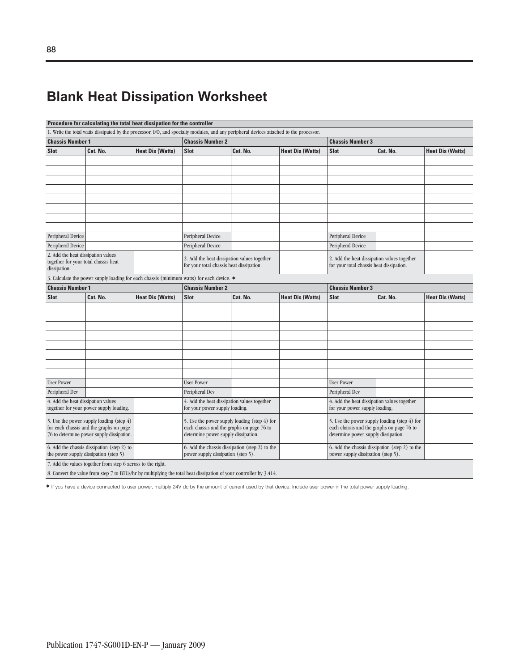# **Blank Heat Dissipation Worksheet**

| Procedure for calculating the total heat dissipation for the controller              |                                                                                                                    |                                                    |                                                                                                                                         |                                              |                         |                                                                                           |          |                         |
|--------------------------------------------------------------------------------------|--------------------------------------------------------------------------------------------------------------------|----------------------------------------------------|-----------------------------------------------------------------------------------------------------------------------------------------|----------------------------------------------|-------------------------|-------------------------------------------------------------------------------------------|----------|-------------------------|
|                                                                                      |                                                                                                                    |                                                    | 1. Write the total watts dissipated by the processor, I/O, and specialty modules, and any peripheral devices attached to the processor. |                                              |                         |                                                                                           |          |                         |
| <b>Chassis Number 1</b>                                                              |                                                                                                                    |                                                    | <b>Chassis Number 2</b>                                                                                                                 |                                              |                         | <b>Chassis Number 3</b>                                                                   |          |                         |
| Cat. No.<br><b>Heat Dis (Watts)</b><br><b>Slot</b>                                   |                                                                                                                    | <b>Slot</b><br>Cat. No.<br><b>Heat Dis (Watts)</b> |                                                                                                                                         |                                              | <b>Slot</b>             | <b>Heat Dis (Watts)</b>                                                                   |          |                         |
|                                                                                      |                                                                                                                    |                                                    |                                                                                                                                         |                                              |                         |                                                                                           |          |                         |
|                                                                                      |                                                                                                                    |                                                    |                                                                                                                                         |                                              |                         |                                                                                           |          |                         |
|                                                                                      |                                                                                                                    |                                                    |                                                                                                                                         |                                              |                         |                                                                                           |          |                         |
|                                                                                      |                                                                                                                    |                                                    |                                                                                                                                         |                                              |                         |                                                                                           |          |                         |
|                                                                                      |                                                                                                                    |                                                    |                                                                                                                                         |                                              |                         |                                                                                           |          |                         |
|                                                                                      |                                                                                                                    |                                                    |                                                                                                                                         |                                              |                         |                                                                                           |          |                         |
|                                                                                      |                                                                                                                    |                                                    |                                                                                                                                         |                                              |                         |                                                                                           |          |                         |
|                                                                                      |                                                                                                                    |                                                    |                                                                                                                                         |                                              |                         |                                                                                           |          |                         |
| Peripheral Device                                                                    |                                                                                                                    |                                                    | Peripheral Device                                                                                                                       |                                              |                         | Peripheral Device                                                                         |          |                         |
|                                                                                      |                                                                                                                    |                                                    |                                                                                                                                         |                                              |                         |                                                                                           |          |                         |
| Peripheral Device                                                                    |                                                                                                                    |                                                    | Peripheral Device                                                                                                                       |                                              |                         | Peripheral Device                                                                         |          |                         |
| 2. Add the heat dissipation values<br>together for your total chassis heat           |                                                                                                                    |                                                    | 2. Add the heat dissipation values together                                                                                             |                                              |                         | 2. Add the heat dissipation values together                                               |          |                         |
| dissipation.                                                                         |                                                                                                                    |                                                    | for your total chassis heat dissipation.                                                                                                |                                              |                         | for your total chassis heat dissipation.                                                  |          |                         |
|                                                                                      |                                                                                                                    |                                                    | 3. Calculate the power supply loading for each chassis (minimum watts) for each device. *                                               |                                              |                         |                                                                                           |          |                         |
| <b>Chassis Number 1</b>                                                              |                                                                                                                    |                                                    | <b>Chassis Number 2</b>                                                                                                                 |                                              |                         | <b>Chassis Number 3</b>                                                                   |          |                         |
| <b>Slot</b>                                                                          | Cat. No.                                                                                                           | <b>Heat Dis (Watts)</b>                            | <b>Slot</b>                                                                                                                             | Cat. No.                                     | <b>Heat Dis (Watts)</b> | <b>Slot</b>                                                                               | Cat. No. | <b>Heat Dis (Watts)</b> |
|                                                                                      |                                                                                                                    |                                                    |                                                                                                                                         |                                              |                         |                                                                                           |          |                         |
|                                                                                      |                                                                                                                    |                                                    |                                                                                                                                         |                                              |                         |                                                                                           |          |                         |
|                                                                                      |                                                                                                                    |                                                    |                                                                                                                                         |                                              |                         |                                                                                           |          |                         |
|                                                                                      |                                                                                                                    |                                                    |                                                                                                                                         |                                              |                         |                                                                                           |          |                         |
|                                                                                      |                                                                                                                    |                                                    |                                                                                                                                         |                                              |                         |                                                                                           |          |                         |
|                                                                                      |                                                                                                                    |                                                    |                                                                                                                                         |                                              |                         |                                                                                           |          |                         |
|                                                                                      |                                                                                                                    |                                                    |                                                                                                                                         |                                              |                         |                                                                                           |          |                         |
|                                                                                      |                                                                                                                    |                                                    |                                                                                                                                         |                                              |                         |                                                                                           |          |                         |
| <b>User Power</b>                                                                    |                                                                                                                    |                                                    | <b>User Power</b>                                                                                                                       |                                              |                         |                                                                                           |          |                         |
|                                                                                      |                                                                                                                    |                                                    |                                                                                                                                         |                                              |                         | <b>User Power</b>                                                                         |          |                         |
| Peripheral Dev                                                                       |                                                                                                                    |                                                    | Peripheral Dev                                                                                                                          |                                              |                         | Peripheral Dev                                                                            |          |                         |
| 4. Add the heat dissipation values                                                   | together for your power supply loading.                                                                            |                                                    | 4. Add the heat dissipation values together<br>for your power supply loading.                                                           |                                              |                         | 4. Add the heat dissipation values together<br>for your power supply loading.             |          |                         |
|                                                                                      |                                                                                                                    |                                                    |                                                                                                                                         |                                              |                         |                                                                                           |          |                         |
|                                                                                      | 5. Use the power supply loading (step 4)                                                                           |                                                    |                                                                                                                                         | 5. Use the power supply loading (step 4) for |                         | 5. Use the power supply loading (step 4) for<br>each chassis and the graphs on page 76 to |          |                         |
| for each chassis and the graphs on page<br>76 to determine power supply dissipation. |                                                                                                                    |                                                    | each chassis and the graphs on page 76 to<br>determine power supply dissipation.                                                        |                                              |                         | determine power supply dissipation.                                                       |          |                         |
|                                                                                      |                                                                                                                    |                                                    |                                                                                                                                         |                                              |                         |                                                                                           |          |                         |
|                                                                                      | 6. Add the chassis dissipation (step 2) to<br>the power supply dissipation (step 5).                               |                                                    | 6. Add the chassis dissipation (step 2) to the<br>power supply dissipation (step 5).                                                    |                                              |                         | 6. Add the chassis dissipation (step 2) to the<br>power supply dissipation (step 5).      |          |                         |
|                                                                                      | 7. Add the values together from step 6 across to the right.                                                        |                                                    |                                                                                                                                         |                                              |                         |                                                                                           |          |                         |
|                                                                                      |                                                                                                                    |                                                    |                                                                                                                                         |                                              |                         |                                                                                           |          |                         |
|                                                                                      | 8. Convert the value from step 7 to BTUs/hr by multiplying the total heat dissipation of your controller by 3.414. |                                                    |                                                                                                                                         |                                              |                         |                                                                                           |          |                         |

✶ If you have a device connected to user power, multiply 24V dc by the amount of current used by that device. Include user power in the total power supply loading.